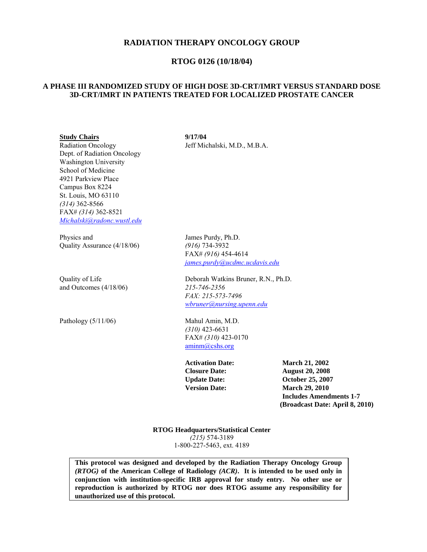# **RADIATION THERAPY ONCOLOGY GROUP**

# **RTOG 0126 (10/18/04)**

## **A PHASE III RANDOMIZED STUDY OF HIGH DOSE 3D-CRT/IMRT VERSUS STANDARD DOSE 3D-CRT/IMRT IN PATIENTS TREATED FOR LOCALIZED PROSTATE CANCER**

#### **Study Chairs 9/17/04**

 Dept. of Radiation Oncology Washington University School of Medicine 4921 Parkview Place Campus Box 8224 St. Louis, MO 63110 *(314)* 362-8566 FAX# *(314)* 362-8521 *Michalski@radonc.wustl.edu*

Physics and James Purdy, Ph.D. Quality Assurance (4/18/06) *(916)* 734-3932

and Outcomes (4/18/06) *215-746-2356* 

Radiation Oncology Jeff Michalski, M.D., M.B.A.

 FAX# *(916)* 454-4614 *james.purdy@ucdmc.ucdavis.edu*

Quality of LifeDeborah Watkins Bruner, R.N., Ph.D.  *FAX: 215-573-7496 wbruner@nursing.upenn.edu*

Pathology (5/11/06) Mahul Amin, M.D. *(310)* 423-6631 FAX# *(310)* 423-0170 aminm@cshs.org

**Activation Date: March 21, 2002 Closure Date: August 20, 2008 Update Date: October 25, 2007 Version Date: March 29, 2010 Includes Amendments 1-7 (Broadcast Date: April 8, 2010)**

**RTOG Headquarters/Statistical Center**  *(215)* 574-3189 1-800-227-5463, ext. 4189

**This protocol was designed and developed by the Radiation Therapy Oncology Group**  *(RTOG)* **of the American College of Radiology** *(ACR)***. It is intended to be used only in conjunction with institution-specific IRB approval for study entry. No other use or reproduction is authorized by RTOG nor does RTOG assume any responsibility for unauthorized use of this protocol.**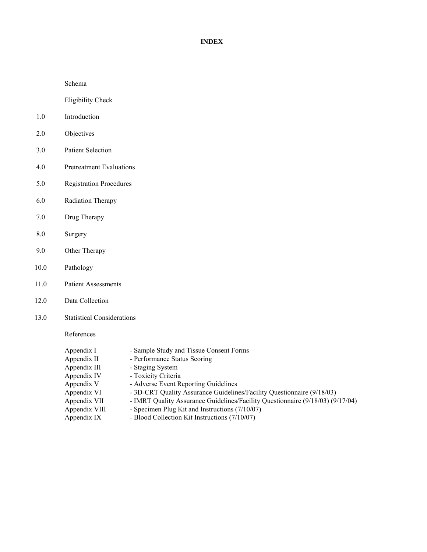### **INDEX**

Schema

Eligibility Check

- 1.0 Introduction
- 2.0 Objectives
- 3.0 Patient Selection
- 4.0 Pretreatment Evaluations
- 5.0 Registration Procedures
- 6.0 Radiation Therapy
- 7.0 Drug Therapy
- 8.0 Surgery
- 9.0 Other Therapy
- 10.0 Pathology
- 11.0 Patient Assessments
- 12.0 Data Collection
- 13.0 Statistical Considerations

References

| Appendix I    | - Sample Study and Tissue Consent Forms                                        |
|---------------|--------------------------------------------------------------------------------|
| Appendix II   | - Performance Status Scoring                                                   |
| Appendix III  | - Staging System                                                               |
| Appendix IV   | - Toxicity Criteria                                                            |
| Appendix V    | - Adverse Event Reporting Guidelines                                           |
| Appendix VI   | - 3D-CRT Quality Assurance Guidelines/Facility Questionnaire (9/18/03)         |
| Appendix VII  | - IMRT Quality Assurance Guidelines/Facility Questionnaire (9/18/03) (9/17/04) |
| Appendix VIII | - Specimen Plug Kit and Instructions (7/10/07)                                 |
| Appendix IX   | - Blood Collection Kit Instructions (7/10/07)                                  |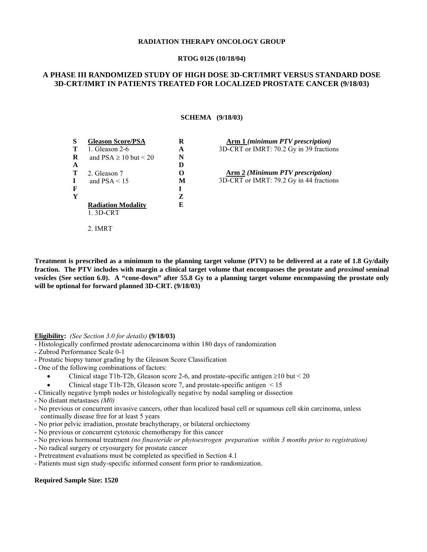#### **RADIATION THERAPY ONCOLOGY GROUP**

#### **RTOG 0126 (10/18/04)**

# **A PHASE III RANDOMIZED STUDY OF HIGH DOSE 3D-CRT/IMRT VERSUS STANDARD DOSE 3D-CRT/IMRT IN PATIENTS TREATED FOR LOCALIZED PROSTATE CANCER (9/18/03)**

#### **SCHEMA (9/18/03)**

| S | <b>Gleason Score/PSA</b>      | R                 |
|---|-------------------------------|-------------------|
| т | 1. Gleason 2-6                | A                 |
| R | and $PSA \ge 10$ but $\le 20$ | N                 |
| A |                               | D                 |
| т | 2. Gleason 7                  | $\mathbf{\Omega}$ |
| L | and $PSA < 15$                | M                 |
| F |                               | T                 |
| Y |                               | Z                 |
|   | <b>Radiation Modality</b>     | E                 |
|   | $1.3D-CRT$                    |                   |
|   |                               |                   |

**Arm 1** *(minimum PTV prescription)*  3D-CRT or IMRT: 70.2 Gy in 39 fractions

**Arm 2** *(Minimum PTV prescription)*  3D-CRT or IMRT: 79.2 Gy in 44 fractions

**Treatment is prescribed as a minimum to the planning target volume (PTV) to be delivered at a rate of 1.8 Gy/daily fraction. The PTV includes with margin a clinical target volume that encompasses the prostate and** *proximal* **seminal vesicles (See section 6.0). A "cone-down" after 55.8 Gy to a planning target volume encompassing the prostate only will be optional for forward planned 3D-CRT. (9/18/03)** 

#### **Eligibility:** *(See Section 3.0 for details)* **(9/18/03)**

2. IMRT

- Histologically confirmed prostate adenocarcinoma within 180 days of randomization
- Zubrod Performance Scale 0-1
- Prostatic biopsy tumor grading by the Gleason Score Classification
- One of the following combinations of factors:
	- Clinical stage T1b-T2b, Gleason score 2-6, and prostate-specific antigen  $\geq$ 10 but < 20
	- Clinical stage T1b-T2b, Gleason score 7, and prostate-specific antigen  $\leq 15$
- Clinically negative lymph nodes or histologically negative by nodal sampling or dissection

#### - No distant metastases *(M0)*

- No previous or concurrent invasive cancers, other than localized basal cell or squamous cell skin carcinoma, unless continually disease free for at least 5 years
- No prior pelvic irradiation, prostate brachytherapy, or bilateral orchiectomy
- No previous or concurrent cytotoxic chemotherapy for this cancer
- No previous hormonal treatment *(no finasteride or phytoestrogen preparation within 3 months prior to registration)*
- No radical surgery or cryosurgery for prostate cancer
- Pretreatment evaluations must be completed as specified in Section 4.1
- Patients must sign study-specific informed consent form prior to randomization.

#### **Required Sample Size: 1520**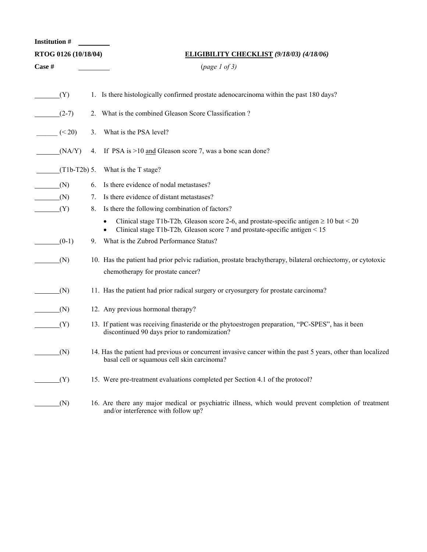| <b>Institution #</b> |                      |    |                                                                                                                                                                                |
|----------------------|----------------------|----|--------------------------------------------------------------------------------------------------------------------------------------------------------------------------------|
|                      | RTOG 0126 (10/18/04) |    | <b>ELIGIBILITY CHECKLIST (9/18/03) (4/18/06)</b>                                                                                                                               |
| Case #               |                      |    | (page 1 of 3)                                                                                                                                                                  |
|                      | (Y)                  |    | 1. Is there histologically confirmed prostate adenocarcinoma within the past 180 days?                                                                                         |
|                      | $(2-7)$              |    | 2. What is the combined Gleason Score Classification?                                                                                                                          |
|                      | (< 20)               | 3. | What is the PSA level?                                                                                                                                                         |
|                      | (NA/Y)               | 4. | If PSA is $>10$ and Gleason score 7, was a bone scan done?                                                                                                                     |
|                      | $(T1b-T2b)$ 5.       |    | What is the T stage?                                                                                                                                                           |
|                      | (N)                  | 6. | Is there evidence of nodal metastases?                                                                                                                                         |
|                      | (N)                  | 7. | Is there evidence of distant metastases?                                                                                                                                       |
|                      | (Y)                  | 8. | Is there the following combination of factors?                                                                                                                                 |
|                      |                      |    | Clinical stage T1b-T2b, Gleason score 2-6, and prostate-specific antigen $\geq 10$ but < 20<br>Clinical stage T1b-T2b, Gleason score 7 and prostate-specific antigen $\leq 15$ |
|                      | $(0-1)$              | 9. | What is the Zubrod Performance Status?                                                                                                                                         |
|                      | (N)                  |    | 10. Has the patient had prior pelvic radiation, prostate brachytherapy, bilateral orchiectomy, or cytotoxic<br>chemotherapy for prostate cancer?                               |
|                      | (N)                  |    | 11. Has the patient had prior radical surgery or cryosurgery for prostate carcinoma?                                                                                           |
|                      | (N)                  |    | 12. Any previous hormonal therapy?                                                                                                                                             |
|                      | (Y)                  |    | 13. If patient was receiving finasteride or the phytoestrogen preparation, "PC-SPES", has it been<br>discontinued 90 days prior to randomization?                              |
|                      | (N)                  |    | 14. Has the patient had previous or concurrent invasive cancer within the past 5 years, other than localized<br>basal cell or squamous cell skin carcinoma?                    |
|                      | (Y)                  |    | 15. Were pre-treatment evaluations completed per Section 4.1 of the protocol?                                                                                                  |
|                      | (N)                  |    | 16. Are there any major medical or psychiatric illness, which would prevent completion of treatment<br>and/or interference with follow up?                                     |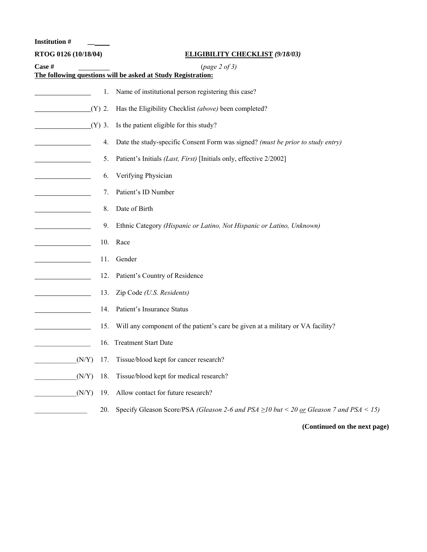**Institution # \_\_** 

| RTOG 0126 (10/18/04) |          | <b>ELIGIBILITY CHECKLIST (9/18/03)</b>                                                              |
|----------------------|----------|-----------------------------------------------------------------------------------------------------|
| Case #               |          | (page 2 of 3)                                                                                       |
|                      |          | The following questions will be asked at Study Registration:                                        |
|                      | 1.       | Name of institutional person registering this case?                                                 |
| (Y)                  | 2.       | Has the Eligibility Checklist (above) been completed?                                               |
|                      | $(Y)$ 3. | Is the patient eligible for this study?                                                             |
|                      | 4.       | Date the study-specific Consent Form was signed? (must be prior to study entry)                     |
|                      | 5.       | Patient's Initials (Last, First) [Initials only, effective 2/2002]                                  |
|                      | 6.       | Verifying Physician                                                                                 |
|                      | 7.       | Patient's ID Number                                                                                 |
|                      | 8.       | Date of Birth                                                                                       |
|                      | 9.       | Ethnic Category (Hispanic or Latino, Not Hispanic or Latino, Unknown)                               |
|                      | 10.      | Race                                                                                                |
|                      | 11.      | Gender                                                                                              |
|                      | 12.      | Patient's Country of Residence                                                                      |
|                      | 13.      | Zip Code (U.S. Residents)                                                                           |
|                      | 14.      | Patient's Insurance Status                                                                          |
|                      | 15.      | Will any component of the patient's care be given at a military or VA facility?                     |
|                      |          | 16. Treatment Start Date                                                                            |
| (N/Y)                |          | 17. Tissue/blood kept for cancer research?                                                          |
| (N/Y)                | 18.      | Tissue/blood kept for medical research?                                                             |
| (N/Y)                | 19.      | Allow contact for future research?                                                                  |
|                      | 20.      | Specify Gleason Score/PSA (Gleason 2-6 and PSA $\geq$ 10 but < 20 <u>or</u> Gleason 7 and PSA < 15) |

**(Continued on the next page)**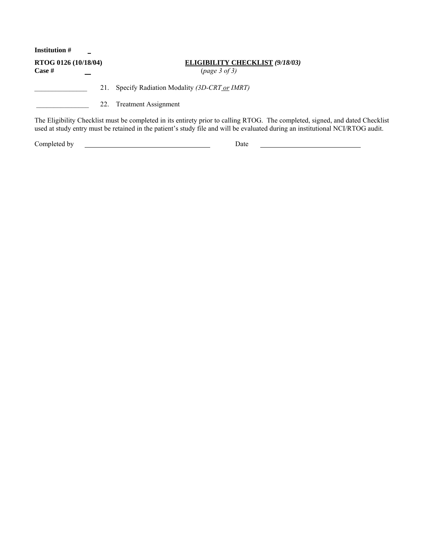| <b>Institution</b> #           |     |                                                                                                                                                                                                                                                                 |
|--------------------------------|-----|-----------------------------------------------------------------------------------------------------------------------------------------------------------------------------------------------------------------------------------------------------------------|
| RTOG 0126 (10/18/04)<br>Case # |     | <b>ELIGIBILITY CHECKLIST (9/18/03)</b><br>(page 3 of 3)                                                                                                                                                                                                         |
|                                | 21. | Specify Radiation Modality (3D-CRT or IMRT)                                                                                                                                                                                                                     |
|                                | 22. | <b>Treatment Assignment</b>                                                                                                                                                                                                                                     |
|                                |     | The Eligibility Checklist must be completed in its entirety prior to calling RTOG. The completed, signed, and dated Checklist<br>used at study entry must be retained in the patient's study file and will be evaluated during an institutional NCI/RTOG audit. |
| Completed by                   |     | Date                                                                                                                                                                                                                                                            |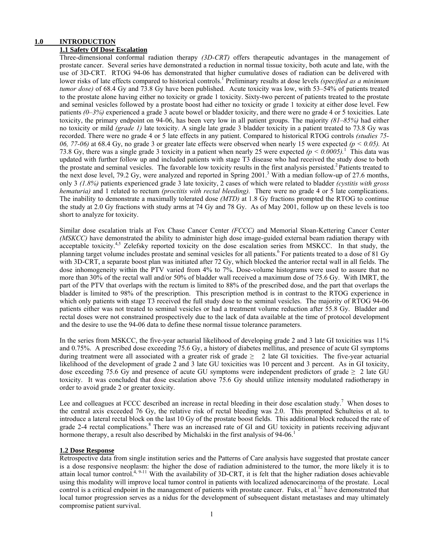# **1.0 INTRODUCTION**

# **1.1 Safety Of Dose Escalation**

Three-dimensional conformal radiation therapy *(3D-CRT)* offers therapeutic advantages in the management of prostate cancer. Several series have demonstrated a reduction in normal tissue toxicity, both acute and late, with the use of 3D-CRT. RTOG 94-06 has demonstrated that higher cumulative doses of radiation can be delivered with lower risks of late effects compared to historical controls.<sup>1</sup> Preliminary results at dose levels *(specified as a minimum tumor dose)* of 68.4 Gy and 73.8 Gy have been published. Acute toxicity was low, with 53–54% of patients treated to the prostate alone having either no toxicity or grade 1 toxicity. Sixty-two percent of patients treated to the prostate and seminal vesicles followed by a prostate boost had either no toxicity or grade 1 toxicity at either dose level. Few patients *(0–3%)* experienced a grade 3 acute bowel or bladder toxicity, and there were no grade 4 or 5 toxicities. Late toxicity, the primary endpoint on 94-06, has been very low in all patient groups. The majority *(81–85%)* had either no toxicity or mild *(grade 1)* late toxicity. A single late grade 3 bladder toxicity in a patient treated to 73.8 Gy was recorded. There were no grade 4 or 5 late effects in any patient. Compared to historical RTOG controls *(studies 75- 06, 77-06)* at 68.4 Gy, no grade 3 or greater late effects were observed when nearly 15 were expected *(p < 0.05).* At 73.8 Gy, there was a single grade 3 toxicity in a patient when nearly 25 were expected  $(p < 0.0005)$ .<sup>1</sup> This data was updated with further follow up and included patients with stage T3 disease who had received the study dose to both the prostate and seminal vesicles. The favorable low toxicity results in the first analysis persisted.<sup>2</sup> Patients treated to the next dose level, 79.2 Gy, were analyzed and reported in Spring 2001.<sup>3</sup> With a median follow-up of 27.6 months, only 3 *(1.8%)* patients experienced grade 3 late toxicity, 2 cases of which were related to bladder *(cystitis with gross hematuria)* and 1 related to rectum *(proctitis with rectal bleeding).* There were no grade 4 or 5 late complications. The inability to demonstrate a maximally tolerated dose *(MTD)* at 1.8 Gy fractions prompted the RTOG to continue the study at 2.0 Gy fractions with study arms at 74 Gy and 78 Gy. As of May 2001, follow up on these levels is too short to analyze for toxicity.

Similar dose escalation trials at Fox Chase Cancer Center *(FCCC)* and Memorial Sloan-Kettering Cancer Center *(MSKCC)* have demonstrated the ability to administer high dose image-guided external beam radiation therapy with acceptable toxicity.<sup>4,5</sup> Zelefsky reported toxicity on the dose escalation series from MSKCC. In that study, the planning target volume includes prostate and seminal vesicles for all patients.<sup>6</sup> For patients treated to a dose of 81 Gy with 3D-CRT, a separate boost plan was initiated after 72 Gy, which blocked the anterior rectal wall in all fields. The dose inhomogeneity within the PTV varied from 4% to 7%. Dose-volume histograms were used to assure that no more than 30% of the rectal wall and/or 50% of bladder wall received a maximum dose of 75.6 Gy. With IMRT, the part of the PTV that overlaps with the rectum is limited to 88% of the prescribed dose, and the part that overlaps the bladder is limited to 98% of the prescription. This prescription method is in contrast to the RTOG experience in which only patients with stage T3 received the full study dose to the seminal vesicles. The majority of RTOG 94-06 patients either was not treated to seminal vesicles or had a treatment volume reduction after 55.8 Gy. Bladder and rectal doses were not constrained prospectively due to the lack of data available at the time of protocol development and the desire to use the 94-06 data to define these normal tissue tolerance parameters.

In the series from MSKCC, the five-year actuarial likelihood of developing grade 2 and 3 late GI toxicities was 11% and 0.75%. A prescribed dose exceeding 75.6 Gy, a history of diabetes mellitus, and presence of acute GI symptoms during treatment were all associated with a greater risk of grade  $\geq$  2 late GI toxicities. The five-year actuarial likelihood of the development of grade 2 and 3 late GU toxicities was 10 percent and 3 percent. As in GI toxicity, dose exceeding 75.6 Gy and presence of acute GU symptoms were independent predictors of grade  $\geq 2$  late GU toxicity. It was concluded that dose escalation above 75.6 Gy should utilize intensity modulated radiotherapy in order to avoid grade 2 or greater toxicity.

Lee and colleagues at FCCC described an increase in rectal bleeding in their dose escalation study.<sup>7</sup> When doses to the central axis exceeded 76 Gy, the relative risk of rectal bleeding was 2.0. This prompted Schulteiss et al. to introduce a lateral rectal block on the last 10 Gy of the prostate boost fields. This additional block reduced the rate of grade 2-4 rectal complications.<sup>8</sup> There was an increased rate of GI and GU toxicity in patients receiving adjuvant hormone therapy, a result also described by Michalski in the first analysis of 94-06.<sup>1</sup>

#### **1.2 Dose Response**

Retrospective data from single institution series and the Patterns of Care analysis have suggested that prostate cancer is a dose responsive neoplasm: the higher the dose of radiation administered to the tumor, the more likely it is to attain local tumor control.<sup>4, 9-11</sup> With the availability of 3D-CRT, it is felt that the higher radiation doses achievable using this modality will improve local tumor control in patients with localized adenocarcinoma of the prostate. Local control is a critical endpoint in the management of patients with prostate cancer. Fuks, et al.<sup>12</sup> have demonstrated that local tumor progression serves as a nidus for the development of subsequent distant metastases and may ultimately compromise patient survival.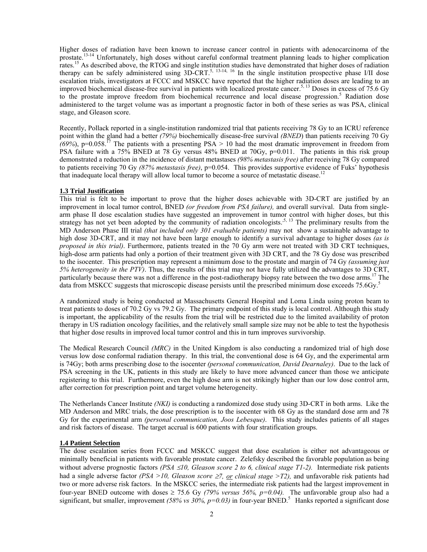Higher doses of radiation have been known to increase cancer control in patients with adenocarcinoma of the prostate.<sup>13-14</sup> Unfortunately, high doses without careful conformal treatment planning leads to higher complication rates.<sup>15</sup> As described above, the RTOG and single institution studies have demonstrated that higher doses of radiation therapy can be safely administered using  $3D-CRT$ <sup>5, 13-14, 16</sup> In the single institution prospective phase I/II dose escalation trials, investigators at FCCC and MSKCC have reported that the higher radiation doses are leading to an improved biochemical disease-free survival in patients with localized prostate cancer.5, 13 Doses in excess of 75.6 Gy to the prostate improve freedom from biochemical recurrence and local disease progression.<sup>5</sup> Radiation dose administered to the target volume was as important a prognostic factor in both of these series as was PSA, clinical stage, and Gleason score.

Recently, Pollack reported in a single-institution randomized trial that patients receiving 78 Gy to an ICRU reference point within the gland had a better *(79%)* biochemically disease-free survival *(BNED*) than patients receiving 70 Gy  $(69%)$ , p=0.058.<sup>17</sup> The patients with a presenting PSA > 10 had the most dramatic improvement in freedom from PSA failure with a 75% BNED at 78 Gy versus 48% BNED at 70Gy, p=0.011. The patients in this risk group demonstrated a reduction in the incidence of distant metastases *(98% metastasis free)* after receiving 78 Gy compared to patients receiving 70 Gy *(87% metastasis free)*, p=0.054. This provides supportive evidence of Fuks' hypothesis that inadequate local therapy will allow local tumor to become a source of metastatic disease.<sup>12</sup>

#### **1.3 Trial Justification**

This trial is felt to be important to prove that the higher doses achievable with 3D-CRT are justified by an improvement in local tumor control, BNED *(or freedom from PSA failure),* and overall survival. Data from singlearm phase II dose escalation studies have suggested an improvement in tumor control with higher doses, but this strategy has not yet been adopted by the community of radiation oncologists.<sup>5, 13</sup> The preliminary results from the MD Anderson Phase III trial *(that included only 301 evaluable patients)* may not show a sustainable advantage to high dose 3D-CRT, and it may not have been large enough to identify a survival advantage to higher doses *(as is proposed in this trial)*. Furthermore, patients treated in the 70 Gy arm were not treated with 3D CRT techniques, high-dose arm patients had only a portion of their treatment given with 3D CRT, and the 78 Gy dose was prescribed to the isocenter. This prescription may represent a minimum dose to the prostate and margin of 74 Gy *(assuming just 5% heterogeneity in the PTV)*. Thus, the results of this trial may not have fully utilized the advantages to 3D CRT, particularly because there was not a difference in the post-radiotherapy biopsy rate between the two dose arms.<sup>17</sup> The data from MSKCC suggests that microscopic disease persists until the prescribed minimum dose exceeds 75.6Gy.<sup>5</sup>

A randomized study is being conducted at Massachusetts General Hospital and Loma Linda using proton beam to treat patients to doses of 70.2 Gy vs 79.2 Gy. The primary endpoint of this study is local control. Although this study is important, the applicability of the results from the trial will be restricted due to the limited availability of proton therapy in US radiation oncology facilities, and the relatively small sample size may not be able to test the hypothesis that higher dose results in improved local tumor control and this in turn improves survivorship.

The Medical Research Council *(MRC)* in the United Kingdom is also conducting a randomized trial of high dose versus low dose conformal radiation therapy. In this trial, the conventional dose is 64 Gy, and the experimental arm is 74Gy; both arms prescribing dose to the isocenter *(personal communication, David Dearnaley)*. Due to the lack of PSA screening in the UK, patients in this study are likely to have more advanced cancer than those we anticipate registering to this trial. Furthermore, even the high dose arm is not strikingly higher than our low dose control arm, after correction for prescription point and target volume heterogeneity.

The Netherlands Cancer Institute *(NKI)* is conducting a randomized dose study using 3D-CRT in both arms. Like the MD Anderson and MRC trials, the dose prescription is to the isocenter with 68 Gy as the standard dose arm and 78 Gy for the experimental arm *(personal communication, Joos Lebesque)*. This study includes patients of all stages and risk factors of disease. The target accrual is 600 patients with four stratification groups.

#### **1.4 Patient Selection**

The dose escalation series from FCCC and MSKCC suggest that dose escalation is either not advantageous or minimally beneficial in patients with favorable prostate cancer. Zelefsky described the favorable population as being without adverse prognostic factors *(PSA* ≤*10, Gleason score 2 to 6, clinical stage T1-2).* Intermediate risk patients had a single adverse factor *(PSA >10, Gleason score* ≥*7, or clinical stage >T2),* and unfavorable risk patients had two or more adverse risk factors. In the MSKCC series, the intermediate risk patients had the largest improvement in four-year BNED outcome with doses  $\geq$  75.6 Gy (79% versus 56%,  $p=0.04$ ). The unfavorable group also had a significant, but smaller, improvement *(58% vs 30%, p=0.03)* in four-year BNED.<sup>5</sup> Hanks reported a significant dose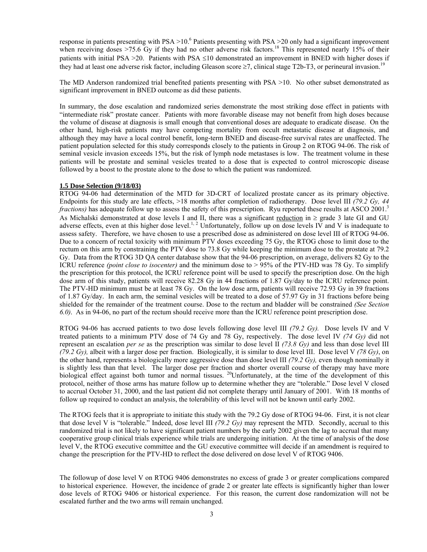response in patients presenting with  $PSA > 10<sup>6</sup>$  Patients presenting with  $PSA > 20$  only had a significant improvement when receiving doses >75.6 Gy if they had no other adverse risk factors.<sup>18</sup> This represented nearly 15% of their patients with initial PSA >20. Patients with PSA ≤10 demonstrated an improvement in BNED with higher doses if they had at least one adverse risk factor, including Gleason score  $\geq 7$ , clinical stage T2b-T3, or perineural invasion.<sup>19</sup>

The MD Anderson randomized trial benefited patients presenting with PSA >10. No other subset demonstrated as significant improvement in BNED outcome as did these patients.

In summary, the dose escalation and randomized series demonstrate the most striking dose effect in patients with "intermediate risk" prostate cancer. Patients with more favorable disease may not benefit from high doses because the volume of disease at diagnosis is small enough that conventional doses are adequate to eradicate disease. On the other hand, high-risk patients may have competing mortality from occult metastatic disease at diagnosis, and although they may have a local control benefit, long-term BNED and disease-free survival rates are unaffected. The patient population selected for this study corresponds closely to the patients in Group 2 on RTOG 94-06. The risk of seminal vesicle invasion exceeds 15%, but the risk of lymph node metastases is low. The treatment volume in these patients will be prostate and seminal vesicles treated to a dose that is expected to control microscopic disease followed by a boost to the prostate alone to the dose to which the patient was randomized.

#### **1.5 Dose Selection (9/18/03)**

RTOG 94-06 had determination of the MTD for 3D-CRT of localized prostate cancer as its primary objective. Endpoints for this study are late effects, >18 months after completion of radiotherapy. Dose level III *(79.2 Gy, 44 fractions*) has adequate follow up to assess the safety of this prescription. Ryu reported these results at ASCO 2001.<sup>3</sup> As Michalski demonstrated at dose levels I and II, there was a significant reduction in  $\geq$  grade 3 late GI and GU adverse effects, even at this higher dose level.<sup>1, 2</sup> Unfortunately, follow up on dose levels IV and V is inadequate to assess safety. Therefore, we have chosen to use a prescribed dose as administered on dose level III of RTOG 94-06. Due to a concern of rectal toxicity with minimum PTV doses exceeding 75 Gy, the RTOG chose to limit dose to the rectum on this arm by constraining the PTV dose to 73.8 Gy while keeping the minimum dose to the prostate at 79.2 Gy. Data from the RTOG 3D QA center database show that the 94-06 prescription, on average, delivers 82 Gy to the ICRU reference *(point close to isocenter)* and the minimum dose to > 95% of the PTV-HD was 78 Gy. To simplify the prescription for this protocol, the ICRU reference point will be used to specify the prescription dose. On the high dose arm of this study, patients will receive 82.28 Gy in 44 fractions of 1.87 Gy/day to the ICRU reference point. The PTV-HD minimum must be at least 78 Gy. On the low dose arm, patients will receive 72.93 Gy in 39 fractions of 1.87 Gy/day. In each arm, the seminal vesicles will be treated to a dose of 57.97 Gy in 31 fractions before being shielded for the remainder of the treatment course. Dose to the rectum and bladder will be constrained *(See Section 6.0)*. As in 94-06, no part of the rectum should receive more than the ICRU reference point prescription dose.

RTOG 94-06 has accrued patients to two dose levels following dose level III *(79.2 Gy).* Dose levels IV and V treated patients to a minimum PTV dose of 74 Gy and 78 Gy, respectively. The dose level IV *(74 Gy)* did not represent an escalation *per se* as the prescription was similar to dose level II *(73.8 Gy)* and less than dose level III *(79.2 Gy),* albeit with a larger dose per fraction. Biologically, it is similar to dose level III. Dose level V *(78 Gy)*, on the other hand, represents a biologically more aggressive dose than dose level III *(79.2 Gy),* even though nominally it is slightly less than that level. The larger dose per fraction and shorter overall course of therapy may have more biological effect against both tumor and normal tissues. 20Unfortunately, at the time of the development of this protocol, neither of those arms has mature follow up to determine whether they are "tolerable." Dose level V closed to accrual October 31, 2000, and the last patient did not complete therapy until January of 2001. With 18 months of follow up required to conduct an analysis, the tolerability of this level will not be known until early 2002.

The RTOG feels that it is appropriate to initiate this study with the 79.2 Gy dose of RTOG 94-06. First, it is not clear that dose level V is "tolerable." Indeed, dose level III *(79.2 Gy)* may represent the MTD. Secondly, accrual to this randomized trial is not likely to have significant patient numbers by the early 2002 given the lag to accrual that many cooperative group clinical trials experience while trials are undergoing initiation. At the time of analysis of the dose level V, the RTOG executive committee and the GU executive committee will decide if an amendment is required to change the prescription for the PTV-HD to reflect the dose delivered on dose level V of RTOG 9406.

The followup of dose level V on RTOG 9406 demonstrates no excess of grade 3 or greater complications compared to historical experience. However, the incidence of grade 2 or greater late effects is significantly higher than lower dose levels of RTOG 9406 or historical experience. For this reason, the current dose randomization will not be escalated further and the two arms will remain unchanged.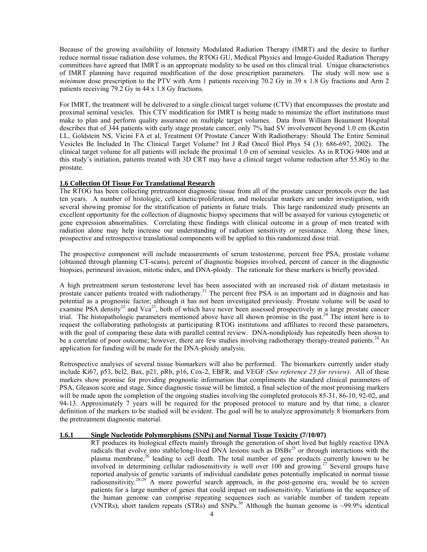Because of the growing availability of Intensity Modulated Radiation Therapy (IMRT) and the desire to further reduce normal tissue radiation dose volumes, the RTOG GU, Medical Physics and Image-Guided Radiation Therapy committees have agreed that IMRT is an appropriate modality to be used on this clinical trial. Unique characteristics of IMRT planning have required modification of the dose prescription parameters. The study will now use a *minimum* dose prescription to the PTV with Arm 1 patients receiving 70.2 Gy in 39 x 1.8 Gy fractions and Arm 2 patients receiving 79.2 Gy in 44 x 1.8 Gy fractions.

For IMRT, the treatment will be delivered to a single clinical target volume (CTV) that encompasses the prostate and proximal seminal vesicles. This CTV modification for IMRT is being made to minimize the effort institutions must make to plan and perform quality assurance on multiple target volumes. Data from William Beaumont Hospital describes that of 344 patients with early stage prostate cancer, only 7% had SV involvement beyond 1.0 cm (Kestin LL, Goldstein NS, Vicini FA et al, Treatment Of Prostate Cancer With Radiotherapy: Should The Entire Seminal Vesicles Be Included In The Clinical Target Volume? Int J Rad Oncol Biol Phys 54 (3): 686-697, 2002). The clinical target volume for all patients will include the proximal 1.0 cm of seminal vesicles. As in RTOG 9406 and at this study's initiation, patients treated with 3D CRT may have a clinical target volume reduction after 55.8Gy to the prostate.

#### **1.6 Collection Of Tissue For Translational Research**

The RTOG has been collecting pretreatment diagnostic tissue from all of the prostate cancer protocols over the last ten years. A number of histologic, cell kinetic/proliferation, and molecular markers are under investigation, with several showing promise for the stratification of patients in future trials. This large randomized study presents an excellent opportunity for the collection of diagnostic biopsy specimens that will be assayed for various cytogenetic or gene expression abnormalities. Correlating these findings with clinical outcome in a group of men treated with radiation alone may help increase our understanding of radiation sensitivity or resistance. Along these lines, prospective and retrospective translational components will be applied to this randomized dose trial.

The prospective component will include measurements of serum testosterone, percent free PSA, prostate volume (obtained through planning CT-scans), percent of diagnostic biopsies involved, percent of cancer in the diagnostic biopsies, perineural invasion, mitotic index, and DNA-ploidy. The rationale for these markers is briefly provided.

A high pretreatment serum testosterone level has been associated with an increased risk of distant metastasis in prostate cancer patients treated with radiotherapy.<sup>21</sup> The percent free PSA is an important aid in diagnosis and has potential as a prognostic factor; although it has not been investigated previously. Prostate volume will be used to examine PSA density<sup>22</sup> and Vca<sup>23</sup>, both of which have never been assessed prospectively in a large prostate cancer trial. The histopathologic parameters mentioned above have all shown promise in the past.24 The intent here is to request the collaborating pathologists at participating RTOG institutions and affiliates to record these parameters, with the goal of comparing these data with parallel central review. DNA-nondiploidy has repeatedly been shown to be a correlate of poor outcome; however, there are few studies involving radiotherapy therapy-treated patients.<sup>24</sup> An application for funding will be made for the DNA-ploidy analysis.

Retrospective analyses of several tissue biomarkers will also be performed. The biomarkers currently under study include Ki67, p53, bcl2, Bax, p21, pRb, p16, Cox-2, EBFR, and VEGF *(See reference 23 for review)*. All of these markers show promise for providing prognostic information that compliments the standard clinical parameters of PSA, Gleason score and stage. Since diagnostic tissue will be limited, a final selection of the most promising markers will be made upon the completion of the ongoing studies involving the completed protocols 85-31, 86-10, 92-02, and 94-13. Approximately 7 years will be required for the proposed protocol to mature and by that time, a clearer definition of the markers to be studied will be evident. The goal will be to analyze approximately 8 biomarkers from the pretreatment diagnostic material.

#### **1.6.1 Single Nucleotide Polymorphisms (SNPs) and Normal Tissue Toxicity (7/10/07)**

RT produces its biological effects mainly through the generation of short lived but highly reactive DNA radicals that evolve into stable/long-lived DNA lesions such as  $DSBs<sup>25</sup>$  or through interactions with the plasma membrane,<sup>26</sup> leading to cell death. The total number of gene products currently known to be involved in determining cellular radiosensitivity is well over 100 and growing.<sup>27</sup> Several groups have reported analysis of genetic variants of individual candidate genes potentially implicated in normal tissue radiosensitivity.<sup>28-29</sup> A more powerful search approach, in the post-genome era, would be to screen patients for a large number of genes that could impact on radiosensitivity. Variations in the sequence of the human genome can comprise repeating sequences such as variable number of tandem repeats (VNTRs), short tandem repeats (STRs) and SNPs.<sup>30</sup> Although the human genome is ~99.9% identical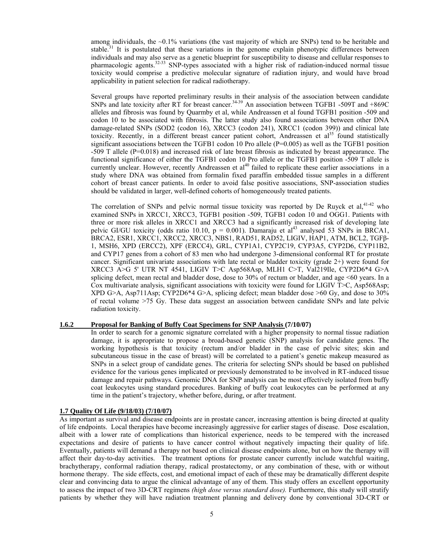among individuals, the  $\sim 0.1\%$  variations (the vast majority of which are SNPs) tend to be heritable and stable.<sup>31</sup> It is postulated that these variations in the genome explain phenotypic differences between individuals and may also serve as a genetic blueprint for susceptibility to disease and cellular responses to pharmacologic agents.32-33 SNP-types associated with a higher risk of radiation-induced normal tissue toxicity would comprise a predictive molecular signature of radiation injury, and would have broad applicability in patient selection for radical radiotherapy.

Several groups have reported preliminary results in their analysis of the association between candidate SNPs and late toxicity after RT for breast cancer.<sup>34-39</sup> An association between TGFB1 -509T and +869C alleles and fibrosis was found by Quarmby et al, while Andreassen et al found TGFB1 position -509 and codon 10 to be associated with fibrosis. The latter study also found associations between other DNA damage-related SNPs (SOD2 (codon 16), XRCC3 (codon 241), XRCC1 (codon 399)) and clinical late toxicity. Recently, in a different breast cancer patient cohort. Andreassen et al<sup>35</sup> found statistically significant associations between the TGFB1 codon 10 Pro allele ( $P=0.005$ ) as well as the TGFB1 position -509 T allele (P=0.018) and increased risk of late breast fibrosis as indicated by breast appearance. The functional significance of either the TGFB1 codon 10 Pro allele or the TGFB1 position -509 T allele is currently unclear. However, recently Andreassen et al<sup>40</sup> failed to replicate these earlier associations in a study where DNA was obtained from formalin fixed paraffin embedded tissue samples in a different cohort of breast cancer patients. In order to avoid false positive associations, SNP-association studies should be validated in larger, well-defined cohorts of homogeneously treated patients.

The correlation of SNPs and pelvic normal tissue toxicity was reported by De Ruyck et al, $41-42$  who examined SNPs in XRCC1, XRCC3, TGFB1 position -509, TGFB1 codon 10 and OGG1. Patients with three or more risk alleles in XRCC1 and XRCC3 had a significantly increased risk of developing late pelvic GI/GU toxicity (odds ratio 10.10,  $p = 0.001$ ). Damaraju et al<sup>43</sup> analysed 53 SNPs in BRCA1, BRCA2, ESR1, XRCC1, XRCC2, XRCC3, NBS1, RAD51, RAD52, LIGIV, HAP1, ATM, BCL2, TGFβ-1, MSH6, XPD (ERCC2), XPF (ERCC4), GRL, CYP1A1, CYP2C19, CYP3A5, CYP2D6, CYP11B2, and CYP17 genes from a cohort of 83 men who had undergone 3-dimensional conformal RT for prostate cancer. Significant univariate associations with late rectal or bladder toxicity (grade 2+) were found for XRCC3 A>G 5' UTR NT 4541, LIGIV T>C Asp568Asp, MLH1 C>T, Val219Ile, CYP2D6\*4 G>A splicing defect, mean rectal and bladder dose, dose to 30% of rectum or bladder, and age <60 years. In a Cox multivariate analysis, significant associations with toxicity were found for LIGIV T>C, Asp568Asp; XPD G>A, Asp711Asp; CYP2D6\*4 G>A, splicing defect; mean bladder dose  $>60$  Gy, and dose to 30% of rectal volume >75 Gy. These data suggest an association between candidate SNPs and late pelvic radiation toxicity.

#### **1.6.2 Proposal for Banking of Buffy Coat Specimens for SNP Analysis (7/10/07)**

In order to search for a genomic signature correlated with a higher propensity to normal tissue radiation damage, it is appropriate to propose a broad-based genetic (SNP) analysis for candidate genes. The working hypothesis is that toxicity (rectum and/or bladder in the case of pelvic sites; skin and subcutaneous tissue in the case of breast) will be correlated to a patient's genetic makeup measured as SNPs in a select group of candidate genes. The criteria for selecting SNPs should be based on published evidence for the various genes implicated or previously demonstrated to be involved in RT-induced tissue damage and repair pathways. Genomic DNA for SNP analysis can be most effectively isolated from buffy coat leukocytes using standard procedures. Banking of buffy coat leukocytes can be performed at any time in the patient's trajectory, whether before, during, or after treatment.

#### **1.7 Quality Of Life (9/18/03) (7/10/07)**

As important as survival and disease endpoints are in prostate cancer, increasing attention is being directed at quality of life endpoints. Local therapies have become increasingly aggressive for earlier stages of disease. Dose escalation, albeit with a lower rate of complications than historical experience, needs to be tempered with the increased expectations and desire of patients to have cancer control without negatively impacting their quality of life. Eventually, patients will demand a therapy not based on clinical disease endpoints alone, but on how the therapy will affect their day-to-day activities. The treatment options for prostate cancer currently include watchful waiting, brachytherapy, conformal radiation therapy, radical prostatectomy, or any combination of these, with or without hormone therapy. The side effects, cost, and emotional impact of each of these may be dramatically different despite clear and convincing data to argue the clinical advantage of any of them. This study offers an excellent opportunity to assess the impact of two 3D-CRT regimens *(high dose versus standard dose).* Furthermore, this study will stratify patients by whether they will have radiation treatment planning and delivery done by conventional 3D-CRT or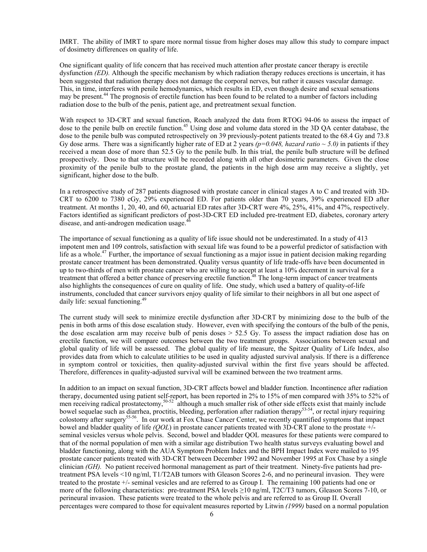IMRT. The ability of IMRT to spare more normal tissue from higher doses may allow this study to compare impact of dosimetry differences on quality of life.

One significant quality of life concern that has received much attention after prostate cancer therapy is erectile dysfunction *(ED)*. Although the specific mechanism by which radiation therapy reduces erections is uncertain, it has been suggested that radiation therapy does not damage the corporal nerves, but rather it causes vascular damage. This, in time, interferes with penile hemodynamics, which results in ED, even though desire and sexual sensations may be present.<sup>44</sup> The prognosis of erectile function has been found to be related to a number of factors including radiation dose to the bulb of the penis, patient age, and pretreatment sexual function.

With respect to 3D-CRT and sexual function. Roach analyzed the data from RTOG 94-06 to assess the impact of dose to the penile bulb on erectile function.<sup>45</sup> Using dose and volume data stored in the 3D OA center database, the dose to the penile bulb was computed retrospectively on 39 previously-potent patients treated to the 68.4 Gy and 73.8 Gy dose arms. There was a significantly higher rate of ED at 2 years  $(p=0.048, hazard ratio \sim 5.0)$  in patients if they received a mean dose of more than 52.5 Gy to the penile bulb. In this trial, the penile bulb structure will be defined prospectively. Dose to that structure will be recorded along with all other dosimetric parameters. Given the close proximity of the penile bulb to the prostate gland, the patients in the high dose arm may receive a slightly, yet significant, higher dose to the bulb.

In a retrospective study of 287 patients diagnosed with prostate cancer in clinical stages A to C and treated with 3D-CRT to 6200 to 7380 cGy, 29% experienced ED. For patients older than 70 years, 39% experienced ED after treatment. At months 1, 20, 40, and 60, actuarial ED rates after 3D-CRT were 4%, 25%, 41%, and 47%, respectively. Factors identified as significant predictors of post-3D-CRT ED included pre-treatment ED, diabetes, coronary artery disease, and anti-androgen medication usage. $46$ 

The importance of sexual functioning as a quality of life issue should not be underestimated. In a study of 413 impotent men and 109 controls, satisfaction with sexual life was found to be a powerful predictor of satisfaction with life as a whole.<sup>47</sup> Further, the importance of sexual functioning as a major issue in patient decision making regarding prostate cancer treatment has been demonstrated. Quality versus quantity of life trade-offs have been documented in up to two-thirds of men with prostate cancer who are willing to accept at least a 10% decrement in survival for a treatment that offered a better chance of preserving erectile function.<sup>48</sup> The long-term impact of cancer treatments also highlights the consequences of cure on quality of life. One study, which used a battery of quality-of-life instruments, concluded that cancer survivors enjoy quality of life similar to their neighbors in all but one aspect of daily life: sexual functioning.<sup>49</sup>

The current study will seek to minimize erectile dysfunction after 3D-CRT by minimizing dose to the bulb of the penis in both arms of this dose escalation study. However, even with specifying the contours of the bulb of the penis, the dose escalation arm may receive bulb of penis doses > 52.5 Gy. To assess the impact radiation dose has on erectile function, we will compare outcomes between the two treatment groups. Associations between sexual and global quality of life will be assessed. The global quality of life measure, the Spitzer Quality of Life Index, also provides data from which to calculate utilities to be used in quality adjusted survival analysis. If there is a difference in symptom control or toxicities, then quality-adjusted survival within the first five years should be affected. Therefore, differences in quality-adjusted survival will be examined between the two treatment arms.

In addition to an impact on sexual function, 3D-CRT affects bowel and bladder function. Incontinence after radiation therapy, documented using patient self-report, has been reported in 2% to 15% of men compared with 35% to 52% of men receiving radical prostatectomy,<sup>50-52</sup> although a much smaller risk of other side effects exist that mainly include bowel sequelae such as diarrhea, proctitis, bleeding, perforation after radiation therapy<sup>53-54</sup>, or rectal injury requiring colostomy after surgery<sup>55-56</sup>. In our work at Fox Chase Cancer Center, we recently quantified symptoms that impact bowel and bladder quality of life *(QOL*) in prostate cancer patients treated with 3D-CRT alone to the prostate +/ seminal vesicles versus whole pelvis. Second, bowel and bladder QOL measures for these patients were compared to that of the normal population of men with a similar age distribution Two health status surveys evaluating bowel and bladder functioning, along with the AUA Symptom Problem Index and the BPH Impact Index were mailed to 195 prostate cancer patients treated with 3D-CRT between December 1992 and November 1995 at Fox Chase by a single clinician *(GH).* No patient received hormonal management as part of their treatment. Ninety-five patients had pretreatment PSA levels <10 ng/ml, T1/T2AB tumors with Gleason Scores 2-6, and no perineural invasion. They were treated to the prostate +/- seminal vesicles and are referred to as Group I. The remaining 100 patients had one or more of the following characteristics: pre-treatment PSA levels ≥10 ng/ml, T2C/T3 tumors, Gleason Scores 7-10, or perineural invasion. These patients were treated to the whole pelvis and are referred to as Group II. Overall percentages were compared to those for equivalent measures reported by Litwin *(1999)* based on a normal population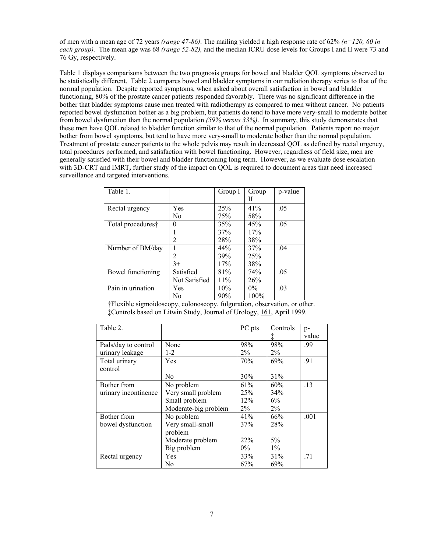of men with a mean age of 72 years *(range 47-86)*. The mailing yielded a high response rate of 62% *(n=120, 60 in each group).* The mean age was 68 *(range 52-82),* and the median ICRU dose levels for Groups I and II were 73 and 76 Gy, respectively.

Table 1 displays comparisons between the two prognosis groups for bowel and bladder QOL symptoms observed to be statistically different. Table 2 compares bowel and bladder symptoms in our radiation therapy series to that of the normal population. Despite reported symptoms, when asked about overall satisfaction in bowel and bladder functioning, 80% of the prostate cancer patients responded favorably. There was no significant difference in the bother that bladder symptoms cause men treated with radiotherapy as compared to men without cancer. No patients reported bowel dysfunction bother as a big problem, but patients do tend to have more very-small to moderate bother from bowel dysfunction than the normal population *(59% versus 33%)*. In summary, this study demonstrates that these men have QOL related to bladder function similar to that of the normal population. Patients report no major bother from bowel symptoms, but tend to have more very-small to moderate bother than the normal population. Treatment of prostate cancer patients to the whole pelvis may result in decreased QOL as defined by rectal urgency, total procedures performed, and satisfaction with bowel functioning. However, regardless of field size, men are generally satisfied with their bowel and bladder functioning long term. However, as we evaluate dose escalation with 3D-CRT and IMRT, further study of the impact on QOL is required to document areas that need increased surveillance and targeted interventions.

| Table 1.          |                | Group I | Group | p-value |
|-------------------|----------------|---------|-------|---------|
|                   |                |         | Н     |         |
| Rectal urgency    | Yes            | 25%     | 41%   | .05     |
|                   | N <sub>0</sub> | 75%     | 58%   |         |
| Total procedures† | 0              | 35%     | 45%   | .05     |
|                   |                | 37%     | 17%   |         |
|                   | $\overline{c}$ | 28%     | 38%   |         |
| Number of BM/day  |                | 44%     | 37%   | .04     |
|                   | $\overline{2}$ | 39%     | 25%   |         |
|                   | $3+$           | 17%     | 38%   |         |
| Bowel functioning | Satisfied      | 81%     | 74%   | .05     |
|                   | Not Satisfied  | 11%     | 26%   |         |
| Pain in urination | Yes            | 10%     | $0\%$ | .03     |
|                   | No             | 90%     | 100%  |         |

†Flexible sigmoidoscopy, colonoscopy, fulguration, observation, or other. ‡Controls based on Litwin Study, Journal of Urology, 161, April 1999.

| Table 2.             |                      | PC pts | Controls | $p-$  |
|----------------------|----------------------|--------|----------|-------|
|                      |                      |        |          | value |
| Pads/day to control  | None                 | 98%    | $98\%$   | .99   |
| urinary leakage      | $1 - 2$              | $2\%$  | $2\%$    |       |
| Total urinary        | Yes                  | 70%    | 69%      | .91   |
| control              |                      |        |          |       |
|                      | No.                  | 30%    | 31%      |       |
| Bother from          | No problem           | 61%    | 60%      | .13   |
| urinary incontinence | Very small problem   | 25%    | 34%      |       |
|                      | Small problem        | 12%    | 6%       |       |
|                      | Moderate-big problem | $2\%$  | $2\%$    |       |
| Bother from          | No problem           | 41%    | 66%      | .001  |
| bowel dysfunction    | Very small-small     | 37%    | 28%      |       |
|                      | problem              |        |          |       |
|                      | Moderate problem     | 22%    | $5\%$    |       |
|                      | Big problem          | $0\%$  | $1\%$    |       |
| Rectal urgency       | Yes                  | 33%    | 31%      | .71   |
|                      | No                   | 67%    | 69%      |       |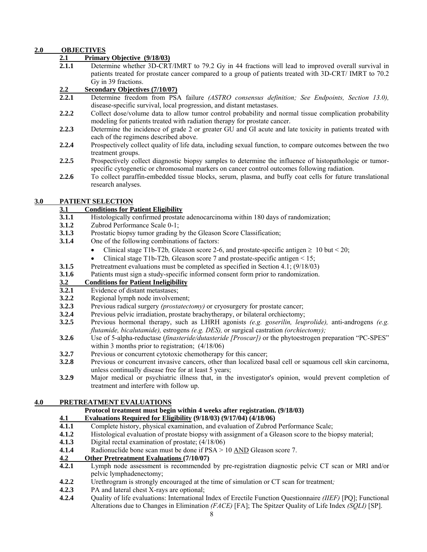# **2.0 OBJECTIVES**

#### **2.1 Primary Objective (9/18/03)**

**2.1.1** Determine whether 3D-CRT/IMRT to 79.2 Gy in 44 fractions will lead to improved overall survival in patients treated for prostate cancer compared to a group of patients treated with 3D-CRT/ IMRT to 70.2 Gy in 39 fractions.

#### **2.2 Secondary Objectives (7/10/07)**

- **2.2.1** Determine freedom from PSA failure *(ASTRO consensus definition; See Endpoints, Section 13.0),*  disease-specific survival, local progression, and distant metastases.
- **2.2.2** Collect dose/volume data to allow tumor control probability and normal tissue complication probability modeling for patients treated with radiation therapy for prostate cancer.
- **2.2.3** Determine the incidence of grade 2 or greater GU and GI acute and late toxicity in patients treated with each of the regimens described above.
- **2.2.4** Prospectively collect quality of life data, including sexual function, to compare outcomes between the two treatment groups.
- **2.2.5** Prospectively collect diagnostic biopsy samples to determine the influence of histopathologic or tumorspecific cytogenetic or chromosomal markers on cancer control outcomes following radiation.
- **2.2.6** To collect paraffin-embedded tissue blocks, serum, plasma, and buffy coat cells for future translational research analyses.

#### **3.0 PATIENT SELECTION**

# **3.1 Conditions for Patient Eligibility**

- **3.1.1 Histologically confirmed prostate adenocarcinoma within 180 days of randomization;**
- **3.1.2** Zubrod Performance Scale 0-1;
- **3.1.3** Prostatic biopsy tumor grading by the Gleason Score Classification;
- **3.1.4** One of the following combinations of factors:
	- Clinical stage T1b-T2b, Gleason score 2-6, and prostate-specific antigen  $\geq 10$  but  $\leq 20$ ;
	- Clinical stage T1b-T2b, Gleason score 7 and prostate-specific antigen < 15;
- **3.1.5** Pretreatment evaluations must be completed as specified in Section 4.1; (9/18/03)
- **3.1.6** Patients must sign a study-specific informed consent form prior to randomization.

# **3.2 Conditions for Patient Ineligibility**

- **3.2.1** Evidence of distant metastases;
- **3.2.2** Regional lymph node involvement;
- **3.2.3** Previous radical surgery *(prostatectomy)* or cryosurgery for prostate cancer;
- **3.2.4** Previous pelvic irradiation, prostate brachytherapy, or bilateral orchiectomy;
- **3.2.5** Previous hormonal therapy, such as LHRH agonists *(e.g. goserilin, leuprolide),* anti-androgens *(e.g. flutamide, bicalutamide),* estrogens *(e.g. DES),* or surgical castration *(orchiectomy);*
- **3.2.6** Use of 5-alpha-reductase (*finasteride/dutasteride [Proscar])* or the phytoestrogen preparation "PC-SPES" within 3 months prior to registration;  $(4/18/06)$
- **3.2.7** Previous or concurrent cytotoxic chemotherapy for this cancer;
- **3.2.8** Previous or concurrent invasive cancers, other than localized basal cell or squamous cell skin carcinoma, unless continually disease free for at least 5 years;
- **3.2.9** Major medical or psychiatric illness that, in the investigator's opinion, would prevent completion of treatment and interfere with follow up.

#### **4.0 PRETREATMENT EVALUATIONS**

#### **Protocol treatment must begin within 4 weeks after registration. (9/18/03)**

# **4.1 Evaluations Required for Eligibility (9/18/03) (9/17/04) (4/18/06)**

- Complete history, physical examination, and evaluation of Zubrod Performance Scale;
- **4.1.2** Histological evaluation of prostate biopsy with assignment of a Gleason score to the biopsy material;
- **4.1.3** Digital rectal examination of prostate; (4/18/06)
- **4.1.4** Radionuclide bone scan must be done if PSA > 10 AND Gleason score 7.

#### **4.2 Other Pretreatment Evaluations (7/10/07)**

- **4.2.1** Lymph node assessment is recommended by pre-registration diagnostic pelvic CT scan or MRI and/or pelvic lymphadenectomy;
- **4.2.2** Urethrogram is strongly encouraged at the time of simulation or CT scan for treatment*;*
- **4.2.3** PA and lateral chest X-rays are optional;
- **4.2.4** Quality of life evaluations: International Index of Erectile Function Questionnaire *(IIEF)* [PQ]; Functional Alterations due to Changes in Elimination *(FACE)* [FA]; The Spitzer Quality of Life Index *(SQLI)* [SP].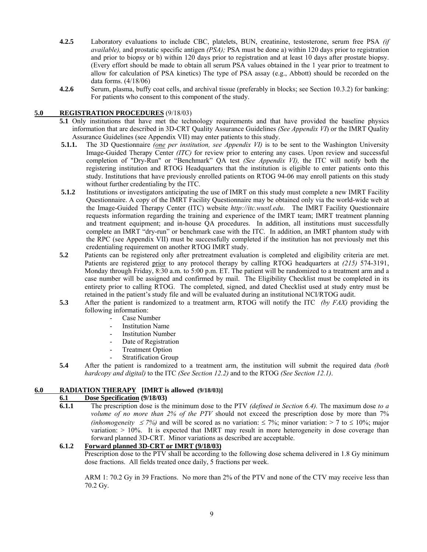- **4.2.5** Laboratory evaluations to include CBC, platelets, BUN, creatinine, testosterone, serum free PSA *(if available),* and prostatic specific antigen *(PSA);* PSA must be done a) within 120 days prior to registration and prior to biopsy or b) within 120 days prior to registration and at least 10 days after prostate biopsy. (Every effort should be made to obtain all serum PSA values obtained in the 1 year prior to treatment to allow for calculation of PSA kinetics) The type of PSA assay (e.g., Abbott) should be recorded on the data forms. (4/18/06)
- **4.2.6** Serum, plasma, buffy coat cells, and archival tissue (preferably in blocks; see Section 10.3.2) for banking: For patients who consent to this component of the study.

# **5.0 REGISTRATION PROCEDURES** (9/18/03)

- **5.1** Only institutions that have met the technology requirements and that have provided the baseline physics information that are described in 3D-CRT Quality Assurance Guidelines *(See Appendix VI*) or the IMRT Quality Assurance Guidelines (see Appendix VII) may enter patients to this study.
- **5.1.1.** The 3D Questionnaire *(one per institution, see Appendix VI)* is to be sent to the Washington University Image-Guided Therapy Center *(ITC)* for review prior to entering any cases. Upon review and successful completion of "Dry-Run" or "Benchmark" QA test *(See Appendix VI),* the ITC will notify both the registering institution and RTOG Headquarters that the institution is eligible to enter patients onto this study. Institutions that have previously enrolled patients on RTOG 94-06 may enroll patients on this study without further credentialing by the ITC.
- **5.1.2** Institutions or investigators anticipating the use of IMRT on this study must complete a new IMRT Facility Questionnaire. A copy of the IMRT Facility Questionnaire may be obtained only via the world-wide web at the Image-Guided Therapy Center (ITC) website *http://itc.wustl.edu*. The IMRT Facility Questionnaire requests information regarding the training and experience of the IMRT team; IMRT treatment planning and treatment equipment; and in-house QA procedures. In addition, all institutions must successfully complete an IMRT "dry-run" or benchmark case with the ITC. In addition, an IMRT phantom study with the RPC (see Appendix VII) must be successfully completed if the institution has not previously met this credentialing requirement on another RTOG IMRT study.
- **5.2** Patients can be registered only after pretreatment evaluation is completed and eligibility criteria are met. Patients are registered prior to any protocol therapy by calling RTOG headquarters at *(215)* 574-3191, Monday through Friday, 8:30 a.m. to 5:00 p.m. ET. The patient will be randomized to a treatment arm and a case number will be assigned and confirmed by mail. The Eligibility Checklist must be completed in its entirety prior to calling RTOG. The completed, signed, and dated Checklist used at study entry must be retained in the patient's study file and will be evaluated during an institutional NCI/RTOG audit.
- **5.3** After the patient is randomized to a treatment arm, RTOG will notify the ITC *(by FAX)* providing the following information:
	- Case Number
	- **Institution Name**
	- **Institution Number**
	- Date of Registration
	- Treatment Option
	- Stratification Group
- **5.4** After the patient is randomized to a treatment arm, the institution will submit the required data *(both hardcopy and digital)* to the ITC *(See Section 12.2)* and to the RTOG *(See Section 12.1)*.

# **6.0 RADIATION THERAPY [IMRT is allowed (9/18/03)]**

# **6.1 Dose Specification (9/18/03)**

**6.1.1** The prescription dose is the minimum dose to the PTV *(defined in Section 6.4).* The maximum dose *to a volume of no more than 2% of the PTV* should not exceed the prescription dose by more than 7% *(inhomogeneity ≤7%)* and will be scored as no variation: ≤7%; minor variation: > 7 to ≤ 10%; major variation: > 10%. It is expected that IMRT may result in more heterogeneity in dose coverage than forward planned 3D-CRT. Minor variations as described are acceptable.

# **6.1.2 Forward planned 3D-CRT or IMRT (9/18/03)**

Prescription dose to the PTV shall be according to the following dose schema delivered in 1.8 Gy minimum dose fractions. All fields treated once daily, 5 fractions per week.

ARM 1: 70.2 Gy in 39 Fractions. No more than 2% of the PTV and none of the CTV may receive less than 70.2 Gy.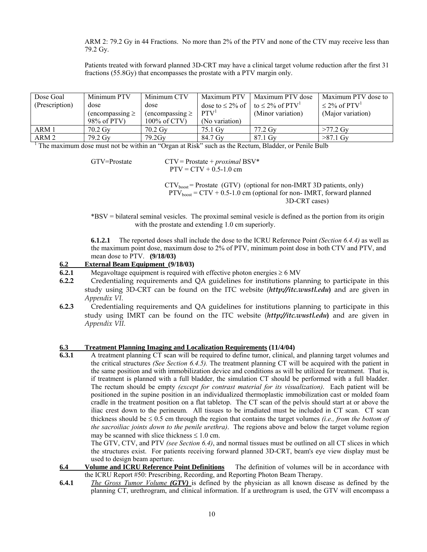ARM 2: 79.2 Gy in 44 Fractions. No more than 2% of the PTV and none of the CTV may receive less than 79.2 Gy.

Patients treated with forward planned 3D-CRT may have a clinical target volume reduction after the first 31 fractions (55.8Gy) that encompasses the prostate with a PTV margin only.

| Dose Goal        | Minimum PTV          | Minimum CTV          | Maximum PTV      | Maximum PTV dose                                               | Maximum PTV dose to           |
|------------------|----------------------|----------------------|------------------|----------------------------------------------------------------|-------------------------------|
| (Prescription)   | dose                 | dose                 |                  | dose to $\leq 2\%$ of $\mid$ to $\leq 2\%$ of PTV <sup>1</sup> | $\leq$ 2% of PTV <sup>1</sup> |
|                  | $(encompassing \geq$ | $(encompassing \geq$ | PTV <sup>1</sup> | (Minor variation)                                              | (Major variation)             |
|                  | 98% of PTV)          | 100% of CTV)         | (No variation)   |                                                                |                               |
| ARM 1            | $70.2$ Gy            | $70.2$ Gv            | 75.1 Gv          | 77.2 Gv                                                        | $>77.2$ Gv                    |
| ARM <sub>2</sub> | 79.2 Gv              | $79.2$ Gv            | 84.7 Gy          | 87.1 Gy                                                        | $>87.1$ Gy                    |

<sup>1</sup> The maximum dose must not be within an "Organ at Risk" such as the Rectum, Bladder, or Penile Bulb

 GTV=Prostate CTV = Prostate + *proximal* BSV\*  $PTV = CTV + 0.5 - 1.0$  cm

> $CTV<sub>boost</sub> = Prostate (GTV) (optional for non-IMRT 3D patients, only)$  $PTV<sub>boost</sub> = CTV + 0.5-1.0 cm (optional for non- IMRT, forward planned)$ 3D-CRT cases)

\*BSV = bilateral seminal vesicles. The proximal seminal vesicle is defined as the portion from its origin with the prostate and extending 1.0 cm superiorly.

**6.1.2.1** The reported doses shall include the dose to the ICRU Reference Point *(Section 6.4.4)* as well as the maximum point dose, maximum dose to 2% of PTV, minimum point dose in both CTV and PTV, and mean dose to PTV. **(9/18/03)** 

#### **6.2 External Beam Equipment (9/18/03)**

- **6.2.1** Megavoltage equipment is required with effective photon energies  $\geq 6$  MV
- **6.2.2** Credentialing requirements and QA guidelines for institutions planning to participate in this study using 3D-CRT can be found on the ITC website (*http://itc.wustl.edu***)** and are given in *Appendix VI.*
- **6.2.3** Credentialing requirements and QA guidelines for institutions planning to participate in this study using IMRT can be found on the ITC website (*http://itc.wustl.edu***)** and are given in *Appendix VII.*

#### **6.3 Treatment Planning Imaging and Localization Requirements (11/4/04)**

**6.3.1** A treatment planning CT scan will be required to define tumor, clinical, and planning target volumes and the critical structures *(See Section 6.4.5).* The treatment planning CT will be acquired with the patient in the same position and with immobilization device and conditions as will be utilized for treatment. That is, if treatment is planned with a full bladder, the simulation CT should be performed with a full bladder. The rectum should be empty *(except for contrast material for its visualization)*. Each patient will be positioned in the supine position in an individualized thermoplastic immobilization cast or molded foam cradle in the treatment position on a flat tabletop. The CT scan of the pelvis should start at or above the iliac crest down to the perineum. All tissues to be irradiated must be included in CT scan. CT scan thickness should be ≤ 0.5 cm through the region that contains the target volumes *(i.e., from the bottom of the sacroiliac joints down to the penile urethra)*. The regions above and below the target volume region may be scanned with slice thickness  $\leq 1.0$  cm.

 The GTV, CTV, and PTV *(see Section 6.4)*, and normal tissues must be outlined on all CT slices in which the structures exist. For patients receiving forward planned 3D-CRT, beam's eye view display must be used to design beam aperture.

- **6.4 Volume and ICRU Reference Point Definitions** The definition of volumes will be in accordance with the ICRU Report #50: Prescribing, Recording, and Reporting Photon Beam Therapy.
- **6.4.1** *The Gross Tumor Volume (GTV)* is defined by the physician as all known disease as defined by the planning CT, urethrogram, and clinical information. If a urethrogram is used, the GTV will encompass a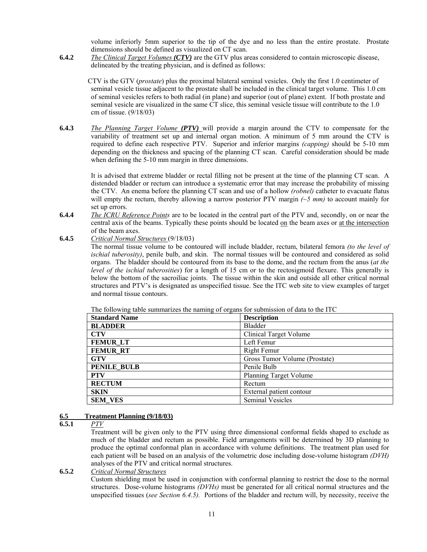volume inferiorly 5mm superior to the tip of the dye and no less than the entire prostate. Prostate dimensions should be defined as visualized on CT scan.

**6.4.2** *The Clinical Target Volumes (CTV)* are the GTV plus areas considered to contain microscopic disease, delineated by the treating physician, and is defined as follows:

 CTV is the GTV (*prostate*) plus the proximal bilateral seminal vesicles. Only the first 1.0 centimeter of seminal vesicle tissue adjacent to the prostate shall be included in the clinical target volume. This 1.0 cm of seminal vesicles refers to both radial (in plane) and superior (out of plane) extent. If both prostate and seminal vesicle are visualized in the same CT slice, this seminal vesicle tissue will contribute to the 1.0 cm of tissue. (9/18/03)

**6.4.3** *The Planning Target Volume (PTV)* will provide a margin around the CTV to compensate for the variability of treatment set up and internal organ motion. A minimum of 5 mm around the CTV is required to define each respective PTV. Superior and inferior margins *(capping)* should be 5-10 mm depending on the thickness and spacing of the planning CT scan. Careful consideration should be made when defining the 5-10 mm margin in three dimensions.

 It is advised that extreme bladder or rectal filling not be present at the time of the planning CT scan. A distended bladder or rectum can introduce a systematic error that may increase the probability of missing the CTV. An enema before the planning CT scan and use of a hollow *(robnel)* catheter to evacuate flatus will empty the rectum, thereby allowing a narrow posterior PTV margin *(~5 mm)* to account mainly for set up errors.

- **6.4.4** *The ICRU Reference Points* are to be located in the central part of the PTV and, secondly, on or near the central axis of the beams. Typically these points should be located on the beam axes or at the intersection of the beam axes.
- **6.4.5** *Critical Normal Structures* (9/18/03)

The normal tissue volume to be contoured will include bladder, rectum, bilateral femora *(to the level of ischial tuberosity)*, penile bulb, and skin. The normal tissues will be contoured and considered as solid organs. The bladder should be contoured from its base to the dome, and the rectum from the anus (*at the level of the ischial tuberosities*) for a length of 15 cm or to the rectosigmoid flexure. This generally is below the bottom of the sacroiliac joints. The tissue within the skin and outside all other critical normal structures and PTV's is designated as unspecified tissue. See the ITC web site to view examples of target and normal tissue contours.

The following table summarizes the naming of organs for submission of data to the ITC

| <b>Standard Name</b> | <b>Description</b>            |
|----------------------|-------------------------------|
| <b>BLADDER</b>       | <b>Bladder</b>                |
| <b>CTV</b>           | <b>Clinical Target Volume</b> |
| <b>FEMUR LT</b>      | Left Femur                    |
| <b>FEMUR RT</b>      | Right Femur                   |
| <b>GTV</b>           | Gross Tumor Volume (Prostate) |
| <b>PENILE BULB</b>   | Penile Bulb                   |
| <b>PTV</b>           | Planning Target Volume        |
| <b>RECTUM</b>        | Rectum                        |
| <b>SKIN</b>          | External patient contour      |
| <b>SEM VES</b>       | <b>Seminal Vesicles</b>       |

#### **6.5 Treatment Planning (9/18/03)**

**6.5.1** *PTV*

 Treatment will be given only to the PTV using three dimensional conformal fields shaped to exclude as much of the bladder and rectum as possible. Field arrangements will be determined by 3D planning to produce the optimal conformal plan in accordance with volume definitions. The treatment plan used for each patient will be based on an analysis of the volumetric dose including dose-volume histogram *(DVH)* analyses of the PTV and critical normal structures.

**6.5.2** *Critical Normal Structures*

 Custom shielding must be used in conjunction with conformal planning to restrict the dose to the normal structures. Dose-volume histograms *(DVHs)* must be generated for all critical normal structures and the unspecified tissues (*see Section 6.4.5).* Portions of the bladder and rectum will, by necessity, receive the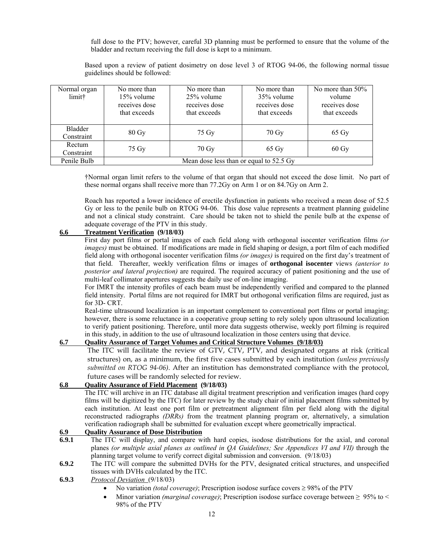full dose to the PTV; however, careful 3D planning must be performed to ensure that the volume of the bladder and rectum receiving the full dose is kept to a minimum.

Based upon a review of patient dosimetry on dose level 3 of RTOG 94-06, the following normal tissue guidelines should be followed:

| Normal organ<br>limit† | No more than<br>No more than<br>$25\%$ volume<br>$15\%$ volume<br>receives dose<br>receives dose<br>that exceeds<br>that exceeds |                | No more than<br>35% volume<br>receives dose<br>that exceeds | No more than $50\%$<br>volume<br>receives dose<br>that exceeds |  |  |
|------------------------|----------------------------------------------------------------------------------------------------------------------------------|----------------|-------------------------------------------------------------|----------------------------------------------------------------|--|--|
| Bladder<br>Constraint  | $80 \text{ Gy}$                                                                                                                  | 75 Gy          | 70 Gy                                                       | $65 \text{ Gy}$                                                |  |  |
| Rectum<br>Constraint   | 75 Gy                                                                                                                            | 70 Gy<br>65 Gy |                                                             | $60 \text{ Gy}$                                                |  |  |
| Penile Bulb            | Mean dose less than or equal to 52.5 Gy                                                                                          |                |                                                             |                                                                |  |  |

†Normal organ limit refers to the volume of that organ that should not exceed the dose limit. No part of these normal organs shall receive more than 77.2Gy on Arm 1 or on 84.7Gy on Arm 2.

Roach has reported a lower incidence of erectile dysfunction in patients who received a mean dose of 52.5 Gy or less to the penile bulb on RTOG 94-06. This dose value represents a treatment planning guideline and not a clinical study constraint. Care should be taken not to shield the penile bulb at the expense of adequate coverage of the PTV in this study.

#### **6.6 Treatment Verification (9/18/03)**

 First day port films or portal images of each field along with orthogonal isocenter verification films *(or images)* must be obtained. If modifications are made in field shaping or design, a port film of each modified field along with orthogonal isocenter verification films *(or images)* is required on the first day's treatment of that field. Thereafter, weekly verification films or images of **orthogonal isocenter** views *(anterior to posterior and lateral projection)* are required. The required accuracy of patient positioning and the use of multi-leaf collimator apertures suggests the daily use of on-line imaging.

 For IMRT the intensity profiles of each beam must be independently verified and compared to the planned field intensity. Portal films are not required for IMRT but orthogonal verification films are required, just as for 3D- CRT.

Real-time ultrasound localization is an important complement to conventional port films or portal imaging; however, there is some reluctance in a cooperative group setting to rely solely upon ultrasound localization to verify patient positioning. Therefore, until more data suggests otherwise, weekly port filming is required in this study, in addition to the use of ultrasound localization in those centers using that device.

# **6.7 Quality Assurance of Target Volumes and Critical Structure Volumes (9/18/03)**

The ITC will facilitate the review of GTV, CTV, PTV, and designated organs at risk (critical structures) on, as a minimum, the first five cases submitted by each institution *(unless previously submitted on RTOG 94-06)*. After an institution has demonstrated compliance with the protocol, future cases will be randomly selected for review.

#### **6.8 Quality Assurance of Field Placement (9/18/03)**

The ITC will archive in an ITC database all digital treatment prescription and verification images (hard copy films will be digitized by the ITC) for later review by the study chair of initial placement films submitted by each institution. At least one port film or pretreatment alignment film per field along with the digital reconstructed radiographs *(DRRs)* from the treatment planning program or, alternatively, a simulation verification radiograph shall be submitted for evaluation except where geometrically impractical.

#### **6.9 Quality Assurance of Dose Distribution**

- **6.9.1** The ITC will display, and compare with hard copies, isodose distributions for the axial, and coronal planes *(or multiple axial planes as outlined in QA Guidelines; See Appendices VI and VII)* through the planning target volume to verify correct digital submission and conversion. (9/18/03)
- **6.9.2** The ITC will compare the submitted DVHs for the PTV, designated critical structures, and unspecified tissues with DVHs calculated by the ITC.

**6.9.3** *Protocol Deviation* (9/18/03)

- No variation *(total coverage)*; Prescription isodose surface covers ≥ 98% of the PTV
- Minor variation *(marginal coverage)*; Prescription isodose surface coverage between ≥ 95% to < 98% of the PTV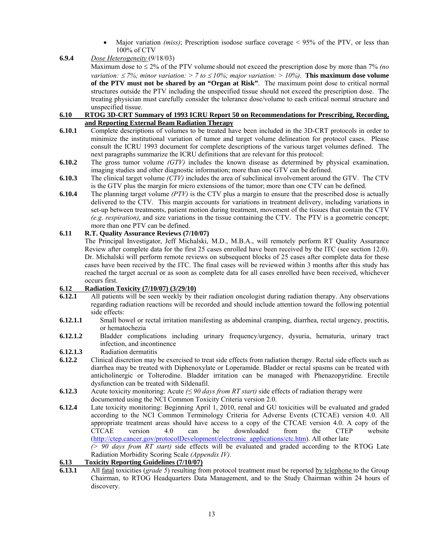- Major variation *(miss)*; Prescription isodose surface coverage  $\leq$  95% of the PTV, or less than 100% of CTV
- **6.9.4** *Dose Heterogeneity* (9/18/03)

 Maximum dose to ≤ 2% of the PTV volume should not exceed the prescription dose by more than 7% *(no variation:*  $\leq$  7%; *minor variation:* > 7 *to*  $\leq$  10%; *major variation:* > 10%). **This maximum dose volume of the PTV must not be shared by an "Organ at Risk"**. The maximum point dose to critical normal structures outside the PTV including the unspecified tissue should not exceed the prescription dose. The treating physician must carefully consider the tolerance dose/volume to each critical normal structure and unspecified tissue.

#### **6.10 RTOG 3D-CRT Summary of 1993 ICRU Report 50 on Recommendations for Prescribing, Recording, and Reporting External Beam Radiation Therapy**

- **6.10.1** Complete descriptions of volumes to be treated have been included in the 3D-CRT protocols in order to minimize the institutional variation of tumor and target volume delineation for protocol cases. Please consult the ICRU 1993 document for complete descriptions of the various target volumes defined. The next paragraphs summarize the ICRU definitions that are relevant for this protocol:
- **6.10.2** The gross tumor volume *(GTV)* includes the known disease as determined by physical examination, imaging studies and other diagnostic information; more than one GTV can be defined.
- **6.10.3** The clinical target volume *(CTV)* includes the area of subclinical involvement around the GTV. The CTV is the GTV plus the margin for micro extensions of the tumor; more than one CTV can be defined.
- **6.10.4** The planning target volume *(PTV)* is the CTV plus a margin to ensure that the prescribed dose is actually delivered to the CTV. This margin accounts for variations in treatment delivery, including variations in set-up between treatments, patient motion during treatment, movement of the tissues that contain the CTV *(e.g. respiration)*, and size variations in the tissue containing the CTV. The PTV is a geometric concept; more than one PTV can be defined.

#### **6.11 R.T. Quality Assurance Reviews (7/10/07)**

The Principal Investigator, Jeff Michalski, M.D., M.B.A., will remotely perform RT Quality Assurance Review after complete data for the first 25 cases enrolled have been received by the ITC (see section 12.0). Dr. Michalski will perform remote reviews on subsequent blocks of 25 cases after complete data for these cases have been received by the ITC. The final cases will be reviewed within 3 months after this study has reached the target accrual or as soon as complete data for all cases enrolled have been received, whichever occurs first.

#### **6.12 Radiation Toxicity (7/10/07) (3/29/10)**

- **6.12.1** All patients will be seen weekly by their radiation oncologist during radiation therapy. Any observations regarding radiation reactions will be recorded and should include attention toward the following potential side effects:
- **6.12.1.1** Small bowel or rectal irritation manifesting as abdominal cramping, diarrhea, rectal urgency, proctitis, or hematochezia
- **6.12.1.2** Bladder complications including urinary frequency/urgency, dysuria, hematuria, urinary tract infection, and incontinence
- **6.12.1.3** Radiation dermatitis
- **6.12.2** Clinical discretion may be exercised to treat side effects from radiation therapy. Rectal side effects such as diarrhea may be treated with Diphenoxylate or Loperamide. Bladder or rectal spasms can be treated with anticholinergic or Tolterodine. Bladder irritation can be managed with Phenazopyridine. Erectile dysfunction can be treated with Sildenafil.
- **6.12.3** Acute toxicity monitoring: Acute *(≤ 90 days from RT start)* side effects of radiation therapy were documented using the NCI Common Toxicity Criteria version 2.0.
- **6.12.4** Late toxicity monitoring: Beginning April 1, 2010, renal and GU toxicities will be evaluated and graded according to the NCI Common Terminology Criteria for Adverse Events (CTCAE) version 4.0. All appropriate treatment areas should have access to a copy of the CTCAE version 4.0. A copy of the CTCAE version 4.0 can be downloaded from the CTEP website (http://ctep.cancer.gov/protocolDevelopment/electronic\_applications/ctc.htm). All other late *(> 90 days from RT start)* side effects will be evaluated and graded according to the RTOG Late Radiation Morbidity Scoring Scale *(Appendix IV).*

#### **6.13 Toxicity Reporting Guidelines (7/10/07)**

**6.13.1** All fatal toxicities (*grade 5*) resulting from protocol treatment must be reported by telephone to the Group Chairman, to RTOG Headquarters Data Management, and to the Study Chairman within 24 hours of discovery.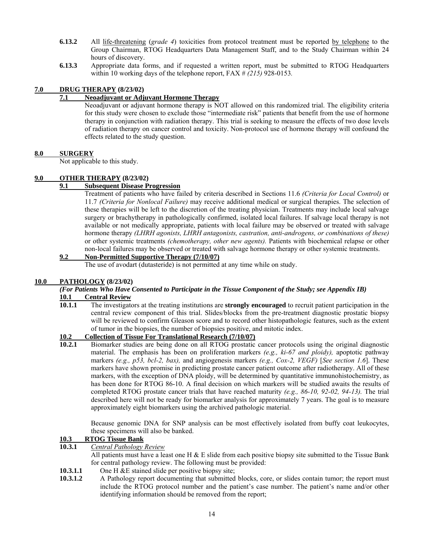- **6.13.2** All life-threatening (*grade 4*) toxicities from protocol treatment must be reported by telephone to the Group Chairman, RTOG Headquarters Data Management Staff, and to the Study Chairman within 24 hours of discovery.
- **6.13.3** Appropriate data forms, and if requested a written report, must be submitted to RTOG Headquarters within 10 working days of the telephone report, FAX # *(215)* 928-0153*.*

## **7.0 DRUG THERAPY (8/23/02)**

## **7.1 Neoadjuvant or Adjuvant Hormone Therapy**

Neoadjuvant or adjuvant hormone therapy is NOT allowed on this randomized trial. The eligibility criteria for this study were chosen to exclude those "intermediate risk" patients that benefit from the use of hormone therapy in conjunction with radiation therapy. This trial is seeking to measure the effects of two dose levels of radiation therapy on cancer control and toxicity. Non-protocol use of hormone therapy will confound the effects related to the study question.

#### **8.0 SURGERY**

Not applicable to this study.

#### **9.0 OTHER THERAPY (8/23/02)**

#### **9.1 Subsequent Disease Progression**

Treatment of patients who have failed by criteria described in Sections 11.6 *(Criteria for Local Control)* or 11.7 *(Criteria for Nonlocal Failure)* may receive additional medical or surgical therapies. The selection of these therapies will be left to the discretion of the treating physician. Treatments may include local salvage surgery or brachytherapy in pathologically confirmed, isolated local failures. If salvage local therapy is not available or not medically appropriate, patients with local failure may be observed or treated with salvage hormone therapy *(LHRH agonists, LHRH antagonists, castration, anti-androgens, or combinations of these)* or other systemic treatments *(chemotherapy, other new agents).* Patients with biochemical relapse or other non-local failures may be observed or treated with salvage hormone therapy or other systemic treatments.

# **9.2 Non-Permitted Supportive Therapy (7/10/07)**

The use of avodart (dutasteride) is not permitted at any time while on study.

#### **10.0 PATHOLOGY (8/23/02)**

# *(For Patients Who Have Consented to Participate in the Tissue Component of the Study; see Appendix IB)* **10.1 Central Review**<br>**10.1.1** The investigate

**10.1.1** The investigators at the treating institutions are **strongly encouraged** to recruit patient participation in the central review component of this trial. Slides/blocks from the pre-treatment diagnostic prostatic biopsy will be reviewed to confirm Gleason score and to record other histopathologic features, such as the extent of tumor in the biopsies, the number of biopsies positive, and mitotic index.

#### **10.2 Collection of Tissue For Translational Research (7/10/07)**

**10.2.1** Biomarker studies are being done on all RTOG prostatic cancer protocols using the original diagnostic material. The emphasis has been on proliferation markers *(e.g., ki-67 and ploidy),* apoptotic pathway markers *(e.g., p53, bcl-2, bax),* and angiogenesis markers *(e.g., Cox-2, VEGF)* [*See section 1.6*]. These markers have shown promise in predicting prostate cancer patient outcome after radiotherapy. All of these markers, with the exception of DNA ploidy, will be determined by quantitative immunohistochemistry, as has been done for RTOG 86-10. A final decision on which markers will be studied awaits the results of completed RTOG prostate cancer trials that have reached maturity *(e.g., 86-10, 92-02, 94-13).* The trial described here will not be ready for biomarker analysis for approximately 7 years. The goal is to measure approximately eight biomarkers using the archived pathologic material.

Because genomic DNA for SNP analysis can be most effectively isolated from buffy coat leukocytes, these specimens will also be banked.

#### **10.3 RTOG Tissue Bank**

**10.3.1** *Central Pathology Review*

All patients must have a least one H  $\&$  E slide from each positive biopsy site submitted to the Tissue Bank for central pathology review. The following must be provided:

- **10.3.1.1** One H &E stained slide per positive biopsy site;
- **10.3.1.2** A Pathology report documenting that submitted blocks, core, or slides contain tumor; the report must include the RTOG protocol number and the patient's case number. The patient's name and/or other identifying information should be removed from the report;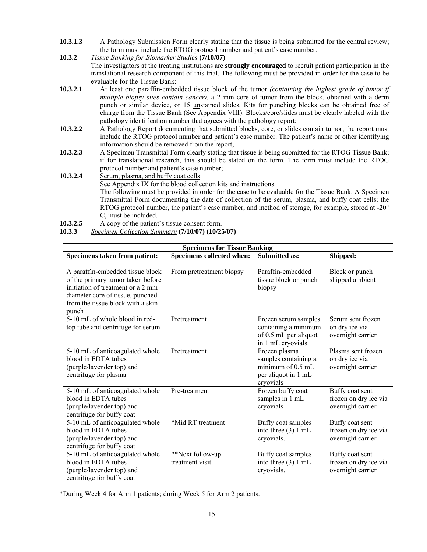- **10.3.1.3** A Pathology Submission Form clearly stating that the tissue is being submitted for the central review; the form must include the RTOG protocol number and patient's case number.
- **10.3.2** *Tissue Banking for Biomarker Studies* **(7/10/07)**

The investigators at the treating institutions are **strongly encouraged** to recruit patient participation in the translational research component of this trial. The following must be provided in order for the case to be evaluable for the Tissue Bank:

- **10.3.2.1** At least one paraffin-embedded tissue block of the tumor *(containing the highest grade of tumor if multiple biopsy sites contain cancer)*, a 2 mm core of tumor from the block, obtained with a derm punch or similar device, or 15 unstained slides. Kits for punching blocks can be obtained free of charge from the Tissue Bank (See Appendix VIII). Blocks/core/slides must be clearly labeled with the pathology identification number that agrees with the pathology report;
- **10.3.2.2** A Pathology Report documenting that submitted blocks, core, or slides contain tumor; the report must include the RTOG protocol number and patient's case number. The patient's name or other identifying information should be removed from the report;
- **10.3.2.3** A Specimen Transmittal Form clearly stating that tissue is being submitted for the RTOG Tissue Bank; if for translational research, this should be stated on the form. The form must include the RTOG protocol number and patient's case number;
- 10.3.2.4 **Serum, plasma, and buffy coat cells**  See Appendix IX for the blood collection kits and instructions. The following must be provided in order for the case to be evaluable for the Tissue Bank: A Specimen Transmittal Form documenting the date of collection of the serum, plasma, and buffy coat cells; the RTOG protocol number, the patient's case number, and method of storage, for example, stored at -20° C, must be included.
- **10.3.2.5** A copy of the patient's tissue consent form.
- **10.3.3** *Specimen Collection Summary* **(7/10/07) (10/25/07)**

| <b>Specimens for Tissue Banking</b>                                                                                                                                                          |                                     |                                                                                                  |                                                               |  |  |  |  |  |
|----------------------------------------------------------------------------------------------------------------------------------------------------------------------------------------------|-------------------------------------|--------------------------------------------------------------------------------------------------|---------------------------------------------------------------|--|--|--|--|--|
| Specimens taken from patient:                                                                                                                                                                | Specimens collected when:           | <b>Submitted as:</b>                                                                             | Shipped:                                                      |  |  |  |  |  |
| A paraffin-embedded tissue block<br>of the primary tumor taken before<br>initiation of treatment or a 2 mm<br>diameter core of tissue, punched<br>from the tissue block with a skin<br>punch | From pretreatment biopsy            | Paraffin-embedded<br>tissue block or punch<br>biopsy                                             | Block or punch<br>shipped ambient                             |  |  |  |  |  |
| 5-10 mL of whole blood in red-<br>top tube and centrifuge for serum                                                                                                                          | Pretreatment                        | Frozen serum samples<br>containing a minimum<br>of 0.5 mL per aliquot<br>in 1 mL cryovials       | Serum sent frozen<br>on dry ice via<br>overnight carrier      |  |  |  |  |  |
| 5-10 mL of anticoagulated whole<br>blood in EDTA tubes<br>(purple/lavender top) and<br>centrifuge for plasma                                                                                 | Pretreatment                        | Frozen plasma<br>samples containing a<br>minimum of $0.5$ mL<br>per aliquot in 1 mL<br>cryovials | Plasma sent frozen<br>on dry ice via<br>overnight carrier     |  |  |  |  |  |
| 5-10 mL of anticoagulated whole<br>blood in EDTA tubes<br>(purple/lavender top) and<br>centrifuge for buffy coat                                                                             | Pre-treatment                       | Frozen buffy coat<br>samples in 1 mL<br>cryovials                                                | Buffy coat sent<br>frozen on dry ice via<br>overnight carrier |  |  |  |  |  |
| 5-10 mL of anticoagulated whole<br>blood in EDTA tubes<br>(purple/lavender top) and<br>centrifuge for buffy coat                                                                             | *Mid RT treatment                   | Buffy coat samples<br>into three (3) 1 mL<br>cryovials.                                          | Buffy coat sent<br>frozen on dry ice via<br>overnight carrier |  |  |  |  |  |
| 5-10 mL of anticoagulated whole<br>blood in EDTA tubes<br>(purple/lavender top) and<br>centrifuge for buffy coat                                                                             | **Next follow-up<br>treatment visit | Buffy coat samples<br>into three $(3) 1$ mL<br>cryovials.                                        | Buffy coat sent<br>frozen on dry ice via<br>overnight carrier |  |  |  |  |  |

\*During Week 4 for Arm 1 patients; during Week 5 for Arm 2 patients.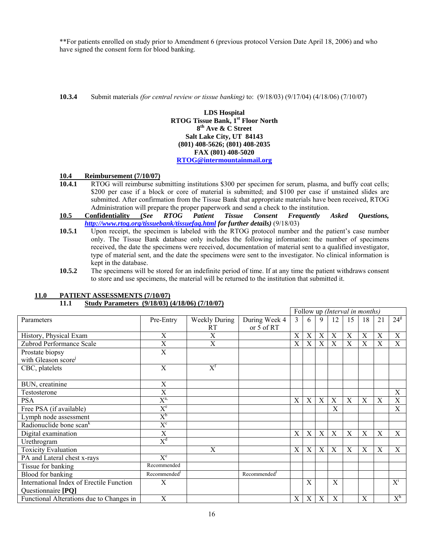\*\*For patients enrolled on study prior to Amendment 6 (previous protocol Version Date April 18, 2006) and who have signed the consent form for blood banking.

**10.3.4** Submit materials *(for central review or tissue banking)* to: (9/18/03) (9/17/04) (4/18/06) (7/10/07)

**LDS Hospital RTOG Tissue Bank, 1st Floor North 8th Ave & C Street Salt Lake City, UT 84143 (801) 408-5626; (801) 408-2035 FAX (801) 408-5020 RTOG@intermountainmail.org**

#### **10.4 Reimbursement (7/10/07)**

- **10.4.1** RTOG will reimburse submitting institutions \$300 per specimen for serum, plasma, and buffy coat cells; \$200 per case if a block or core of material is submitted; and \$100 per case if unstained slides are submitted. After confirmation from the Tissue Bank that appropriate materials have been received, RTOG Administration will prepare the proper paperwork and send a check to the institution.
- **10.5 Confidentiality (***See RTOG Patient Tissue Consent Frequently Asked Questions, http://www.rtog.org/tissuebank/tissuefaq.html for further details)* (9/18/03)
- **10.5.1** Upon receipt, the specimen is labeled with the RTOG protocol number and the patient's case number only. The Tissue Bank database only includes the following information: the number of specimens received, the date the specimens were received, documentation of material sent to a qualified investigator, type of material sent, and the date the specimens were sent to the investigator. No clinical information is kept in the database.
- **10.5.2** The specimens will be stored for an indefinite period of time. If at any time the patient withdraws consent to store and use specimens, the material will be returned to the institution that submitted it.

|                                          |                          |                                      |                          |                           | Follow up (Interval in months) |             |    |    |    |    |              |
|------------------------------------------|--------------------------|--------------------------------------|--------------------------|---------------------------|--------------------------------|-------------|----|----|----|----|--------------|
| Parameters                               | Pre-Entry                | <b>Weekly During</b>                 | During Week 4            | 3                         | 6                              | 9           | 12 | 15 | 18 | 21 | $24^{\rm g}$ |
|                                          |                          | RT                                   | or 5 of RT               |                           |                                |             |    |    |    |    |              |
| History, Physical Exam                   | X                        | X                                    |                          | X                         | X                              | X           | X  | X  | X  | X  | $\mathbf X$  |
| Zubrod Performance Scale                 | X                        | X                                    |                          | X                         | X                              | X           | X  | X  | X  | X  | X            |
| Prostate biopsy                          | $\overline{\mathrm{X}}$  |                                      |                          |                           |                                |             |    |    |    |    |              |
| with Gleason score                       |                          |                                      |                          |                           |                                |             |    |    |    |    |              |
| CBC, platelets                           | $\mathbf X$              | $\overline{\mathrm{X}}^{\mathrm{f}}$ |                          |                           |                                |             |    |    |    |    |              |
|                                          |                          |                                      |                          |                           |                                |             |    |    |    |    |              |
| BUN, creatinine                          | X                        |                                      |                          |                           |                                |             |    |    |    |    |              |
| Testosterone                             | X                        |                                      |                          |                           |                                |             |    |    |    |    | $\mathbf X$  |
| <b>PSA</b>                               | $X^{a,}$                 |                                      |                          | $\mathbf X$               | X                              | X           | X  | X  | X  | X  | $\mathbf X$  |
| Free PSA (if available)                  | $\overline{X}^e$         |                                      |                          |                           |                                |             | X  |    |    |    | X            |
| Lymph node assessment                    | $\mathrm{X}^\mathrm{b}$  |                                      |                          |                           |                                |             |    |    |    |    |              |
| Radionuclide bone scan <sup>k</sup>      | $X^c$                    |                                      |                          |                           |                                |             |    |    |    |    |              |
| Digital examination                      | X                        |                                      |                          | X                         | X                              | X           | X  | X  | X  | X  | X            |
| Urethrogram                              | $X^d$                    |                                      |                          |                           |                                |             |    |    |    |    |              |
| <b>Toxicity Evaluation</b>               |                          | $\mathbf X$                          |                          | $\boldsymbol{\mathrm{X}}$ | X                              | $\mathbf X$ | X  | X  | X  | X  | X            |
| PA and Lateral chest x-rays              | $X^e$                    |                                      |                          |                           |                                |             |    |    |    |    |              |
| Tissue for banking                       | Recommended              |                                      |                          |                           |                                |             |    |    |    |    |              |
| Blood for banking                        | Recommended <sup>1</sup> |                                      | Recommended <sup>1</sup> |                           |                                |             |    |    |    |    |              |
| International Index of Erectile Function | X                        |                                      |                          |                           | X                              |             | X  |    |    |    | $X^1$        |
| Questionnaire [PQ]                       |                          |                                      |                          |                           |                                |             |    |    |    |    |              |
| Functional Alterations due to Changes in | X                        |                                      |                          | X                         | X                              | X           | X  |    | X  |    | $X^h$        |

# **11.0 PATIENT ASSESSMENTS (7/10/07)**

# **11.1 Study Parameters (9/18/03) (4/18/06) (7/10/07)**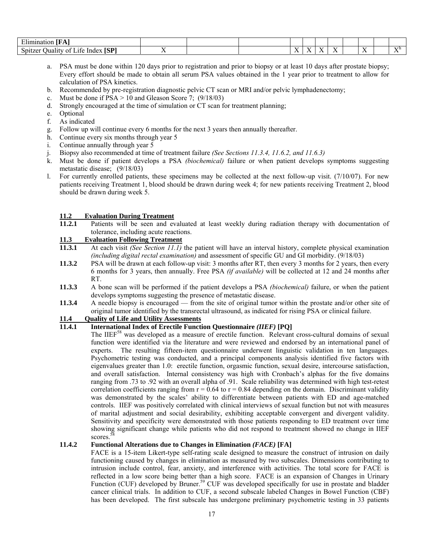| $-1$<br><b>CONTRACT</b><br>uminatior                                                   |  |                                  |  |     |             |       |
|----------------------------------------------------------------------------------------|--|----------------------------------|--|-----|-------------|-------|
| rann<br>$\sim$<br>$\sim$<br>$\sim$<br>18F<br>Spitzer<br>-Index<br>Juality<br>ി<br>ite. |  | $ -$<br>$\overline{\phantom{a}}$ |  | . . | $ -$<br>. . | - SZL |

- a. PSA must be done within 120 days prior to registration and prior to biopsy or at least 10 days after prostate biopsy; Every effort should be made to obtain all serum PSA values obtained in the 1 year prior to treatment to allow for calculation of PSA kinetics.
- b. Recommended by pre-registration diagnostic pelvic CT scan or MRI and/or pelvic lymphadenectomy;
- c. Must be done if  $PSA > 10$  and Gleason Score 7; (9/18/03)
- d. Strongly encouraged at the time of simulation or CT scan for treatment planning;
- e. Optional
- f. As indicated
- g. Follow up will continue every 6 months for the next 3 years then annually thereafter.
- h. Continue every six months through year 5
- i. Continue annually through year 5
- j. Biopsy also recommended at time of treatment failure *(See Sections 11.3.4, 11.6.2, and 11.6.3)*
- k. Must be done if patient develops a PSA *(biochemical)* failure or when patient develops symptoms suggesting metastatic disease; (9/18/03)
- l. For currently enrolled patients, these specimens may be collected at the next follow-up visit. (7/10/07). For new patients receiving Treatment 1, blood should be drawn during week 4; for new patients receiving Treatment 2, blood should be drawn during week 5.

#### **11.2 Evaluation During Treatment**

**11.2.1** Patients will be seen and evaluated at least weekly during radiation therapy with documentation of tolerance, including acute reactions.

#### **11.3 Evaluation Following Treatment**

- **11.3.1** At each visit *(See Section 11.1)* the patient will have an interval history, complete physical examination *(including digital rectal examination)* and assessment of specific GU and GI morbidity. (9/18/03)
- **11.3.2** PSA will be drawn at each follow-up visit: 3 months after RT, then every 3 months for 2 years, then every 6 months for 3 years, then annually. Free PSA *(if available)* will be collected at 12 and 24 months after RT.
- **11.3.3** A bone scan will be performed if the patient develops a PSA *(biochemical)* failure, or when the patient develops symptoms suggesting the presence of metastatic disease.
- **11.3.4** A needle biopsy is encouraged from the site of original tumor within the prostate and/or other site of original tumor identified by the transrectal ultrasound, as indicated for rising PSA or clinical failure.

# **11.4 Quality of Life and Utility Assessments**

# **11.4.1 International Index of Erectile Function Questionnaire** *(IIEF)* **[PQ]**

The IIEF<sup>58</sup> was developed as a measure of erectile function. Relevant cross-cultural domains of sexual function were identified via the literature and were reviewed and endorsed by an international panel of experts. The resulting fifteen-item questionnaire underwent linguistic validation in ten languages. Psychometric testing was conducted, and a principal components analysis identified five factors with eigenvalues greater than 1.0: erectile function, orgasmic function, sexual desire, intercourse satisfaction, and overall satisfaction. Internal consistency was high with Cronbach's alphas for the five domains ranging from .73 to .92 with an overall alpha of .91. Scale reliability was determined with high test-retest correlation coefficients ranging from  $r = 0.64$  to  $r = 0.84$  depending on the domain. Discriminant validity was demonstrated by the scales' ability to differentiate between patients with ED and age-matched controls. IIEF was positively correlated with clinical interviews of sexual function but not with measures of marital adjustment and social desirability, exhibiting acceptable convergent and divergent validity. Sensitivity and specificity were demonstrated with those patients responding to ED treatment over time showing significant change while patients who did not respond to treatment showed no change in IIEF scores.<sup>5</sup>

#### **11.4.2 Functional Alterations due to Changes in Elimination** *(FACE)* **[FA]**

FACE is a 15-item Likert-type self-rating scale designed to measure the construct of intrusion on daily functioning caused by changes in elimination as measured by two subscales. Dimensions contributing to intrusion include control, fear, anxiety, and interference with activities. The total score for FACE is reflected in a low score being better than a high score. FACE is an expansion of Changes in Urinary Function (CUF) developed by Bruner.<sup>59</sup> CUF was developed specifically for use in prostate and bladder cancer clinical trials. In addition to CUF, a second subscale labeled Changes in Bowel Function (CBF) has been developed. The first subscale has undergone preliminary psychometric testing in 33 patients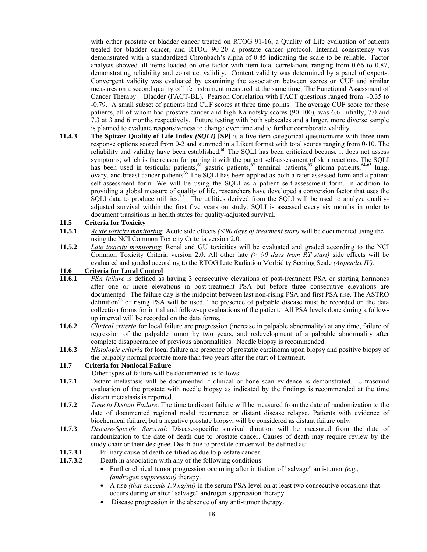with either prostate or bladder cancer treated on RTOG 91-16, a Quality of Life evaluation of patients treated for bladder cancer, and RTOG 90-20 a prostate cancer protocol. Internal consistency was demonstrated with a standardized Chronbach's alpha of 0.85 indicating the scale to be reliable. Factor analysis showed all items loaded on one factor with item-total correlations ranging from 0.66 to 0.87, demonstrating reliability and construct validity. Content validity was determined by a panel of experts. Convergent validity was evaluated by examining the association between scores on CUF and similar measures on a second quality of life instrument measured at the same time, The Functional Assessment of Cancer Therapy – Bladder (FACT-BL). Pearson Correlation with FACT questions ranged from -0.35 to -0.79. A small subset of patients had CUF scores at three time points. The average CUF score for these patients, all of whom had prostate cancer and high Karnofsky scores (90-100), was 6.6 initially, 7.0 and 7.3 at 3 and 6 months respectively. Future testing with both subscales and a larger, more diverse sample is planned to evaluate responsiveness to change over time and to further corroborate validity.

**11.4.3 The Spitzer Quality of Life Index** *(SQLI)* **[SP]** is a five item categorical questionnaire with three item response options scored from 0-2 and summed in a Likert format with total scores ranging from 0-10. The reliability and validity have been established.<sup>60</sup> The SQLI has been criticized because it does not assess symptoms, which is the reason for pairing it with the patient self-assessment of skin reactions. The SQLI has been used in testicular patients,<sup>61</sup> gastric patients,<sup>62</sup> terminal patients,<sup>63</sup> glioma patients,<sup>64-65</sup> lung, ovary, and breast cancer patients<sup>66</sup> The SQLI has been applied as both a rater-assessed form and a patient self-assessment form. We will be using the SQLI as a patient self-assessment form. In addition to providing a global measure of quality of life, researchers have developed a conversion factor that uses the SQLI data to produce utilities.<sup>67</sup> The utilities derived from the SQLI will be used to analyze qualityadjusted survival within the first five years on study. SQLI is assessed every six months in order to document transitions in health states for quality-adjusted survival.

#### **11.5 Criteria for Toxicity**

- **11.5.1** *Acute toxicity monitoring*: Acute side effects *(*≤ *90 days of treatment start)* will be documented using the using the NCI Common Toxicity Criteria version 2.0.
- **11.5.2** *Late toxicity monitoring*: Renal and GU toxicities will be evaluated and graded according to the NCI Common Toxicity Criteria version 2.0. All other late *(> 90 days from RT start)* side effects will be evaluated and graded according to the RTOG Late Radiation Morbidity Scoring Scale *(Appendix IV).*

#### **11.6 Criteria for Local Control**

- **11.6.1** *PSA failure* is defined as having 3 consecutive elevations of post-treatment PSA or starting hormones after one or more elevations in post-treatment PSA but before three consecutive elevations are documented. The failure day is the midpoint between last non-rising PSA and first PSA rise. The ASTRO definition<sup>68</sup> of rising PSA will be used. The presence of palpable disease must be recorded on the data collection forms for initial and follow-up evaluations of the patient. All PSA levels done during a followup interval will be recorded on the data forms.
- **11.6.2** *Clinical criteria* for local failure are progression (increase in palpable abnormality) at any time, failure of regression of the palpable tumor by two years, and redevelopment of a palpable abnormality after complete disappearance of previous abnormalities. Needle biopsy is recommended.
- **11.6.3** *Histologic criteria* for local failure are presence of prostatic carcinoma upon biopsy and positive biopsy of the palpably normal prostate more than two years after the start of treatment.

#### **11.7 Criteria for Nonlocal Failure**

Other types of failure will be documented as follows:

- **11.7.1** Distant metastasis will be documented if clinical or bone scan evidence is demonstrated. Ultrasound evaluation of the prostate with needle biopsy as indicated by the findings is recommended at the time distant metastasis is reported.
- **11.7.2** *Time to Distant Failure*: The time to distant failure will be measured from the date of randomization to the date of documented regional nodal recurrence or distant disease relapse. Patients with evidence of biochemical failure, but a negative prostate biopsy, will be considered as distant failure only.
- **11.7.3** *Disease-Specific Survival*: Disease-specific survival duration will be measured from the date of randomization to the date of death due to prostate cancer. Causes of death may require review by the study chair or their designee. Death due to prostate cancer will be defined as:
- **11.7.3.1** Primary cause of death certified as due to prostate cancer.
- **11.7.3.2** Death in association with any of the following conditions:
	- Further clinical tumor progression occurring after initiation of "salvage" anti-tumor *(e.g., (androgen suppression)* therapy.
	- A rise *(that exceeds 1.0 ng/ml)* in the serum PSA level on at least two consecutive occasions that occurs during or after "salvage" androgen suppression therapy.
	- Disease progression in the absence of any anti-tumor therapy.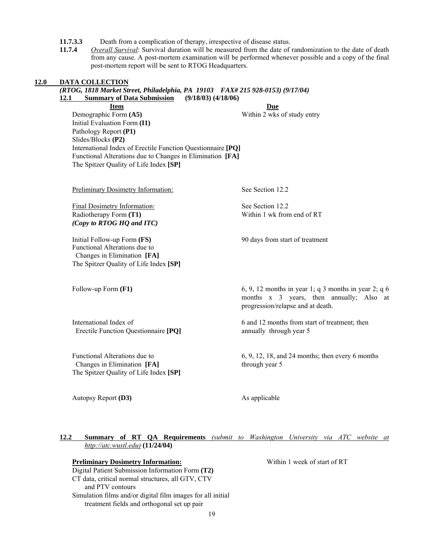**11.7.3.3** Death from a complication of therapy, irrespective of disease status.

**11.7.4** *Overall Survival*: Survival duration will be measured from the date of randomization to the date of death from any cause. A post-mortem examination will be performed whenever possible and a copy of the final post-mortem report will be sent to RTOG Headquarters.

# **12.0 DATA COLLECTION**  *(RTOG, 1818 Market Street, Philadelphia, PA 19103 FAX# 215 928-0153) (9/17/04)* **12.1 Summary of Data Submission (9/18/03) (4/18/06) Item Due**  Demographic Form (A5) **Within 2 wks of study entry** Initial Evaluation Form **(I1)** Pathology Report **(P1)**  Slides/Blocks **(P2)**  International Index of Erectile Function Questionnaire **[PQ]**  Functional Alterations due to Changes in Elimination **[FA]** The Spitzer Quality of Life Index **[SP]** Preliminary Dosimetry Information: See Section 12.2 Final Dosimetry Information: See Section 12.2 Radiotherapy Form (T1) Within 1 wk from end of RT *(Copy to RTOG HQ and ITC)*  Initial Follow-up Form **(FS)** 90 days from start of treatment Functional Alterations due to Changes in Elimination **[FA]** The Spitzer Quality of Life Index **[SP]** Follow-up Form **(F1)** 6, 9, 12 months in year 1; q 3 months in year 2; q 6 months x 3 years, then annually; Also at progression/relapse and at death. International Index of 6 and 12 months from start of treatment; then Erectile Function Questionnaire **[PQ]** annually through year 5 Functional Alterations due to 6, 9, 12, 18, and 24 months; then every 6 months Changes in Elimination **[FA]** through year 5 The Spitzer Quality of Life Index **[SP]**  Autopsy Report **(D3)** As applicable **12.2 Summary of RT QA Requirements** *(submit to Washington University via ATC website at http://atc.wustl.edu)* **(11/24/04) Preliminary Dosimetry Information:** Within 1 week of start of RT Digital Patient Submission Information Form **(T2)** CT data, critical normal structures, all GTV, CTV and PTV contours

19

Simulation films and/or digital film images for all initial treatment fields and orthogonal set up pair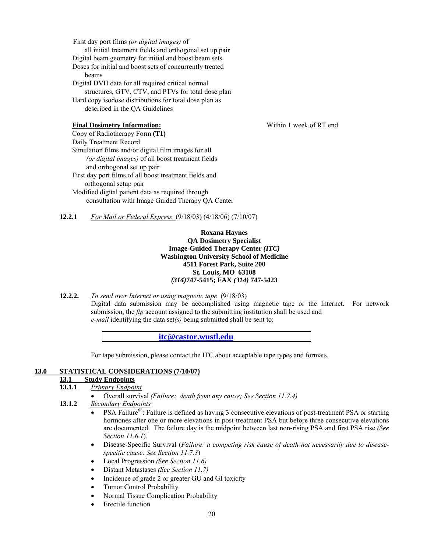First day port films *(or digital images)* of all initial treatment fields and orthogonal set up pair Digital beam geometry for initial and boost beam sets Doses for initial and boost sets of concurrently treated beams Digital DVH data for all required critical normal structures, GTV, CTV, and PTVs for total dose plan Hard copy isodose distributions for total dose plan as described in the QA Guidelines

#### **Final Dosimetry Information:** Within 1 week of RT end

Copy of Radiotherapy Form **(T1)**  Daily Treatment Record Simulation films and/or digital film images for all  *(or digital images)* of all boost treatment fields and orthogonal set up pair First day port films of all boost treatment fields and orthogonal setup pair Modified digital patient data as required through consultation with Image Guided Therapy QA Center

**12.2.1** *For Mail or Federal Express* (9/18/03) (4/18/06) (7/10/07)

#### **Roxana Haynes QA Dosimetry Specialist Image-Guided Therapy Center** *(ITC)*  **Washington University School of Medicine 4511 Forest Park, Suite 200 St. Louis, MO 63108**  *(314)***747-5415; FAX** *(314)* **747-5423**

**12.2.2.** *To send over Internet or using magnetic tape* (9/18/03)

 Digital data submission may be accomplished using magnetic tape or the Internet. For network submission, the *ftp* account assigned to the submitting institution shall be used and *e-mail* identifying the data set*(s)* being submitted shall be sent to:

**itc@castor.wustl.edu**

For tape submission, please contact the ITC about acceptable tape types and formats.

#### **13.0 STATISTICAL CONSIDERATIONS (7/10/07)**

# **13.1 Study Endpoints**

- **13.1.1** *Primary Endpoint*
	- Overall survival *(Failure: death from any cause; See Section 11.7.4)*

**13.1.2** *Secondary Endpoints*

- PSA Failure<sup>68</sup>: Failure is defined as having 3 consecutive elevations of post-treatment PSA or starting hormones after one or more elevations in post-treatment PSA but before three consecutive elevations are documented. The failure day is the midpoint between last non-rising PSA and first PSA rise *(See Section 11.6.1*).
- Disease-Specific Survival (*Failure: a competing risk cause of death not necessarily due to diseasespecific cause; See Section 11.7.3*)
- Local Progression *(See Section 11.6)*
- Distant Metastases *(See Section 11.7)*
- Incidence of grade 2 or greater GU and GI toxicity
- Tumor Control Probability
- Normal Tissue Complication Probability
- **Erectile function**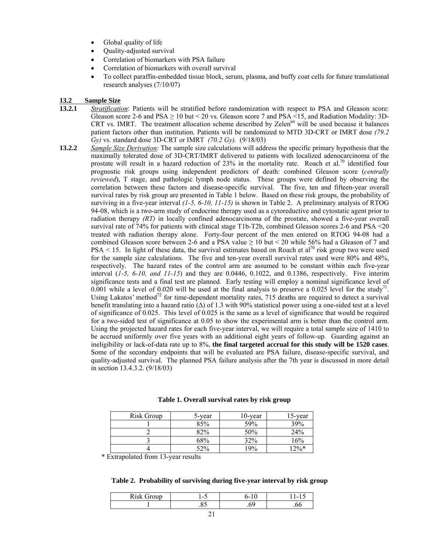- Global quality of life
- Quality-adjusted survival
- Correlation of biomarkers with PSA failure
- Correlation of biomarkers with overall survival
- To collect paraffin-embedded tissue block, serum, plasma, and buffy coat cells for future translational research analyses (7/10/07)

#### **13.2 Sample Size**

- **13.2.1** *Stratification*: Patients will be stratified before randomization with respect to PSA and Gleason score: Gleason score 2-6 and  $PSA \ge 10$  but < 20 vs. Gleason score 7 and  $PSA \le 15$ , and Radiation Modality: 3D-CRT vs. IMRT. The treatment allocation scheme described by Zelen<sup>69</sup> will be used because it balances patient factors other than institution. Patients will be randomized to MTD 3D-CRT or IMRT dose *(79.2 Gy)* vs. standard dose 3D-CRT or IMRT *(70.2 Gy).* (9/18/03)
- **13.2.2** *Sample Size Derivation*: The sample size calculations will address the specific primary hypothesis that the maximally tolerated dose of 3D-CRT/IMRT delivered to patients with localized adenocarcinoma of the prostate will result in a hazard reduction of 23% in the mortality rate. Roach et al.<sup>70</sup> identified four prognostic risk groups using independent predictors of death: combined Gleason score (*centrally reviewed*), T stage, and pathologic lymph node status. These groups were defined by observing the correlation between these factors and disease-specific survival. The five, ten and fifteen-year overall survival rates by risk group are presented in Table 1 below. Based on these risk groups, the probability of surviving in a five-year interval *(1-5, 6-10, 11-15)* is shown in Table 2. A preliminary analysis of RTOG 94-08, which is a two-arm study of endocrine therapy used as a cytoreductive and cytostatic agent prior to radiation therapy *(RT)* in locally confined adenocarcinoma of the prostate, showed a five-year overall survival rate of 74% for patients with clinical stage T1b-T2b, combined Gleason scores 2-6 and PSA <20 treated with radiation therapy alone. Forty-four percent of the men entered on RTOG 94-08 had a combined Gleason score between 2-6 and a PSA value  $\geq 10$  but < 20 while 56% had a Gleason of 7 and  $PSA < 15$ . In light of these data, the survival estimates based on Roach et al<sup>70</sup> risk group two were used for the sample size calculations. The five and ten-year overall survival rates used were 80% and 48%, respectively. The hazard rates of the control arm are assumed to be constant within each five-year interval (*1-5, 6-10, and 11-15*) and they are 0.0446, 0.1022, and 0.1386, respectively. Five interim significance tests and a final test are planned. Early testing will employ a nominal significance level of 0.001 while a level of 0.020 will be used at the final analysis to preserve a 0.025 level for the study<sup> $/1$ </sup>. Using Lakatos' method<sup>72</sup> for time-dependent mortality rates, 715 deaths are required to detect a survival benefit translating into a hazard ratio (∆) of 1.3 with 90% statistical power using a one-sided test at a level of significance of 0.025. This level of 0.025 is the same as a level of significance that would be required for a two-sided test of significance at 0.05 to show the experimental arm is better than the control arm. Using the projected hazard rates for each five-year interval, we will require a total sample size of 1410 to be accrued uniformly over five years with an additional eight years of follow-up. Guarding against an ineligibility or lack-of-data rate up to 8%, **the final targeted accrual for this study will be 1520 cases**. Some of the secondary endpoints that will be evaluated are PSA failure, disease-specific survival, and quality-adjusted survival. The planned PSA failure analysis after the 7th year is discussed in more detail in section 13.4.3.2. (9/18/03)

| Risk Group | 5-year | $10$ -year | 15-year |
|------------|--------|------------|---------|
|            | 85%    | 59%        | 39%     |
|            | 82%    | 50%        | 24%     |
|            | 68%    | 32%        | 16%     |
|            | 52%    | 19%        | $12\%*$ |

#### **Table 1. Overall survival rates by risk group**

\* Extrapolated from 13-year results

#### **Table 2. Probability of surviving during five-year interval by risk group**

| $\mathbf{Pic}$<br>-<br>Group<br><b>TATOV</b> | $\overline{\phantom{a}}$<br>ຼ | ה ה | $\epsilon = 1$ .<br>. . |
|----------------------------------------------|-------------------------------|-----|-------------------------|
|                                              | . ت                           | nu  | .vu                     |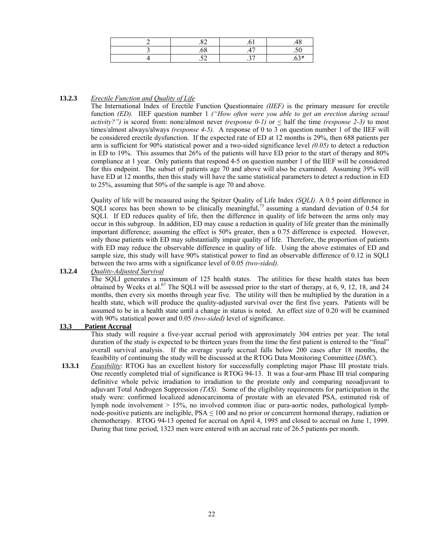| ے ب | $\sim$<br>$\cdot$ $\sim$ | <b>Single</b><br>◡ |
|-----|--------------------------|--------------------|

#### **13.2.3** *Erectile Function and Quality of Life*

The International Index of Erectile Function Questionnaire *(IIEF)* is the primary measure for erectile function *(ED).* IIEF question number 1 *("How often were you able to get an erection during sexual activity?")* is scored from: none/almost never *(response 0-1)* or  $\leq$  half the time *(response 2-3)* to most times/almost always/always *(response 4-5).* A response of 0 to 3 on question number 1 of the IIEF will be considered erectile dysfunction. If the expected rate of ED at 12 months is 29%, then 688 patients per arm is sufficient for 90% statistical power and a two-sided significance level *(0.05)* to detect a reduction in ED to 19%. This assumes that 26% of the patients will have ED prior to the start of therapy and 80% compliance at 1 year. Only patients that respond 4-5 on question number 1 of the IIEF will be considered for this endpoint. The subset of patients age 70 and above will also be examined. Assuming 39% will have ED at 12 months, then this study will have the same statistical parameters to detect a reduction in ED to 25%, assuming that 50% of the sample is age 70 and above.

Quality of life will be measured using the Spitzer Quality of Life Index *(SQLI)*. A 0.5 point difference in SQLI scores has been shown to be clinically meaningful,<sup>73</sup> assuming a standard deviation of 0.54 for SQLI. If ED reduces quality of life, then the difference in quality of life between the arms only may occur in this subgroup. In addition, ED may cause a reduction in quality of life greater than the minimally important difference; assuming the effect is 50% greater, then a 0.75 difference is expected. However, only those patients with ED may substantially impair quality of life. Therefore, the proportion of patients with ED may reduce the observable difference in quality of life. Using the above estimates of ED and sample size, this study will have 90% statistical power to find an observable difference of 0.12 in SQLI between the two arms with a significance level of 0.05 *(two-sided).*

# **13.2.4** *Quality-Adjusted Survival*

The SQLI generates a maximum of 125 health states. The utilities for these health states has been obtained by Weeks et al.<sup>67</sup> The SQLI will be assessed prior to the start of therapy, at 6, 9, 12, 18, and 24 months, then every six months through year five. The utility will then be multiplied by the duration in a health state, which will produce the quality-adjusted survival over the first five years. Patients will be assumed to be in a health state until a change in status is noted. An effect size of 0.20 will be examined with 90% statistical power and 0.05 *(two-sided)* level of significance.

#### **13.3 Patient Accrual**

This study will require a five-year accrual period with approximately 304 entries per year. The total duration of the study is expected to be thirteen years from the time the first patient is entered to the "final" overall survival analysis. If the average yearly accrual falls below 200 cases after 18 months, the feasibility of continuing the study will be discussed at the RTOG Data Monitoring Committee (*DMC*).

**13.3.1** *Feasibility*: RTOG has an excellent history for successfully completing major Phase III prostate trials. One recently completed trial of significance is RTOG 94-13. It was a four-arm Phase III trial comparing definitive whole pelvic irradiation to irradiation to the prostate only and comparing neoadjuvant to adjuvant Total Androgen Suppression *(TAS).* Some of the eligibility requirements for participation in the study were: confirmed localized adenocarcinoma of prostate with an elevated PSA, estimated risk of lymph node involvement > 15%, no involved common iliac or para-aortic nodes, pathological lymphnode-positive patients are ineligible,  $PSA \le 100$  and no prior or concurrent hormonal therapy, radiation or chemotherapy. RTOG 94-13 opened for accrual on April 4, 1995 and closed to accrual on June 1, 1999. During that time period, 1323 men were entered with an accrual rate of 26.5 patients per month.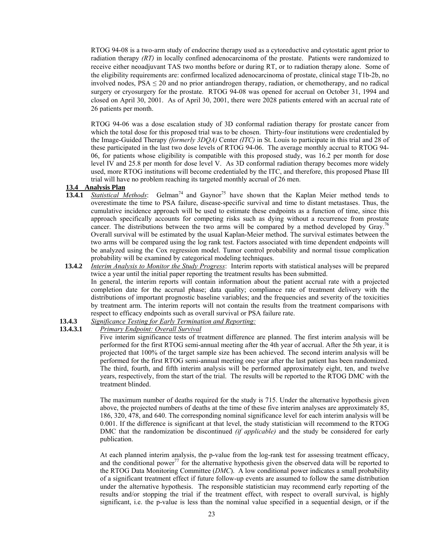RTOG 94-08 is a two-arm study of endocrine therapy used as a cytoreductive and cytostatic agent prior to radiation therapy *(RT)* in locally confined adenocarcinoma of the prostate. Patients were randomized to receive either neoadjuvant TAS two months before or during RT, or to radiation therapy alone. Some of the eligibility requirements are: confirmed localized adenocarcinoma of prostate, clinical stage T1b-2b, no involved nodes,  $PSA \leq 20$  and no prior antiandrogen therapy, radiation, or chemotherapy, and no radical surgery or cryosurgery for the prostate. RTOG 94-08 was opened for accrual on October 31, 1994 and closed on April 30, 2001. As of April 30, 2001, there were 2028 patients entered with an accrual rate of 26 patients per month.

RTOG 94-06 was a dose escalation study of 3D conformal radiation therapy for prostate cancer from which the total dose for this proposed trial was to be chosen. Thirty-four institutions were credentialed by the Image-Guided Therapy *(formerly 3DQA)* Center *(ITC)* in St. Louis to participate in this trial and 28 of these participated in the last two dose levels of RTOG 94-06. The average monthly accrual to RTOG 94- 06, for patients whose eligibility is compatible with this proposed study, was 16.2 per month for dose level IV and 25.8 per month for dose level V. As 3D conformal radiation therapy becomes more widely used, more RTOG institutions will become credentialed by the ITC, and therefore, this proposed Phase III trial will have no problem reaching its targeted monthly accrual of 26 men.

#### **13.4 Analysis Plan**

- 13.4.1 *Statistical Methods*: Gelman<sup>74</sup> and Gaynor<sup>75</sup> have shown that the Kaplan Meier method tends to overestimate the time to PSA failure, disease-specific survival and time to distant metastases. Thus, the cumulative incidence approach will be used to estimate these endpoints as a function of time, since this approach specifically accounts for competing risks such as dying without a recurrence from prostate cancer. The distributions between the two arms will be compared by a method developed by Gray.<sup>76</sup> Overall survival will be estimated by the usual Kaplan-Meier method. The survival estimates between the two arms will be compared using the log rank test. Factors associated with time dependent endpoints will be analyzed using the Cox regression model. Tumor control probability and normal tissue complication probability will be examined by categorical modeling techniques.
- **13.4.2** *Interim Analysis to Monitor the Study Progress*: Interim reports with statistical analyses will be prepared twice a year until the initial paper reporting the treatment results has been submitted. In general, the interim reports will contain information about the patient accrual rate with a projected completion date for the accrual phase; data quality; compliance rate of treatment delivery with the distributions of important prognostic baseline variables; and the frequencies and severity of the toxicities by treatment arm. The interim reports will not contain the results from the treatment comparisons with respect to efficacy endpoints such as overall survival or PSA failure rate.
- **13.4.3** *Significance Testing for Early Termination and Reporting:*
- **13.4.3.1** *Primary Endpoint: Overall Survival*

Five interim significance tests of treatment difference are planned. The first interim analysis will be performed for the first RTOG semi-annual meeting after the 4th year of accrual. After the 5th year, it is projected that 100% of the target sample size has been achieved. The second interim analysis will be performed for the first RTOG semi-annual meeting one year after the last patient has been randomized. The third, fourth, and fifth interim analysis will be performed approximately eight, ten, and twelve years, respectively, from the start of the trial. The results will be reported to the RTOG DMC with the treatment blinded.

The maximum number of deaths required for the study is 715. Under the alternative hypothesis given above, the projected numbers of deaths at the time of these five interim analyses are approximately 85, 186, 320, 478, and 640. The corresponding nominal significance level for each interim analysis will be 0.001. If the difference is significant at that level, the study statistician will recommend to the RTOG DMC that the randomization be discontinued *(if applicable)* and the study be considered for early publication.

At each planned interim analysis, the p-value from the log-rank test for assessing treatment efficacy, and the conditional power<sup>77</sup> for the alternative hypothesis given the observed data will be reported to the RTOG Data Monitoring Committee (*DMC*). A low conditional power indicates a small probability of a significant treatment effect if future follow-up events are assumed to follow the same distribution under the alternative hypothesis. The responsible statistician may recommend early reporting of the results and/or stopping the trial if the treatment effect, with respect to overall survival, is highly significant, i.e. the p-value is less than the nominal value specified in a sequential design, or if the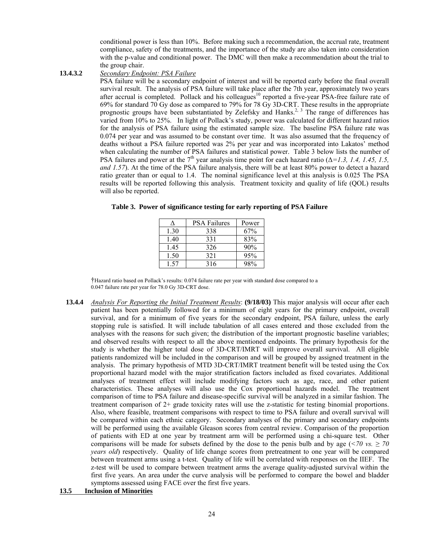conditional power is less than 10%. Before making such a recommendation, the accrual rate, treatment compliance, safety of the treatments, and the importance of the study are also taken into consideration with the p-value and conditional power. The DMC will then make a recommendation about the trial to the group chair.

#### **13.4.3.2** *Secondary Endpoint: PSA Failure*

PSA failure will be a secondary endpoint of interest and will be reported early before the final overall survival result. The analysis of PSA failure will take place after the 7th year, approximately two years after accrual is completed. Pollack and his colleagues<sup>10</sup> reported a five-year PSA-free failure rate of 69% for standard 70 Gy dose as compared to 79% for 78 Gy 3D-CRT. These results in the appropriate prognostic groups have been substantiated by Zelefsky and Hanks.<sup>2, 3</sup> The range of differences has varied from 10% to 25%. In light of Pollack's study, power was calculated for different hazard ratios for the analysis of PSA failure using the estimated sample size. The baseline PSA failure rate was 0.074 per year and was assumed to be constant over time. It was also assumed that the frequency of deaths without a PSA failure reported was 2% per year and was incorporated into Lakatos' method when calculating the number of PSA failures and statistical power. Table 3 below lists the number of PSA failures and power at the 7<sup>th</sup> year analysis time point for each hazard ratio ( $\Delta=1.3$ , 1.4, 1.45, 1.5, *and 1.57*). At the time of the PSA failure analysis, there will be at least 80% power to detect a hazard ratio greater than or equal to 1.4. The nominal significance level at this analysis is 0.025 The PSA results will be reported following this analysis. Treatment toxicity and quality of life (QOL) results will also be reported.

|      | <b>PSA Failures</b> | Power |
|------|---------------------|-------|
| 1.30 | 338                 | 67%   |
| 1.40 | 331                 | 83%   |
| 1.45 | 326                 | 90%   |
| 1.50 | 321                 | 95%   |
| 157  | 316                 | 98%   |

|  |  |  | Table 3. Power of significance testing for early reporting of PSA Failure |
|--|--|--|---------------------------------------------------------------------------|
|  |  |  |                                                                           |

†Hazard ratio based on Pollack's results: 0.074 failure rate per year with standard dose compared to a 0.047 failure rate per year for 78.0 Gy 3D-CRT dose.

**13.4.4** *Analysis For Reporting the Initial Treatment Results*: **(9/18/03)** This major analysis will occur after each patient has been potentially followed for a minimum of eight years for the primary endpoint, overall survival, and for a minimum of five years for the secondary endpoint, PSA failure, unless the early stopping rule is satisfied. It will include tabulation of all cases entered and those excluded from the analyses with the reasons for such given; the distribution of the important prognostic baseline variables; and observed results with respect to all the above mentioned endpoints. The primary hypothesis for the study is whether the higher total dose of 3D-CRT/IMRT will improve overall survival. All eligible patients randomized will be included in the comparison and will be grouped by assigned treatment in the analysis. The primary hypothesis of MTD 3D-CRT/IMRT treatment benefit will be tested using the Cox proportional hazard model with the major stratification factors included as fixed covariates. Additional analyses of treatment effect will include modifying factors such as age, race, and other patient characteristics. These analyses will also use the Cox proportional hazards model. The treatment comparison of time to PSA failure and disease-specific survival will be analyzed in a similar fashion. The treatment comparison of 2+ grade toxicity rates will use the z-statistic for testing binomial proportions. Also, where feasible, treatment comparisons with respect to time to PSA failure and overall survival will be compared within each ethnic category. Secondary analyses of the primary and secondary endpoints will be performed using the available Gleason scores from central review. Comparison of the proportion of patients with ED at one year by treatment arm will be performed using a chi-square test. Other comparisons will be made for subsets defined by the dose to the penis bulb and by age ( $\leq 70$  vs.  $\geq 70$ ) *years old*) respectively. Quality of life change scores from pretreatment to one year will be compared between treatment arms using a t-test. Quality of life will be correlated with responses on the IIEF. The z-test will be used to compare between treatment arms the average quality-adjusted survival within the first five years. An area under the curve analysis will be performed to compare the bowel and bladder symptoms assessed using FACE over the first five years.

#### **13.5 Inclusion of Minorities**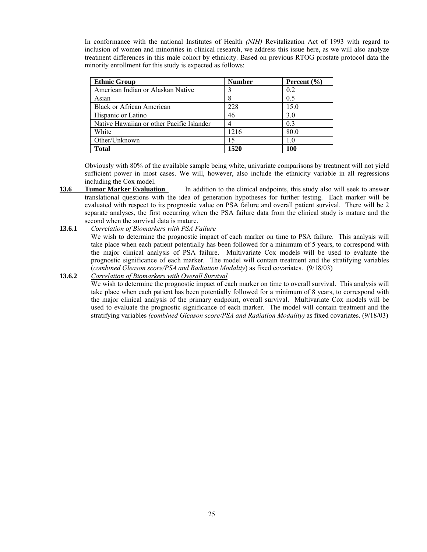In conformance with the national Institutes of Health *(NIH)* Revitalization Act of 1993 with regard to inclusion of women and minorities in clinical research, we address this issue here, as we will also analyze treatment differences in this male cohort by ethnicity. Based on previous RTOG prostate protocol data the minority enrollment for this study is expected as follows:

| <b>Ethnic Group</b>                       | <b>Number</b> | Percent $(\% )$ |
|-------------------------------------------|---------------|-----------------|
| American Indian or Alaskan Native         |               | 0.2             |
| Asian                                     |               | 0.5             |
| <b>Black or African American</b>          | 228           | 15.0            |
| Hispanic or Latino                        | 46            | 3.0             |
| Native Hawaiian or other Pacific Islander |               | 0 <sup>3</sup>  |
| White                                     | 1216          | 80.0            |
| Other/Unknown                             | 15            | 1.0             |
| <b>Total</b>                              | 1520          | 100             |

 Obviously with 80% of the available sample being white, univariate comparisons by treatment will not yield sufficient power in most cases. We will, however, also include the ethnicity variable in all regressions including the Cox model.

- **13.6 Tumor Marker Evaluation** In addition to the clinical endpoints, this study also will seek to answer translational questions with the idea of generation hypotheses for further testing. Each marker will be evaluated with respect to its prognostic value on PSA failure and overall patient survival. There will be 2 separate analyses, the first occurring when the PSA failure data from the clinical study is mature and the second when the survival data is mature.
- **13.6.1** *Correlation of Biomarkers with PSA Failure* We wish to determine the prognostic impact of each marker on time to PSA failure. This analysis will take place when each patient potentially has been followed for a minimum of 5 years, to correspond with the major clinical analysis of PSA failure. Multivariate Cox models will be used to evaluate the prognostic significance of each marker. The model will contain treatment and the stratifying variables (*combined Gleason score/PSA and Radiation Modality*) as fixed covariates. (9/18/03)

#### **13.6.2** *Correlation of Biomarkers with Overall Survival*

 We wish to determine the prognostic impact of each marker on time to overall survival. This analysis will take place when each patient has been potentially followed for a minimum of 8 years, to correspond with the major clinical analysis of the primary endpoint, overall survival. Multivariate Cox models will be used to evaluate the prognostic significance of each marker. The model will contain treatment and the stratifying variables *(combined Gleason score/PSA and Radiation Modality)* as fixed covariates. (9/18/03)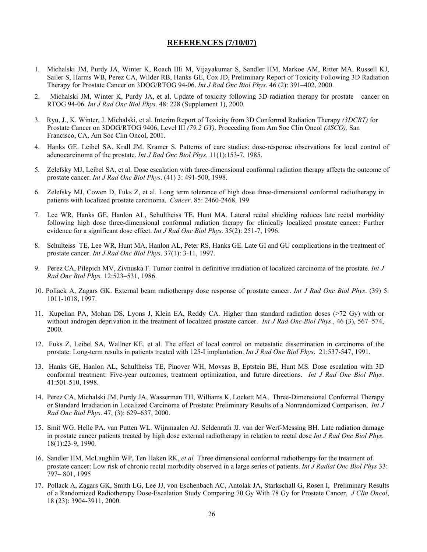#### **REFERENCES (7/10/07)**

- 1. Michalski JM, Purdy JA, Winter K, Roach IIIi M, Vijayakumar S, Sandler HM, Markoe AM, Ritter MA, Russell KJ, Sailer S, Harms WB, Perez CA, Wilder RB, Hanks GE, Cox JD, Preliminary Report of Toxicity Following 3D Radiation Therapy for Prostate Cancer on 3DOG/RTOG 94-06. *Int J Rad Onc Biol Phys*. 46 (2): 391–402, 2000.
- 2. Michalski JM, Winter K, Purdy JA, et al. Update of toxicity following 3D radiation therapy for prostate cancer on RTOG 94-06. *Int J Rad Onc Biol Phys.* 48: 228 (Supplement 1), 2000.
- 3. Ryu, J., K. Winter, J. Michalski, et al. Interim Report of Toxicity from 3D Conformal Radiation Therapy *(3DCRT)* for Prostate Cancer on 3DOG/RTOG 9406, Level III *(79.2 GY)*. Proceeding from Am Soc Clin Oncol *(ASCO),* San Francisco, CA, Am Soc Clin Oncol, 2001.
- 4. Hanks GE. Leibel SA. Krall JM. Kramer S. Patterns of care studies: dose-response observations for local control of adenocarcinoma of the prostate. *Int J Rad Onc Biol Phys.* 11(1):153-7, 1985.
- 5. Zelefsky MJ, Leibel SA, et al. Dose escalation with three-dimensional conformal radiation therapy affects the outcome of prostate cancer. *Int J Rad Onc Biol Phys*. (41) 3: 491-500, 1998.
- 6. Zelefsky MJ, Cowen D, Fuks Z, et al. Long term tolerance of high dose three-dimensional conformal radiotherapy in patients with localized prostate carcinoma. *Cancer*. 85: 2460-2468, 199
- 7. Lee WR, Hanks GE, Hanlon AL, Schultheiss TE, Hunt MA. Lateral rectal shielding reduces late rectal morbidity following high dose three-dimensional conformal radiation therapy for clinically localized prostate cancer: Further evidence for a significant dose effect. *Int J Rad Onc Biol Phys*. 35(2): 251-7, 1996.
- 8. Schulteiss TE, Lee WR, Hunt MA, Hanlon AL, Peter RS, Hanks GE. Late GI and GU complications in the treatment of prostate cancer. *Int J Rad Onc Biol Phys*. 37(1): 3-11, 1997.
- 9. Perez CA, Pilepich MV, Zivnuska F. Tumor control in definitive irradiation of localized carcinoma of the prostate*. Int J Rad Onc Biol Phys.* 12:523–531, 1986.
- 10. Pollack A, Zagars GK. External beam radiotherapy dose response of prostate cancer. *Int J Rad Onc Biol Phys*. (39) 5: 1011-1018, 1997.
- 11. Kupelian PA, Mohan DS, Lyons J, Klein EA, Reddy CA. Higher than standard radiation doses (>72 Gy) with or without androgen deprivation in the treatment of localized prostate cancer. *Int J Rad Onc Biol Phys.*, 46 (3), 567–574, 2000.
- 12. Fuks Z, Leibel SA, Wallner KE, et al. The effect of local control on metastatic dissemination in carcinoma of the prostate: Long-term results in patients treated with 125-I implantation. *Int J Rad Onc Biol Phys*. 21:537-547, 1991.
- 13. Hanks GE, Hanlon AL, Schultheiss TE, Pinover WH, Movsas B, Eptstein BE, Hunt MS. Dose escalation with 3D conformal treatment: Five-year outcomes, treatment optimization, and future directions. *Int J Rad Onc Biol Phys*. 41:501-510, 1998.
- 14. Perez CA, Michalski JM, Purdy JA, Wasserman TH, Williams K, Lockett MA, Three-Dimensional Conformal Therapy or Standard Irradiation in Localized Carcinoma of Prostate: Preliminary Results of a Nonrandomized Comparison, *Int J Rad Onc Biol Phys*. 47, (3): 629–637, 2000.
- 15. Smit WG. Helle PA. van Putten WL. Wijnmaalen AJ. Seldenrath JJ. van der Werf-Messing BH. Late radiation damage in prostate cancer patients treated by high dose external radiotherapy in relation to rectal dose *Int J Rad Onc Biol Phys.*  18(1):23-9, 1990*.*
- 16. Sandler HM, McLaughlin WP, Ten Haken RK, *et al.* Three dimensional conformal radiotherapy for the treatment of prostate cancer: Low risk of chronic rectal morbidity observed in a large series of patients. *Int J Radiat Onc Biol Phys* 33: 797– 801, 1995
- 17. Pollack A, Zagars GK, Smith LG, Lee JJ, von Eschenbach AC, Antolak JA, Starkschall G, Rosen I, Preliminary Results of a Randomized Radiotherapy Dose-Escalation Study Comparing 70 Gy With 78 Gy for Prostate Cancer, *J Clin Oncol*, 18 (23): 3904-3911, 2000.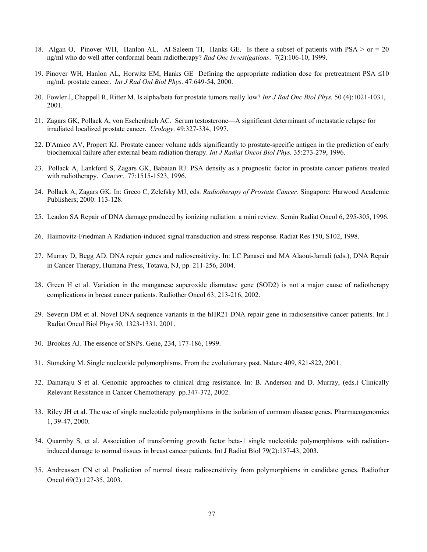- 18. Algan O, Pinover WH, Hanlon AL, Al-Saleem TI, Hanks GE. Is there a subset of patients with PSA > or = 20 ng/ml who do well after conformal beam radiotherapy? *Rad Onc Investigations*. 7(2):106-10, 1999.
- 19. Pinover WH, Hanlon AL, Horwitz EM, Hanks GE Defining the appropriate radiation dose for pretreatment PSA ≤10 ng/mL prostate cancer. *Int J Rad Onl Biol Phys*. 47:649-54, 2000.
- 20. Fowler J, Chappell R, Ritter M. Is alpha/beta for prostate tumors really low? *Inr J Rad Onc Biol Phys.* 50 (4):1021-1031, 2001.
- 21. Zagars GK, Pollack A, von Eschenbach AC. Serum testosterone—A significant determinant of metastatic relapse for irradiated localized prostate cancer. *Urology*. 49:327-334, 1997.
- 22. D'Amico AV, Propert KJ. Prostate cancer volume adds significantly to prostate-specific antigen in the prediction of early biochemical failure after external beam radiation therapy. *Int J Radiat Oncol Biol Phys.* 35:273-279, 1996.
- 23. Pollack A, Lankford S, Zagars GK, Babaian RJ. PSA density as a prognostic factor in prostate cancer patients treated with radiotherapy. *Cancer*. 77:1515-1523, 1996.
- 24. Pollack A, Zagars GK. In: Greco C, Zelefsky MJ, eds. *Radiotherapy of Prostate Cancer.* Singapore: Harwood Academic Publishers; 2000: 113-128.
- 25. Leadon SA Repair of DNA damage produced by ionizing radiation: a mini review. Semin Radiat Oncol 6, 295-305, 1996.
- 26. Haimovitz-Friedman A Radiation-induced signal transduction and stress response. Radiat Res 150, S102, 1998.
- 27. Murray D, Begg AD. DNA repair genes and radiosensitivity. In: LC Panasci and MA Alaoui-Jamali (eds.), DNA Repair in Cancer Therapy, Humana Press, Totawa, NJ, pp. 211-256, 2004.
- 28. Green H et al. Variation in the manganese superoxide dismutase gene (SOD2) is not a major cause of radiotherapy complications in breast cancer patients. Radiother Oncol 63, 213-216, 2002.
- 29. Severin DM et al. Novel DNA sequence variants in the hHR21 DNA repair gene in radiosensitive cancer patients. Int J Radiat Oncol Biol Phys 50, 1323-1331, 2001.
- 30. Brookes AJ. The essence of SNPs. Gene, 234, 177-186, 1999.
- 31. Stoneking M. Single nucleotide polymorphisms. From the evolutionary past. Nature 409, 821-822, 2001.
- 32. Damaraju S et al. Genomic approaches to clinical drug resistance. In: B. Anderson and D. Murray, (eds.) Clinically Relevant Resistance in Cancer Chemotherapy. pp.347-372, 2002.
- 33. Riley JH et al. The use of single nucleotide polymorphisms in the isolation of common disease genes. Pharmacogenomics 1, 39-47, 2000.
- 34. Quarmby S, et al. Association of transforming growth factor beta-1 single nucleotide polymorphisms with radiationinduced damage to normal tissues in breast cancer patients. Int J Radiat Biol 79(2):137-43, 2003.
- 35. Andreassen CN et al. Prediction of normal tissue radiosensitivity from polymorphisms in candidate genes. Radiother Oncol 69(2):127-35, 2003.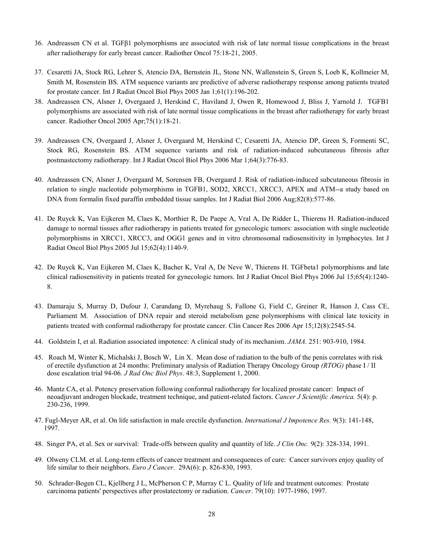- 36. Andreassen CN et al. TGFβ1 polymorphisms are associated with risk of late normal tissue complications in the breast after radiotherapy for early breast cancer. Radiother Oncol 75:18-21, 2005.
- 37. Cesaretti JA, Stock RG, Lehrer S, Atencio DA, Bernstein JL, Stone NN, Wallenstein S, Green S, Loeb K, Kollmeier M, Smith M, Rosenstein BS. ATM sequence variants are predictive of adverse radiotherapy response among patients treated for prostate cancer. Int J Radiat Oncol Biol Phys 2005 Jan 1;61(1):196-202.
- 38. Andreassen CN, Alsner J, Overgaard J, Herskind C, Haviland J, Owen R, Homewood J, Bliss J, Yarnold J. TGFB1 polymorphisms are associated with risk of late normal tissue complications in the breast after radiotherapy for early breast cancer. Radiother Oncol 2005 Apr;75(1):18-21.
- 39. Andreassen CN, Overgaard J, Alsner J, Overgaard M, Herskind C, Cesaretti JA, Atencio DP, Green S, Formenti SC, Stock RG, Rosenstein BS. ATM sequence variants and risk of radiation-induced subcutaneous fibrosis after postmastectomy radiotherapy. Int J Radiat Oncol Biol Phys 2006 Mar 1;64(3):776-83.
- 40. Andreassen CN, Alsner J, Overgaard M, Sorensen FB, Overgaard J. Risk of radiation-induced subcutaneous fibrosis in relation to single nucleotide polymorphisms in TGFB1, SOD2, XRCC1, XRCC3, APEX and ATM--a study based on DNA from formalin fixed paraffin embedded tissue samples. Int J Radiat Biol 2006 Aug;82(8):577-86.
- 41. De Ruyck K, Van Eijkeren M, Claes K, Morthier R, De Paepe A, Vral A, De Ridder L, Thierens H. Radiation-induced damage to normal tissues after radiotherapy in patients treated for gynecologic tumors: association with single nucleotide polymorphisms in XRCC1, XRCC3, and OGG1 genes and in vitro chromosomal radiosensitivity in lymphocytes. Int J Radiat Oncol Biol Phys 2005 Jul 15;62(4):1140-9.
- 42. De Ruyck K, Van Eijkeren M, Claes K, Bacher K, Vral A, De Neve W, Thierens H. TGFbeta1 polymorphisms and late clinical radiosensitivity in patients treated for gynecologic tumors. Int J Radiat Oncol Biol Phys 2006 Jul 15;65(4):1240- 8.
- 43. Damaraju S, Murray D, Dufour J, Carandang D, Myrehaug S, Fallone G, Field C, Greiner R, Hanson J, Cass CE, Parliament M. Association of DNA repair and steroid metabolism gene polymorphisms with clinical late toxicity in patients treated with conformal radiotherapy for prostate cancer. Clin Cancer Res 2006 Apr 15;12(8):2545-54.
- 44. Goldstein I, et al. Radiation associated impotence: A clinical study of its mechanism. *JAMA.* 251: 903-910, 1984.
- 45. Roach M, Winter K, Michalski J, Bosch W, Lin X. Mean dose of radiation to the bulb of the penis correlates with risk of erectile dysfunction at 24 months: Preliminary analysis of Radiation Therapy Oncology Group *(RTOG)* phase I / II dose escalation trial 94-06*. J Rad Onc Biol Phys*. 48:3, Supplement 1, 2000.
- 46. Mantz CA, et al. Potency preservation following conformal radiotherapy for localized prostate cancer: Impact of neoadjuvant androgen blockade, treatment technique, and patient-related factors. *Cancer J Scientific America.* 5(4): p. 230-236, 1999.
- 47. Fugl-Meyer AR, et al. On life satisfaction in male erectile dysfunction. *International J Impotence Res.* 9(3): 141-148, 1997.
- 48. Singer PA, et al. Sex or survival: Trade-offs between quality and quantity of life. *J Clin Onc.* 9(2): 328-334, 1991.
- 49. Olweny CLM. et al. Long-term effects of cancer treatment and consequences of cure: Cancer survivors enjoy quality of life similar to their neighbors. *Euro J Cancer*. 29A(6): p. 826-830, 1993.
- 50. Schrader-Bogen CL, Kjellberg J L, McPherson C P, Murray C L. Quality of life and treatment outcomes: Prostate carcinoma patients' perspectives after prostatectomy or radiation. *Cancer*. 79(10): 1977-1986, 1997.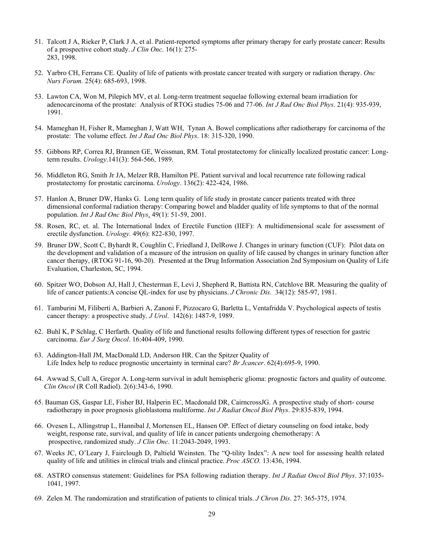- 51. Talcott J A, Rieker P, Clark J A, et al. Patient-reported symptoms after primary therapy for early prostate cancer: Results of a prospective cohort study. *J Clin Onc*. 16(1): 275- 283, 1998.
- 52. Yarbro CH, Ferrans CE. Quality of life of patients with prostate cancer treated with surgery or radiation therapy. *Onc Nurs Forum.* 25(4): 685-693, 1998.
- 53. Lawton CA, Won M, Pilepich MV, et al. Long-term treatment sequelae following external beam irradiation for adenocarcinoma of the prostate: Analysis of RTOG studies 75-06 and 77-06. *Int J Rad Onc Biol Phys*. 21(4): 935-939, 1991.
- 54. Mameghan H, Fisher R, Mameghan J, Watt WH, Tynan A. Bowel complications after radiotherapy for carcinoma of the prostate: The volume effect. *Int J Rad Onc Biol Phys*. 18: 315-320, 1990.
- 55. Gibbons RP, Correa RJ, Brannen GE, Weissman, RM. Total prostatectomy for clinically localized prostatic cancer: Longterm results. *Urology*.141(3): 564-566, 1989.
- 56. Middleton RG, Smith Jr JA, Melzer RB, Hamilton PE. Patient survival and local recurrence rate following radical prostatectomy for prostatic carcinoma. *Urology*. 136(2): 422-424, 1986.
- 57. Hanlon A, Bruner DW, Hanks G. Long term quality of life study in prostate cancer patients treated with three dimensional conformal radiation therapy: Comparing bowel and bladder quality of life symptoms to that of the normal population. *Int J Rad Onc Biol Phys*. 49(1): 51-59, 2001.
- 58. Rosen, RC, et. al. The International Index of Erectile Function (IIEF): A multidimensional scale for assessment of erectile dysfunction. *Urology.* 49(6): 822-830, 1997.
- 59. Bruner DW, Scott C, Byhardt R, Coughlin C, Friedland J, DelRowe J. Changes in urinary function (CUF): Pilot data on the development and validation of a measure of the intrusion on quality of life caused by changes in urinary function after cancer therapy, (RTOG 91-16, 90-20). Presented at the Drug Information Association 2nd Symposium on Quality of Life Evaluation, Charleston, SC, 1994.
- 60. Spitzer WO, Dobson AJ, Hall J, Chesterman E, Levi J, Shepherd R, Battista RN, Catchlove BR. Measuring the quality of life of cancer patients:A concise QL-index for use by physicians. *J Chronic Dis.* 34(12): 585-97, 1981.
- 61. Tamburini M, Filiberti A, Barbieri A, Zanoni F, Pizzocaro G, Barletta L, Ventafridda V. Psychological aspects of testis cancer therapy: a prospective study. *J Urol*. 142(6): 1487-9, 1989.
- 62. Buhl K, P Schlag, C Herfarth. Quality of life and functional results following different types of resection for gastric carcinoma. *Eur J Surg Oncol*. 16:404-409, 1990.
- 63. Addington-Hall JM, MacDonald LD, Anderson HR. Can the Spitzer Quality of Life Index help to reduce prognostic uncertainty in terminal care? *Br Jcancer*. 62(4):695-9, 1990.
- 64. Awwad S, Cull A, Gregor A. Long-term survival in adult hemispheric glioma: prognostic factors and quality of outcome. *Clin Oncol* (R Coll Radiol). 2(6):343-6, 1990.
- 65. Bauman GS, Gaspar LE, Fisher BJ, Halperin EC, Macdonald DR, CairncrossJG. A prospective study of short- course radiotherapy in poor prognosis glioblastoma multiforme. *Int J Radiat Oncol Biol Phys*. 29:835-839, 1994.
- 66. Ovesen L, Allingstrup L, Hannibal J, Mortensen EL, Hansen OP. Effect of dietary counseling on food intake, body weight, response rate, survival, and quality of life in cancer patients undergoing chemotherapy: A prospective, randomized study. *J Clin Onc*. 11:2043-2049, 1993.
- 67. Weeks JC, O'Leary J, Fairclough D, Paltield Weinsten. The "Q-tility Index": A new tool for assessing health related quality of life and utilities in clinical trials and clinical practice. *Proc ASCO.* 13:436, 1994.
- 68. ASTRO consensus statement: Guidelines for PSA following radiation therapy. *Int J Radiat Oncol Biol Phys*. 37:1035- 1041, 1997.
- 69. Zelen M. The randomization and stratification of patients to clinical trials. *J Chron Dis*. 27: 365-375, 1974.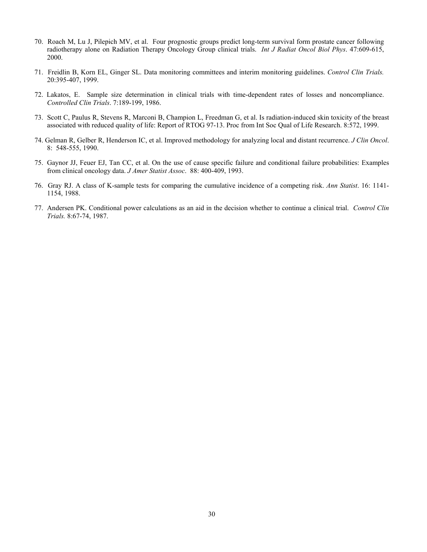- 70. Roach M, Lu J, Pilepich MV, et al. Four prognostic groups predict long-term survival form prostate cancer following radiotherapy alone on Radiation Therapy Oncology Group clinical trials. *Int J Radiat Oncol Biol Phys*. 47:609-615, 2000.
- 71. Freidlin B, Korn EL, Ginger SL. Data monitoring committees and interim monitoring guidelines. *Control Clin Trials.* 20:395-407, 1999.
- 72. Lakatos, E. Sample size determination in clinical trials with time-dependent rates of losses and noncompliance. *Controlled Clin Trials*. 7:189-199, 1986.
- 73. Scott C, Paulus R, Stevens R, Marconi B, Champion L, Freedman G, et al. Is radiation-induced skin toxicity of the breast associated with reduced quality of life: Report of RTOG 97-13. Proc from Int Soc Qual of Life Research. 8:572, 1999.
- 74. Gelman R, Gelber R, Henderson IC, et al. Improved methodology for analyzing local and distant recurrence. *J Clin Oncol*. 8: 548-555, 1990.
- 75. Gaynor JJ, Feuer EJ, Tan CC, et al. On the use of cause specific failure and conditional failure probabilities: Examples from clinical oncology data. *J Amer Statist Assoc*. 88: 400-409, 1993.
- 76. Gray RJ. A class of K-sample tests for comparing the cumulative incidence of a competing risk. *Ann Statist*. 16: 1141- 1154, 1988.
- 77. Andersen PK. Conditional power calculations as an aid in the decision whether to continue a clinical trial. *Control Clin Trials.* 8:67-74, 1987.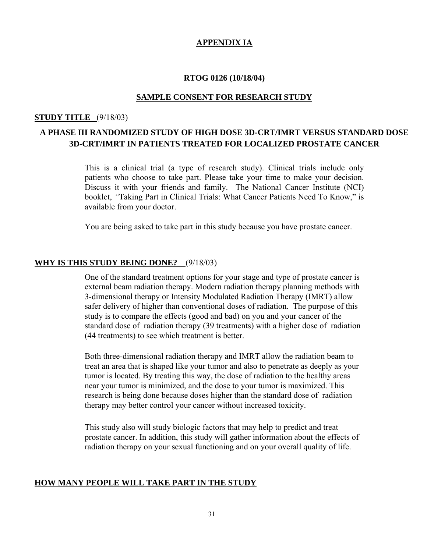## **APPENDIX IA**

### **RTOG 0126 (10/18/04)**

## **SAMPLE CONSENT FOR RESEARCH STUDY**

## **STUDY TITLE** (9/18/03)

## **A PHASE III RANDOMIZED STUDY OF HIGH DOSE 3D-CRT/IMRT VERSUS STANDARD DOSE 3D-CRT/IMRT IN PATIENTS TREATED FOR LOCALIZED PROSTATE CANCER**

This is a clinical trial (a type of research study). Clinical trials include only patients who choose to take part. Please take your time to make your decision. Discuss it with your friends and family. The National Cancer Institute (NCI) booklet, *"*Taking Part in Clinical Trials: What Cancer Patients Need To Know," is available from your doctor.

You are being asked to take part in this study because you have prostate cancer.

## **WHY IS THIS STUDY BEING DONE?** (9/18/03)

One of the standard treatment options for your stage and type of prostate cancer is external beam radiation therapy. Modern radiation therapy planning methods with 3-dimensional therapy or Intensity Modulated Radiation Therapy (IMRT) allow safer delivery of higher than conventional doses of radiation. The purpose of this study is to compare the effects (good and bad) on you and your cancer of the standard dose of radiation therapy (39 treatments) with a higher dose of radiation (44 treatments) to see which treatment is better.

Both three-dimensional radiation therapy and IMRT allow the radiation beam to treat an area that is shaped like your tumor and also to penetrate as deeply as your tumor is located. By treating this way, the dose of radiation to the healthy areas near your tumor is minimized, and the dose to your tumor is maximized. This research is being done because doses higher than the standard dose of radiation therapy may better control your cancer without increased toxicity.

This study also will study biologic factors that may help to predict and treat prostate cancer. In addition, this study will gather information about the effects of radiation therapy on your sexual functioning and on your overall quality of life.

## **HOW MANY PEOPLE WILL TAKE PART IN THE STUDY**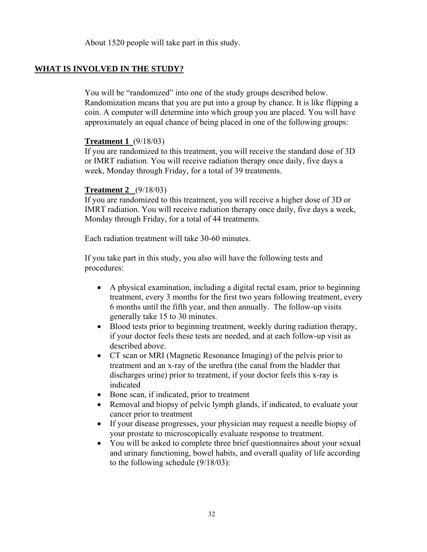About 1520 people will take part in this study.

## **WHAT IS INVOLVED IN THE STUDY?**

You will be "randomized" into one of the study groups described below. Randomization means that you are put into a group by chance. It is like flipping a coin. A computer will determine into which group you are placed. You will have approximately an equal chance of being placed in one of the following groups:

## **Treatment 1** (9/18/03)

If you are randomized to this treatment, you will receive the standard dose of 3D or IMRT radiation. You will receive radiation therapy once daily, five days a week, Monday through Friday, for a total of 39 treatments.

## **Treatment 2** (9/18/03)

If you are randomized to this treatment, you will receive a higher dose of 3D or IMRT radiation. You will receive radiation therapy once daily, five days a week, Monday through Friday, for a total of 44 treatments.

Each radiation treatment will take 30-60 minutes.

If you take part in this study, you also will have the following tests and procedures:

- A physical examination, including a digital rectal exam, prior to beginning treatment, every 3 months for the first two years following treatment, every 6 months until the fifth year, and then annually. The follow-up visits generally take 15 to 30 minutes.
- Blood tests prior to beginning treatment, weekly during radiation therapy, if your doctor feels these tests are needed, and at each follow-up visit as described above.
- CT scan or MRI (Magnetic Resonance Imaging) of the pelvis prior to treatment and an x-ray of the urethra (the canal from the bladder that discharges urine) prior to treatment, if your doctor feels this x-ray is indicated
- Bone scan, if indicated, prior to treatment
- Removal and biopsy of pelvic lymph glands, if indicated, to evaluate your cancer prior to treatment
- If your disease progresses, your physician may request a needle biopsy of your prostate to microscopically evaluate response to treatment.
- You will be asked to complete three brief questionnaires about your sexual and urinary functioning, bowel habits, and overall quality of life according to the following schedule (9/18/03):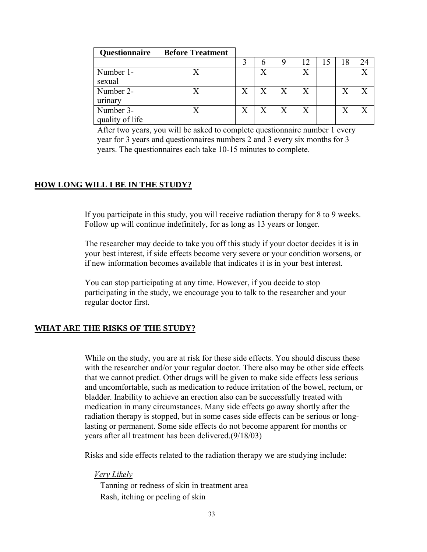| <b>Questionnaire</b>         | <b>Before Treatment</b> |   |   |                  |    |    |    |                           |
|------------------------------|-------------------------|---|---|------------------|----|----|----|---------------------------|
|                              |                         |   |   |                  | 12 | 15 | 18 |                           |
| Number 1-<br>sexual          |                         |   |   |                  | Χ  |    |    | v                         |
| Number 2-<br>urinary         |                         | X | X | X                | X  |    |    | $\boldsymbol{\mathrm{X}}$ |
| Number 3-<br>quality of life |                         | X | X | $\boldsymbol{X}$ | X  |    |    | $\mathbf v$               |

After two years, you will be asked to complete questionnaire number 1 every year for 3 years and questionnaires numbers 2 and 3 every six months for 3 years. The questionnaires each take 10-15 minutes to complete.

## **HOW LONG WILL I BE IN THE STUDY?**

If you participate in this study, you will receive radiation therapy for 8 to 9 weeks. Follow up will continue indefinitely, for as long as 13 years or longer.

The researcher may decide to take you off this study if your doctor decides it is in your best interest, if side effects become very severe or your condition worsens, or if new information becomes available that indicates it is in your best interest.

You can stop participating at any time. However, if you decide to stop participating in the study, we encourage you to talk to the researcher and your regular doctor first.

## **WHAT ARE THE RISKS OF THE STUDY?**

While on the study, you are at risk for these side effects. You should discuss these with the researcher and/or your regular doctor. There also may be other side effects that we cannot predict. Other drugs will be given to make side effects less serious and uncomfortable, such as medication to reduce irritation of the bowel, rectum, or bladder. Inability to achieve an erection also can be successfully treated with medication in many circumstances. Many side effects go away shortly after the radiation therapy is stopped, but in some cases side effects can be serious or longlasting or permanent. Some side effects do not become apparent for months or years after all treatment has been delivered.(9/18/03)

Risks and side effects related to the radiation therapy we are studying include:

#### *Very Likely*

Tanning or redness of skin in treatment area Rash, itching or peeling of skin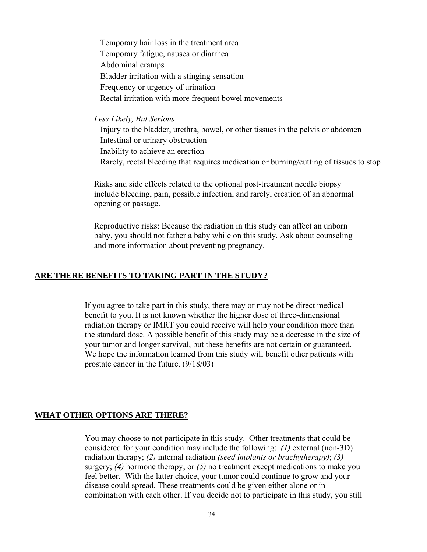Temporary hair loss in the treatment area Temporary fatigue, nausea or diarrhea Abdominal cramps Bladder irritation with a stinging sensation Frequency or urgency of urination Rectal irritation with more frequent bowel movements

## *Less Likely, But Serious*

Injury to the bladder, urethra, bowel, or other tissues in the pelvis or abdomen Intestinal or urinary obstruction Inability to achieve an erection Rarely, rectal bleeding that requires medication or burning/cutting of tissues to stop

Risks and side effects related to the optional post-treatment needle biopsy include bleeding, pain, possible infection, and rarely, creation of an abnormal opening or passage.

Reproductive risks: Because the radiation in this study can affect an unborn baby, you should not father a baby while on this study. Ask about counseling and more information about preventing pregnancy.

## **ARE THERE BENEFITS TO TAKING PART IN THE STUDY?**

If you agree to take part in this study, there may or may not be direct medical benefit to you. It is not known whether the higher dose of three-dimensional radiation therapy or IMRT you could receive will help your condition more than the standard dose. A possible benefit of this study may be a decrease in the size of your tumor and longer survival, but these benefits are not certain or guaranteed. We hope the information learned from this study will benefit other patients with prostate cancer in the future. (9/18/03)

## **WHAT OTHER OPTIONS ARE THERE?**

You may choose to not participate in this study. Other treatments that could be considered for your condition may include the following: *(1)* external (non-3D) radiation therapy; *(2)* internal radiation *(seed implants or brachytherapy)*; *(3)* surgery; *(4)* hormone therapy; or *(5)* no treatment except medications to make you feel better. With the latter choice, your tumor could continue to grow and your disease could spread. These treatments could be given either alone or in combination with each other. If you decide not to participate in this study, you still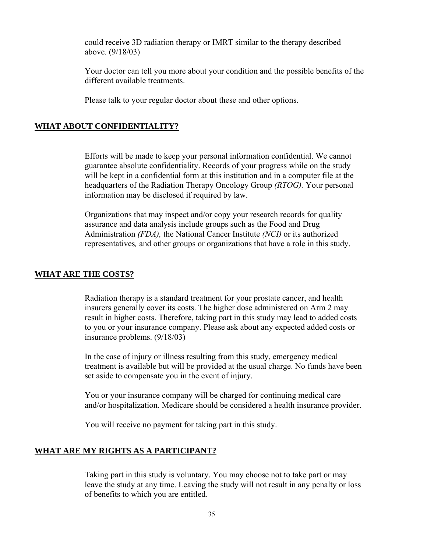could receive 3D radiation therapy or IMRT similar to the therapy described above. (9/18/03)

Your doctor can tell you more about your condition and the possible benefits of the different available treatments.

Please talk to your regular doctor about these and other options.

## **WHAT ABOUT CONFIDENTIALITY?**

Efforts will be made to keep your personal information confidential. We cannot guarantee absolute confidentiality. Records of your progress while on the study will be kept in a confidential form at this institution and in a computer file at the headquarters of the Radiation Therapy Oncology Group *(RTOG).* Your personal information may be disclosed if required by law.

Organizations that may inspect and/or copy your research records for quality assurance and data analysis include groups such as the Food and Drug Administration *(FDA),* the National Cancer Institute *(NCI)* or its authorized representatives*,* and other groups or organizations that have a role in this study.

## **WHAT ARE THE COSTS?**

Radiation therapy is a standard treatment for your prostate cancer, and health insurers generally cover its costs. The higher dose administered on Arm 2 may result in higher costs. Therefore, taking part in this study may lead to added costs to you or your insurance company. Please ask about any expected added costs or insurance problems. (9/18/03)

In the case of injury or illness resulting from this study, emergency medical treatment is available but will be provided at the usual charge. No funds have been set aside to compensate you in the event of injury.

You or your insurance company will be charged for continuing medical care and/or hospitalization. Medicare should be considered a health insurance provider.

You will receive no payment for taking part in this study.

## **WHAT ARE MY RIGHTS AS A PARTICIPANT?**

Taking part in this study is voluntary. You may choose not to take part or may leave the study at any time. Leaving the study will not result in any penalty or loss of benefits to which you are entitled.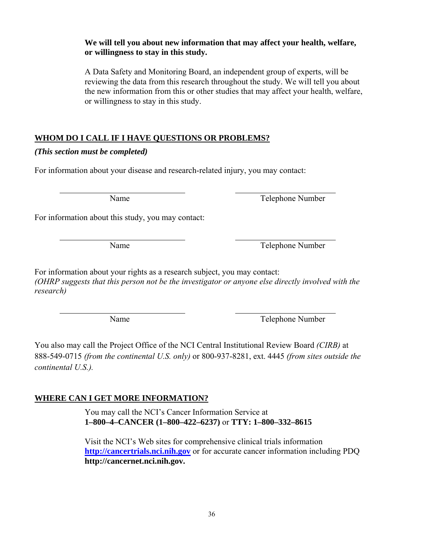## **We will tell you about new information that may affect your health, welfare, or willingness to stay in this study.**

A Data Safety and Monitoring Board, an independent group of experts, will be reviewing the data from this research throughout the study. We will tell you about the new information from this or other studies that may affect your health, welfare, or willingness to stay in this study.

## **WHOM DO I CALL IF I HAVE QUESTIONS OR PROBLEMS?**

## *(This section must be completed)*

For information about your disease and research-related injury, you may contact:

Name Telephone Number

For information about this study, you may contact:

Name Telephone Number

For information about your rights as a research subject, you may contact: *(OHRP suggests that this person not be the investigator or anyone else directly involved with the research)* 

Name Telephone Number

You also may call the Project Office of the NCI Central Institutional Review Board *(CIRB)* at 888-549-0715 *(from the continental U.S. only)* or 800-937-8281, ext. 4445 *(from sites outside the continental U.S.).*

## **WHERE CAN I GET MORE INFORMATION?**

You may call the NCI's Cancer Information Service at **1–800–4–CANCER (1–800–422–6237)** or **TTY: 1–800–332–8615** 

Visit the NCI's Web sites for comprehensive clinical trials information **http://cancertrials.nci.nih.gov** or for accurate cancer information including PDQ **http://cancernet.nci.nih.gov.**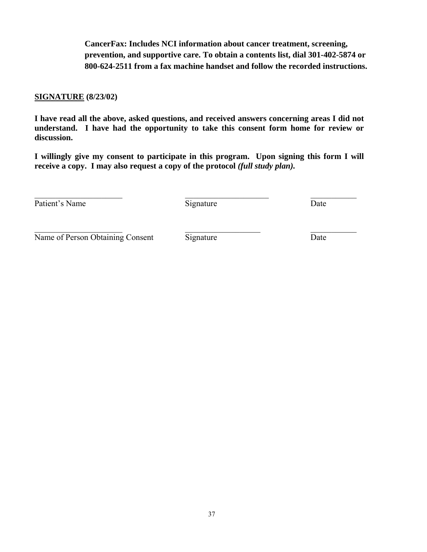**CancerFax: Includes NCI information about cancer treatment, screening, prevention, and supportive care. To obtain a contents list, dial 301-402-5874 or 800-624-2511 from a fax machine handset and follow the recorded instructions.** 

## **SIGNATURE (8/23/02)**

**I have read all the above, asked questions, and received answers concerning areas I did not understand. I have had the opportunity to take this consent form home for review or discussion.** 

**I willingly give my consent to participate in this program. Upon signing this form I will receive a copy. I may also request a copy of the protocol** *(full study plan).*

Patient's Name Signature Date

 $\mathcal{L}_\text{max}$  and the contract of the contract of the contract of the contract of the contract of the contract of

Name of Person Obtaining Consent Signature Date Date

 $\_$  , and the contribution of the contribution of  $\_$  . The contribution of  $\_$  , and  $\_$  , and  $\_$  , and  $\_$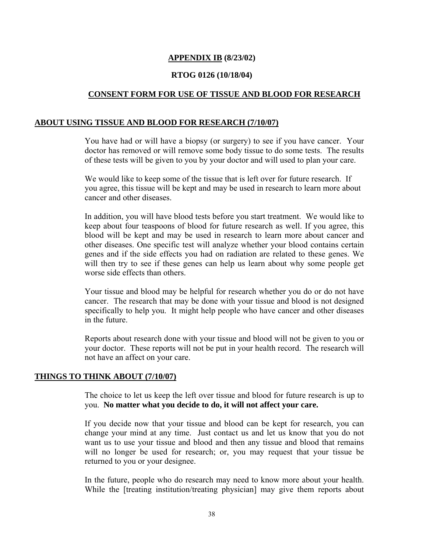## **APPENDIX IB (8/23/02)**

## **RTOG 0126 (10/18/04)**

## **CONSENT FORM FOR USE OF TISSUE AND BLOOD FOR RESEARCH**

## **ABOUT USING TISSUE AND BLOOD FOR RESEARCH (7/10/07)**

You have had or will have a biopsy (or surgery) to see if you have cancer. Your doctor has removed or will remove some body tissue to do some tests. The results of these tests will be given to you by your doctor and will used to plan your care.

We would like to keep some of the tissue that is left over for future research. If you agree, this tissue will be kept and may be used in research to learn more about cancer and other diseases.

In addition, you will have blood tests before you start treatment. We would like to keep about four teaspoons of blood for future research as well. If you agree, this blood will be kept and may be used in research to learn more about cancer and other diseases. One specific test will analyze whether your blood contains certain genes and if the side effects you had on radiation are related to these genes. We will then try to see if these genes can help us learn about why some people get worse side effects than others.

Your tissue and blood may be helpful for research whether you do or do not have cancer. The research that may be done with your tissue and blood is not designed specifically to help you. It might help people who have cancer and other diseases in the future.

Reports about research done with your tissue and blood will not be given to you or your doctor. These reports will not be put in your health record. The research will not have an affect on your care.

## **THINGS TO THINK ABOUT (7/10/07)**

The choice to let us keep the left over tissue and blood for future research is up to you. **No matter what you decide to do, it will not affect your care.** 

If you decide now that your tissue and blood can be kept for research, you can change your mind at any time. Just contact us and let us know that you do not want us to use your tissue and blood and then any tissue and blood that remains will no longer be used for research; or, you may request that your tissue be returned to you or your designee.

In the future, people who do research may need to know more about your health. While the [treating institution/treating physician] may give them reports about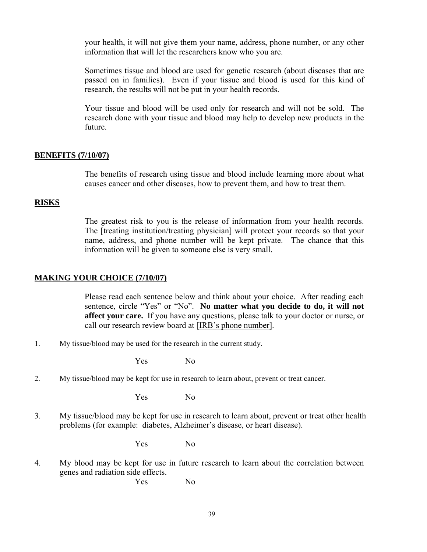your health, it will not give them your name, address, phone number, or any other information that will let the researchers know who you are.

Sometimes tissue and blood are used for genetic research (about diseases that are passed on in families). Even if your tissue and blood is used for this kind of research, the results will not be put in your health records.

Your tissue and blood will be used only for research and will not be sold. The research done with your tissue and blood may help to develop new products in the future.

## **BENEFITS (7/10/07)**

The benefits of research using tissue and blood include learning more about what causes cancer and other diseases, how to prevent them, and how to treat them.

## **RISKS**

The greatest risk to you is the release of information from your health records. The [treating institution/treating physician] will protect your records so that your name, address, and phone number will be kept private. The chance that this information will be given to someone else is very small.

## **MAKING YOUR CHOICE (7/10/07)**

Please read each sentence below and think about your choice. After reading each sentence, circle "Yes" or "No". **No matter what you decide to do, it will not affect your care.** If you have any questions, please talk to your doctor or nurse, or call our research review board at [IRB's phone number].

1. My tissue/blood may be used for the research in the current study.

Yes No

2. My tissue/blood may be kept for use in research to learn about, prevent or treat cancer.

Yes No

3. My tissue/blood may be kept for use in research to learn about, prevent or treat other health problems (for example: diabetes, Alzheimer's disease, or heart disease).

Yes No

4. My blood may be kept for use in future research to learn about the correlation between genes and radiation side effects.

Yes No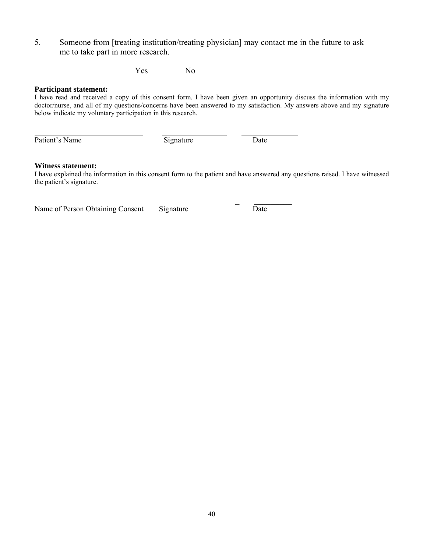5. Someone from [treating institution/treating physician] may contact me in the future to ask me to take part in more research.

Yes No

### **Participant statement:**

I have read and received a copy of this consent form. I have been given an opportunity discuss the information with my doctor/nurse, and all of my questions/concerns have been answered to my satisfaction. My answers above and my signature below indicate my voluntary participation in this research.

Patient's Name Signature Date

 $\overline{a}$ 

## **Witness statement:**

I have explained the information in this consent form to the patient and have answered any questions raised. I have witnessed the patient's signature.

Name of Person Obtaining Consent Signature Date

\_ \_\_\_\_\_\_\_\_\_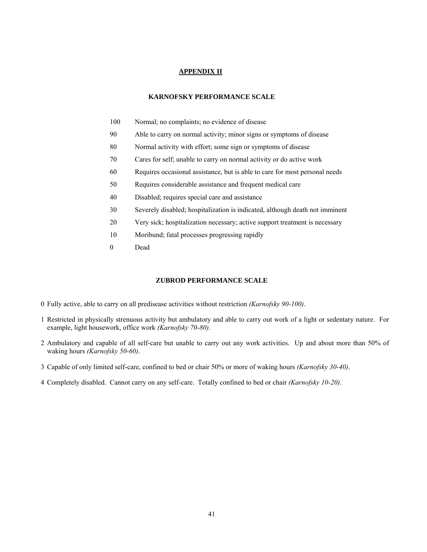#### **APPENDIX II**

#### **KARNOFSKY PERFORMANCE SCALE**

- 100 Normal; no complaints; no evidence of disease
- 90 Able to carry on normal activity; minor signs or symptoms of disease
- 80 Normal activity with effort; some sign or symptoms of disease
- 70 Cares for self; unable to carry on normal activity or do active work
- 60 Requires occasional assistance, but is able to care for most personal needs
- 50 Requires considerable assistance and frequent medical care
- 40 Disabled; requires special care and assistance
- 30 Severely disabled; hospitalization is indicated, although death not imminent
- 20 Very sick; hospitalization necessary; active support treatment is necessary
- 10 Moribund; fatal processes progressing rapidly
- 0 Dead

### **ZUBROD PERFORMANCE SCALE**

- 0 Fully active, able to carry on all predisease activities without restriction *(Karnofsky 90-100)*.
- 1 Restricted in physically strenuous activity but ambulatory and able to carry out work of a light or sedentary nature. For example, light housework, office work *(Karnofsky 70-80)*.
- 2 Ambulatory and capable of all self-care but unable to carry out any work activities. Up and about more than 50% of waking hours *(Karnofsky 50-60)*.
- 3 Capable of only limited self-care, confined to bed or chair 50% or more of waking hours *(Karnofsky 30-40)*.
- 4 Completely disabled. Cannot carry on any self-care. Totally confined to bed or chair *(Karnofsky 10-20)*.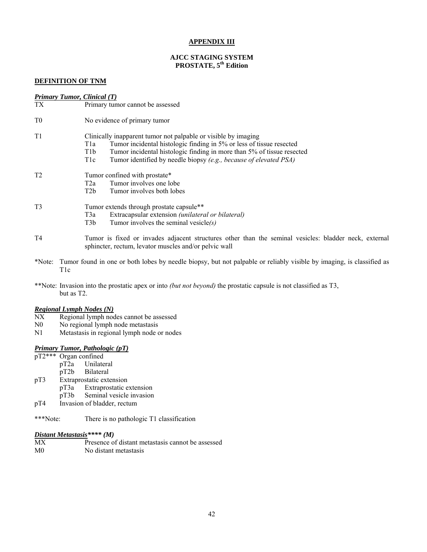#### **APPENDIX III**

#### **AJCC STAGING SYSTEM PROSTATE, 5th Edition**

#### **DEFINITION OF TNM**

|                | <b>Primary Tumor, Clinical (T)</b>                                                                                                                                                                                                                                                                                                   |
|----------------|--------------------------------------------------------------------------------------------------------------------------------------------------------------------------------------------------------------------------------------------------------------------------------------------------------------------------------------|
| <b>TX</b>      | Primary tumor cannot be assessed                                                                                                                                                                                                                                                                                                     |
| T <sub>0</sub> | No evidence of primary tumor                                                                                                                                                                                                                                                                                                         |
| T <sub>1</sub> | Clinically inapparent tumor not palpable or visible by imaging<br>Tumor incidental histologic finding in 5% or less of tissue resected<br>T1a<br>Tumor incidental histologic finding in more than 5% of tissue resected<br>T <sub>1</sub> b<br>Tumor identified by needle biopsy (e.g., because of elevated PSA)<br>T <sub>1</sub> c |
| T <sub>2</sub> | Tumor confined with prostate*<br>Tumor involves one lobe<br>T2a<br>T2b<br>Tumor involves both lobes                                                                                                                                                                                                                                  |
| T <sub>3</sub> | Tumor extends through prostate capsule**<br>Extracapsular extension (unilateral or bilateral)<br>T3a<br>T <sub>3</sub> b<br>Tumor involves the seminal vesicle $(s)$                                                                                                                                                                 |
| T <sub>4</sub> | Tumor is fixed or invades adjacent structures other than the seminal vesicles: bladder neck, external<br>sphincter, rectum, levator muscles and/or pelvic wall                                                                                                                                                                       |
|                | *Note: Tumor found in one or both lobes by needle biopsy, but not palpable or reliably visible by imaging, is classified as<br>T <sub>1</sub> c                                                                                                                                                                                      |
|                | **Note: Invasion into the prostatic apex or into <i>(but not beyond)</i> the prostatic capsule is not classified as T3,<br>but as T <sub>2</sub> .                                                                                                                                                                                   |
| NIV            | <b>Regional Lymph Nodes (N)</b>                                                                                                                                                                                                                                                                                                      |

- NX Regional lymph nodes cannot be assessed
- N0 No regional lymph node metastasis
- N1 Metastasis in regional lymph node or nodes

## *Primary Tumor, Pathologic (pT)*

- pT2\*\*\* Organ confined<br>pT2a Unilater
	- pT2a Unilateral<br>pT2b Bilateral
- pT2b Bilateral<br>pT3 Extraprostatic exte
	- Extraprostatic extension<br>pT3a Extraprostatic e
		- Extraprostatic extension
			- pT3b Seminal vesicle invasion
- pT4 Invasion of bladder, rectum

## \*\*\*Note: There is no pathologic T1 classification

## *Distant Metastasis\*\*\*\* (M)*

| МX             | Presence of distant metastasis cannot be assessed |
|----------------|---------------------------------------------------|
| M <sub>0</sub> | No distant metastasis                             |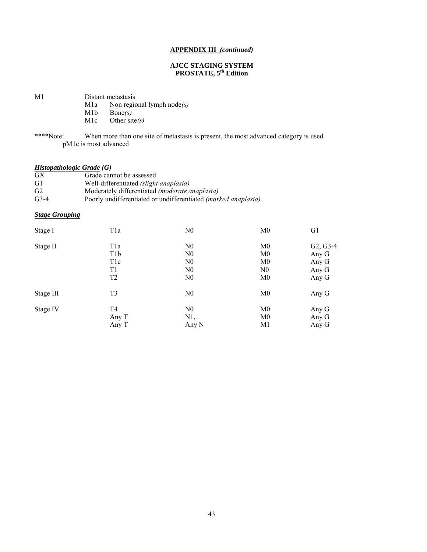#### **APPENDIX III** *(continued)*

#### **AJCC STAGING SYSTEM PROSTATE, 5th Edition**

M1 Distant metastasis

- M1a Non regional lymph node*(s)*
- M1b Bone(s)<br>M1c Other sit
	- Other site(s)
- \*\*\*\*Note: When more than one site of metastasis is present, the most advanced category is used. pM1c is most advanced

## *Histopathologic Grade (G)*

| <b>GX</b>      | Grade cannot be assessed                                              |
|----------------|-----------------------------------------------------------------------|
| G1             | Well-differentiated <i>(slight anaplasia)</i>                         |
| G <sub>2</sub> | Moderately differentiated (moderate anaplasia)                        |
| $G3-4$         | Poorly undifferentiated or undifferentiated <i>(marked anaplasia)</i> |

### *Stage Grouping*

| Stage I   | T1a              | N <sub>0</sub> | M <sub>0</sub> | G <sub>1</sub> |
|-----------|------------------|----------------|----------------|----------------|
| Stage II  | T1a              | N <sub>0</sub> | M <sub>0</sub> | $G2, G3-4$     |
|           | T <sub>1</sub> b | N <sub>0</sub> | M <sub>0</sub> | Any G          |
|           | T <sub>1</sub> c | N <sub>0</sub> | M <sub>0</sub> | Any G          |
|           | T1               | N <sub>0</sub> | N <sub>0</sub> | Any G          |
|           | T <sub>2</sub>   | N <sub>0</sub> | M <sub>0</sub> | Any G          |
| Stage III | T3               | N <sub>0</sub> | M <sub>0</sub> | Any G          |
| Stage IV  | T <sub>4</sub>   | N <sub>0</sub> | M0             | Any G          |
|           | Any T            | N1,            | M <sub>0</sub> | Any G          |
|           | Any T            | Any N          | M <sub>1</sub> | Any G          |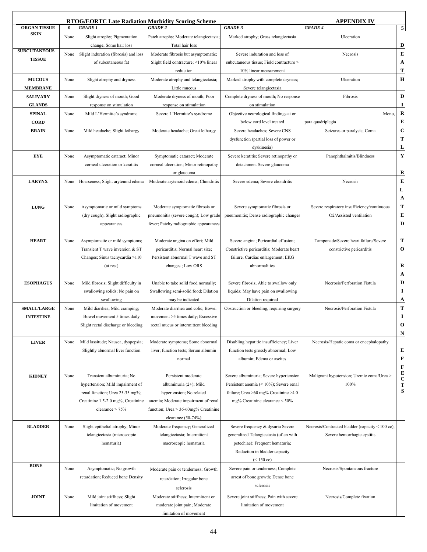|                     |          |                                                                      | <b>RTOG/EORTC Late Radiation Morbidity Scoring Scheme</b> |                                                           | <b>APPENDIX IV</b>                               |                  |
|---------------------|----------|----------------------------------------------------------------------|-----------------------------------------------------------|-----------------------------------------------------------|--------------------------------------------------|------------------|
| <b>ORGAN TISSUE</b> | $\bf{0}$ | <b>GRADE 1</b>                                                       | <b>GRADE 2</b>                                            | <b>GRADE 3</b>                                            | <b>GRADE 4</b>                                   | 5                |
| <b>SKIN</b>         | None     | Slight atrophy; Pigmentation<br>change; Some hair loss               | Patch atrophy; Moderate telangiectasia<br>Total hair loss | Marked atrophy; Gross telangiectasia                      | Ulceration                                       | D                |
| <b>SUBCUTANEOUS</b> | None     | Slight induration (fibrosis) and loss                                | Moderate fibrosis but asymptomatic;                       | Severe induration and loss of                             | Necrosis                                         | $\bf E$          |
| <b>TISSUE</b>       |          | of subcutaneous fat                                                  | Slight field contracture; <10% linear                     | subcutaneous tissue; Field contracture >                  |                                                  | A                |
|                     |          |                                                                      | reduction                                                 | 10% linear measurement                                    |                                                  | T                |
| <b>MUCOUS</b>       | None     | Slight atrophy and dryness                                           | Moderate atrophy and telangiectasia;                      | Marked atrophy with complete dryness;                     | Ulceration                                       | H                |
| <b>MEMBRANE</b>     |          |                                                                      | Little mucous                                             | Severe telangiectasia                                     |                                                  |                  |
| <b>SALIVARY</b>     | None     | Slight dryness of mouth; Good                                        | Moderate dryness of mouth; Poor                           | Complete dryness of mouth; No response                    | Fibrosis                                         | D                |
| <b>GLANDS</b>       |          | response on stimulation                                              | response on stimulation                                   | on stimulation                                            |                                                  | $\bf{I}$         |
|                     |          |                                                                      |                                                           |                                                           |                                                  | $\bf R$          |
| <b>SPINAL</b>       | None     | Mild L'Hermitte's syndrome                                           | Severe L'Hermitte's syndrome                              | Objective neurological findings at or                     | Mono,                                            | ${\bf E}$        |
| <b>CORD</b>         |          |                                                                      |                                                           | below cord level treated                                  | para quadriplegia                                | $\bf C$          |
| <b>BRAIN</b>        | None     | Mild headache; Slight lethargy                                       | Moderate headache; Great lethargy                         | Severe headaches; Severe CNS                              | Seizures or paralysis; Coma                      |                  |
|                     |          |                                                                      |                                                           | dysfunction (partial loss of power or                     |                                                  | T                |
|                     |          |                                                                      |                                                           | dyskinesia)                                               |                                                  | L                |
| <b>EYE</b>          | None     | Asymptomatic cataract; Minor                                         | Symptomatic cataract; Moderate                            | Severe keratitis; Severe retinopathy or                   | Panophthalmitis/Blindness                        | Y                |
|                     |          | corneal ulceration or keratitis                                      | corneal ulceration; Minor retinopathy                     | detachment Severe glaucoma                                |                                                  |                  |
|                     |          |                                                                      | or glaucoma                                               |                                                           |                                                  | R                |
| <b>LARYNX</b>       | None     | Hoarseness; Slight arytenoid edema                                   | Moderate arytenoid edema; Chondritis                      | Severe edema; Severe chondritis                           | Necrosis                                         | E                |
|                     |          |                                                                      |                                                           |                                                           |                                                  | L                |
|                     |          |                                                                      |                                                           |                                                           |                                                  | A                |
| <b>LUNG</b>         | None     | Asymptomatic or mild symptoms                                        | Moderate symptomatic fibrosis or                          | Severe symptomatic fibrosis or                            | Severe respiratory insufficiency/continuous      | $\mathbf T$      |
|                     |          | (dry cough); Slight radiographic                                     | pneumonitis (severe cough); Low grade                     | pneumonitis; Dense radiographic changes                   | O2/Assisted ventilation                          | E                |
|                     |          | appearances                                                          | fever; Patchy radiographic appearances                    |                                                           |                                                  | D                |
|                     |          |                                                                      |                                                           |                                                           |                                                  |                  |
| <b>HEART</b>        | None     | Asymptomatic or mild symptoms;                                       | Moderate angina on effort; Mild                           | Severe angina; Pericardial effusion;                      | Tamponade/Severe heart failure/Severe            | $\mathbf T$      |
|                     |          | Transient T wave inversion & ST                                      | pericarditis; Normal heart size;                          | Constrictive pericarditis; Moderate heart                 | constrictive pericarditis                        | $\mathbf{o}$     |
|                     |          | Changes; Sinus tachycardia >110                                      | Persistent abnormal T wave and ST                         | failure; Cardiac enlargement; EKG                         |                                                  |                  |
|                     |          | (at rest)                                                            | changes; Low ORS                                          | abnormalities                                             |                                                  | R                |
|                     | None     |                                                                      |                                                           | Severe fibrosis; Able to swallow only                     | Necrosis/Perforation Fistula                     | A<br>D           |
| <b>ESOPHAGUS</b>    |          | Mild fibrosis; Slight difficulty in<br>swallowing solids; No pain on | Unable to take solid food normally;                       |                                                           |                                                  | $\mathbf I$      |
|                     |          | swallowing                                                           | Swallowing semi-solid food; Dilation                      | liquids; May have pain on swallowing<br>Dilation required |                                                  | A                |
| <b>SMALL/LARGE</b>  | None     | Mild diarrhea; Mild cramping;                                        | may be indicated<br>Moderate diarrhea and colic; Bowel    | Obstruction or bleeding, requiring surgery                | Necrosis/Perforation Fistula                     | $\mathbf T$      |
| <b>INTESTINE</b>    |          | Bowel movement 5 times daily                                         | movement >5 times daily; Excessive                        |                                                           |                                                  | $\mathbf I$      |
|                     |          |                                                                      | rectal mucus or intermittent bleeding                     |                                                           |                                                  | $\mathbf 0$      |
|                     |          | Slight rectal discharge or bleeding                                  |                                                           |                                                           |                                                  | N                |
| <b>LIVER</b>        | None     | Mild lassitude; Nausea, dyspepsia;                                   | Moderate symptoms; Some abnormal                          | Disabling hepatitic insufficiency; Liver                  | Necrosis/Hepatic coma or encephalopathy          |                  |
|                     |          | Slightly abnormal liver function                                     | liver; function tests; Serum albumin                      | function tests grossly abnormal; Low                      |                                                  | E                |
|                     |          |                                                                      | normal                                                    | albumin; Edema or ascites                                 |                                                  | F                |
|                     |          |                                                                      |                                                           |                                                           |                                                  | F                |
| <b>KIDNEY</b>       | None     | Transient albuminuria; No                                            | Persistent moderate                                       | Severe albuminuria; Severe hypertension                   | Malignant hypotension; Uremic coma/Urea >        | E                |
|                     |          | hypertension; Mild impairment of                                     | albuminuria (2+); Mild                                    | Persistent anemia $(< 10\%)$ ; Severe renal               | 100%                                             | $\mathbf c$<br>T |
|                     |          | renal function; Urea 25-35 mg%;                                      | hypertension; No related                                  | failure; Urea >60 mg% Creatinine >4.0                     |                                                  | S                |
|                     |          | Creatinine 1.5-2.0 mg%; Creatinine                                   | anemia; Moderate impairment of renal                      | mg% Creatinine clearance < 50%                            |                                                  |                  |
|                     |          | clearance $> 75%$                                                    | function; Urea > 36-60mg% Creatinine                      |                                                           |                                                  |                  |
|                     |          |                                                                      | clearance (50-74%)                                        |                                                           |                                                  |                  |
| <b>BLADDER</b>      | None     | Slight epithelial atrophy; Minor                                     | Moderate frequency; Generalized                           | Severe frequency & dysuria Severe                         | Necrosis/Contracted bladder (capacity < 100 cc); |                  |
|                     |          | telangiectasia (microscopic                                          | telangiectasia; Intermittent                              | generalized Telangiectasia (often with                    | Severe hemorrhagic cystitis                      |                  |
|                     |          | hematuria)                                                           | macroscopic hematuria                                     | petechiae); Frequent hematuria;                           |                                                  |                  |
|                     |          |                                                                      |                                                           | Reduction in bladder capacity                             |                                                  |                  |
|                     |          |                                                                      |                                                           | $(< 150$ cc)                                              |                                                  |                  |
| <b>BONE</b>         | None     | Asymptomatic; No growth                                              | Moderate pain or tenderness; Growth                       | Severe pain or tenderness; Complete                       | Necrosis/Spontaneous fracture                    |                  |
|                     |          | retardation; Reduced bone Density                                    |                                                           | arrest of bone growth; Dense bone                         |                                                  |                  |
|                     |          |                                                                      | retardation; Irregular bone                               | sclerosis                                                 |                                                  |                  |
|                     |          |                                                                      | sclerosis                                                 |                                                           |                                                  |                  |
| <b>JOINT</b>        | None     | Mild joint stiffness; Slight                                         | Moderate stiffness; Intermittent or                       | Severe joint stiffness; Pain with severe                  | Necrosis/Complete fixation                       |                  |
|                     |          | limitation of movement                                               | moderate joint pain; Moderate                             | limitation of movement                                    |                                                  |                  |
|                     |          |                                                                      | limitation of movement                                    |                                                           |                                                  |                  |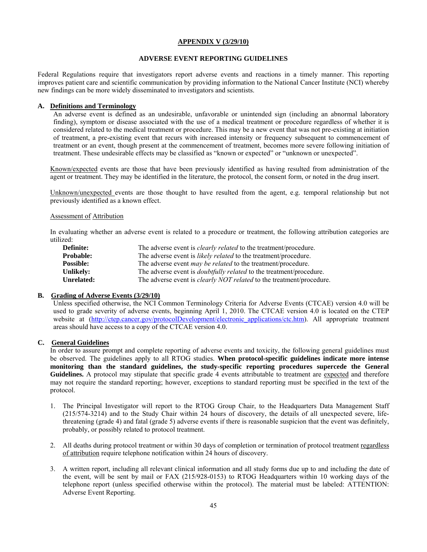#### **APPENDIX V (3/29/10)**

#### **ADVERSE EVENT REPORTING GUIDELINES**

Federal Regulations require that investigators report adverse events and reactions in a timely manner. This reporting improves patient care and scientific communication by providing information to the National Cancer Institute (NCI) whereby new findings can be more widely disseminated to investigators and scientists.

#### **A. Definitions and Terminology**

An adverse event is defined as an undesirable, unfavorable or unintended sign (including an abnormal laboratory finding), symptom or disease associated with the use of a medical treatment or procedure regardless of whether it is considered related to the medical treatment or procedure. This may be a new event that was not pre-existing at initiation of treatment, a pre-existing event that recurs with increased intensity or frequency subsequent to commencement of treatment or an event, though present at the commencement of treatment, becomes more severe following initiation of treatment. These undesirable effects may be classified as "known or expected" or "unknown or unexpected".

Known/expected events are those that have been previously identified as having resulted from administration of the agent or treatment. They may be identified in the literature, the protocol, the consent form, or noted in the drug insert.

Unknown/unexpected events are those thought to have resulted from the agent, e.g. temporal relationship but not previously identified as a known effect.

#### Assessment of Attribution

In evaluating whether an adverse event is related to a procedure or treatment, the following attribution categories are utilized:

| Definite:        | The adverse event is <i>clearly related</i> to the treatment/procedure.     |
|------------------|-----------------------------------------------------------------------------|
| <b>Probable:</b> | The adverse event is <i>likely related</i> to the treatment/procedure.      |
| <b>Possible:</b> | The adverse event <i>may be related</i> to the treatment/procedure.         |
| Unlikely:        | The adverse event is <i>doubtfully related</i> to the treatment/procedure.  |
| Unrelated:       | The adverse event is <i>clearly NOT related</i> to the treatment/procedure. |

#### **B. Grading of Adverse Events (3/29/10)**

Unless specified otherwise, the NCI Common Terminology Criteria for Adverse Events (CTCAE) version 4.0 will be used to grade severity of adverse events, beginning April 1, 2010. The CTCAE version 4.0 is located on the CTEP website at (http://ctep.cancer.gov/protocolDevelopment/electronic applications/ctc.htm). All appropriate treatment areas should have access to a copy of the CTCAE version 4.0.

#### **C. General Guidelines**

In order to assure prompt and complete reporting of adverse events and toxicity, the following general guidelines must be observed. The guidelines apply to all RTOG studies. **When protocol-specific guidelines indicate more intense monitoring than the standard guidelines, the study-specific reporting procedures supercede the General**  Guidelines. A protocol may stipulate that specific grade 4 events attributable to treatment are expected and therefore may not require the standard reporting; however, exceptions to standard reporting must be specified in the text of the protocol.

- 1. The Principal Investigator will report to the RTOG Group Chair, to the Headquarters Data Management Staff (215/574-3214) and to the Study Chair within 24 hours of discovery, the details of all unexpected severe, lifethreatening (grade 4) and fatal (grade 5) adverse events if there is reasonable suspicion that the event was definitely, probably, or possibly related to protocol treatment.
- 2. All deaths during protocol treatment or within 30 days of completion or termination of protocol treatment regardless of attribution require telephone notification within 24 hours of discovery.
- 3. A written report, including all relevant clinical information and all study forms due up to and including the date of the event, will be sent by mail or FAX (215/928-0153) to RTOG Headquarters within 10 working days of the telephone report (unless specified otherwise within the protocol). The material must be labeled: ATTENTION: Adverse Event Reporting.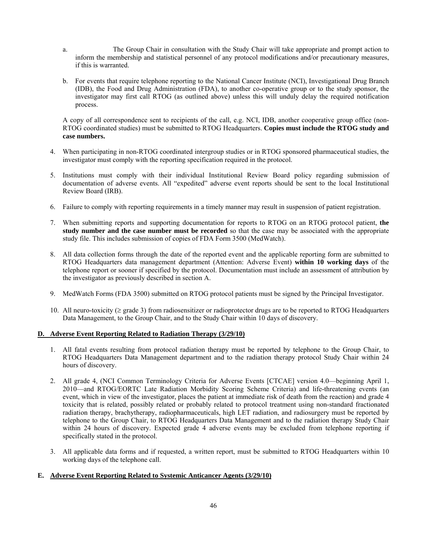- a. The Group Chair in consultation with the Study Chair will take appropriate and prompt action to inform the membership and statistical personnel of any protocol modifications and/or precautionary measures, if this is warranted.
- b. For events that require telephone reporting to the National Cancer Institute (NCI), Investigational Drug Branch (IDB), the Food and Drug Administration (FDA), to another co-operative group or to the study sponsor, the investigator may first call RTOG (as outlined above) unless this will unduly delay the required notification process.

A copy of all correspondence sent to recipients of the call, e.g. NCI, IDB, another cooperative group office (non-RTOG coordinated studies) must be submitted to RTOG Headquarters. **Copies must include the RTOG study and case numbers.** 

- 4. When participating in non-RTOG coordinated intergroup studies or in RTOG sponsored pharmaceutical studies, the investigator must comply with the reporting specification required in the protocol.
- 5. Institutions must comply with their individual Institutional Review Board policy regarding submission of documentation of adverse events. All "expedited" adverse event reports should be sent to the local Institutional Review Board (IRB).
- 6. Failure to comply with reporting requirements in a timely manner may result in suspension of patient registration.
- 7. When submitting reports and supporting documentation for reports to RTOG on an RTOG protocol patient, **the study number and the case number must be recorded** so that the case may be associated with the appropriate study file. This includes submission of copies of FDA Form 3500 (MedWatch).
- 8. All data collection forms through the date of the reported event and the applicable reporting form are submitted to RTOG Headquarters data management department (Attention: Adverse Event) **within 10 working days** of the telephone report or sooner if specified by the protocol. Documentation must include an assessment of attribution by the investigator as previously described in section A.
- 9. MedWatch Forms (FDA 3500) submitted on RTOG protocol patients must be signed by the Principal Investigator.
- 10. All neuro-toxicity ( $\geq$  grade 3) from radiosensitizer or radioprotector drugs are to be reported to RTOG Headquarters Data Management, to the Group Chair, and to the Study Chair within 10 days of discovery.

### **D. Adverse Event Reporting Related to Radiation Therapy (3/29/10)**

- 1. All fatal events resulting from protocol radiation therapy must be reported by telephone to the Group Chair, to RTOG Headquarters Data Management department and to the radiation therapy protocol Study Chair within 24 hours of discovery.
- 2. All grade 4, (NCI Common Terminology Criteria for Adverse Events [CTCAE] version 4.0—beginning April 1, 2010—and RTOG/EORTC Late Radiation Morbidity Scoring Scheme Criteria) and life-threatening events (an event, which in view of the investigator, places the patient at immediate risk of death from the reaction) and grade 4 toxicity that is related, possibly related or probably related to protocol treatment using non-standard fractionated radiation therapy, brachytherapy, radiopharmaceuticals, high LET radiation, and radiosurgery must be reported by telephone to the Group Chair, to RTOG Headquarters Data Management and to the radiation therapy Study Chair within 24 hours of discovery. Expected grade 4 adverse events may be excluded from telephone reporting if specifically stated in the protocol.
- 3. All applicable data forms and if requested, a written report, must be submitted to RTOG Headquarters within 10 working days of the telephone call.

#### **E. Adverse Event Reporting Related to Systemic Anticancer Agents (3/29/10)**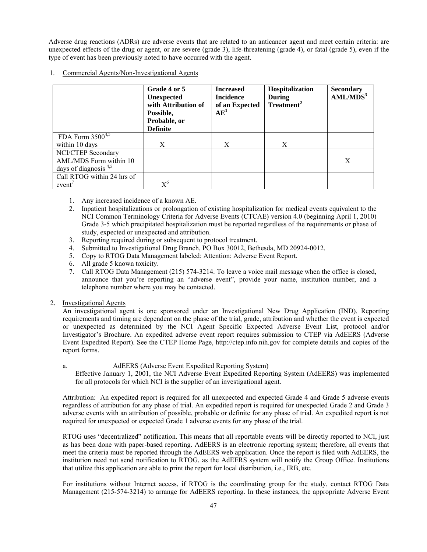Adverse drug reactions (ADRs) are adverse events that are related to an anticancer agent and meet certain criteria: are unexpected effects of the drug or agent, or are severe (grade 3), life-threatening (grade 4), or fatal (grade 5), even if the type of event has been previously noted to have occurred with the agent.

#### 1. Commercial Agents/Non-Investigational Agents

|                            | Grade 4 or 5<br><b>Unexpected</b><br>with Attribution of<br>Possible,<br>Probable, or<br><b>Definite</b> | <b>Increased</b><br><b>Incidence</b><br>of an Expected<br>AE <sup>1</sup> | Hospitalization<br>During<br>Treatment <sup>2</sup> | <b>Secondary</b><br>AML/MDS <sup>3</sup> |
|----------------------------|----------------------------------------------------------------------------------------------------------|---------------------------------------------------------------------------|-----------------------------------------------------|------------------------------------------|
| FDA Form $3500^{4,5}$      |                                                                                                          |                                                                           |                                                     |                                          |
| within 10 days             | X                                                                                                        | X                                                                         | X                                                   |                                          |
| NCI/CTEP Secondary         |                                                                                                          |                                                                           |                                                     |                                          |
| AML/MDS Form within 10     |                                                                                                          |                                                                           |                                                     | X                                        |
| days of diagnosis $4,5$    |                                                                                                          |                                                                           |                                                     |                                          |
| Call RTOG within 24 hrs of |                                                                                                          |                                                                           |                                                     |                                          |
| event'                     | $\mathrm{X}^6$                                                                                           |                                                                           |                                                     |                                          |

- 1. Any increased incidence of a known AE.
- 2. Inpatient hospitalizations or prolongation of existing hospitalization for medical events equivalent to the NCI Common Terminology Criteria for Adverse Events (CTCAE) version 4.0 (beginning April 1, 2010) Grade 3-5 which precipitated hospitalization must be reported regardless of the requirements or phase of study, expected or unexpected and attribution.
- 3. Reporting required during or subsequent to protocol treatment.
- 4. Submitted to Investigational Drug Branch, PO Box 30012, Bethesda, MD 20924-0012.
- 5. Copy to RTOG Data Management labeled: Attention: Adverse Event Report.
- 6. All grade 5 known toxicity.
- 7. Call RTOG Data Management (215) 574-3214. To leave a voice mail message when the office is closed, announce that you're reporting an "adverse event", provide your name, institution number, and a telephone number where you may be contacted.
- 2. Investigational Agents

 An investigational agent is one sponsored under an Investigational New Drug Application (IND). Reporting requirements and timing are dependent on the phase of the trial, grade, attribution and whether the event is expected or unexpected as determined by the NCI Agent Specific Expected Adverse Event List, protocol and/or Investigator's Brochure. An expedited adverse event report requires submission to CTEP via AdEERS (Adverse Event Expedited Report). See the CTEP Home Page, http://ctep.info.nih.gov for complete details and copies of the report forms.

#### a. AdEERS (Adverse Event Expedited Reporting System)

 Effective January 1, 2001, the NCI Adverse Event Expedited Reporting System (AdEERS) was implemented for all protocols for which NCI is the supplier of an investigational agent.

Attribution: An expedited report is required for all unexpected and expected Grade 4 and Grade 5 adverse events regardless of attribution for any phase of trial. An expedited report is required for unexpected Grade 2 and Grade 3 adverse events with an attribution of possible, probable or definite for any phase of trial. An expedited report is not required for unexpected or expected Grade 1 adverse events for any phase of the trial.

RTOG uses "decentralized" notification. This means that all reportable events will be directly reported to NCI, just as has been done with paper-based reporting. AdEERS is an electronic reporting system; therefore, all events that meet the criteria must be reported through the AdEERS web application. Once the report is filed with AdEERS, the institution need not send notification to RTOG, as the AdEERS system will notify the Group Office. Institutions that utilize this application are able to print the report for local distribution, i.e., IRB, etc.

For institutions without Internet access, if RTOG is the coordinating group for the study, contact RTOG Data Management (215-574-3214) to arrange for AdEERS reporting. In these instances, the appropriate Adverse Event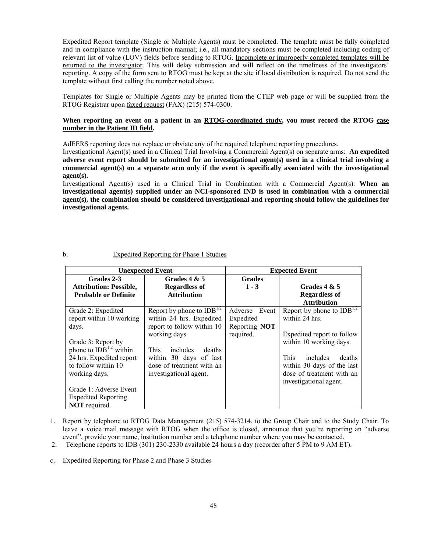Expedited Report template (Single or Multiple Agents) must be completed. The template must be fully completed and in compliance with the instruction manual; i.e., all mandatory sections must be completed including coding of relevant list of value (LOV) fields before sending to RTOG. Incomplete or improperly completed templates will be returned to the investigator. This will delay submission and will reflect on the timeliness of the investigators' reporting. A copy of the form sent to RTOG must be kept at the site if local distribution is required. Do not send the template without first calling the number noted above.

Templates for Single or Multiple Agents may be printed from the CTEP web page or will be supplied from the RTOG Registrar upon faxed request (FAX) (215) 574-0300.

#### **When reporting an event on a patient in an RTOG-coordinated study, you must record the RTOG case number in the Patient ID field.**

AdEERS reporting does not replace or obviate any of the required telephone reporting procedures.

Investigational Agent(s) used in a Clinical Trial Involving a Commercial Agent(s) on separate arms: **An expedited adverse event report should be submitted for an investigational agent(s) used in a clinical trial involving a commercial agent(s) on a separate arm only if the event is specifically associated with the investigational agent(s).** 

Investigational Agent(s) used in a Clinical Trial in Combination with a Commercial Agent(s): **When an investigational agent(s) supplied under an NCI-sponsored IND is used in combination with a commercial agent(s), the combination should be considered investigational and reporting should follow the guidelines for investigational agents.** 

| <b>Unexpected Event</b>                                                                                                                                                                                                                                       |                                                                                                                                                                                                                                 | <b>Expected Event</b>                                    |                                                                                                                                                                                                                              |  |
|---------------------------------------------------------------------------------------------------------------------------------------------------------------------------------------------------------------------------------------------------------------|---------------------------------------------------------------------------------------------------------------------------------------------------------------------------------------------------------------------------------|----------------------------------------------------------|------------------------------------------------------------------------------------------------------------------------------------------------------------------------------------------------------------------------------|--|
| Grades 2-3<br><b>Attribution: Possible,</b><br><b>Probable or Definite</b>                                                                                                                                                                                    | Grades $4 & 5$<br><b>Regardless of</b><br><b>Attribution</b>                                                                                                                                                                    | <b>Grades</b><br>$1 - 3$                                 | Grades $4 & 5$<br><b>Regardless of</b><br><b>Attribution</b>                                                                                                                                                                 |  |
| Grade 2: Expedited<br>report within 10 working<br>days.<br>Grade 3: Report by<br>phone to $IDB1,2$ within<br>24 hrs. Expedited report<br>to follow within 10<br>working days.<br>Grade 1: Adverse Event<br><b>Expedited Reporting</b><br><b>NOT</b> required. | Report by phone to $IDB^{1,2}$<br>within 24 hrs. Expedited<br>report to follow within 10<br>working days.<br><b>This</b><br>includes<br>deaths<br>within 30 days of last<br>dose of treatment with an<br>investigational agent. | Adverse Event<br>Expedited<br>Reporting NOT<br>required. | Report by phone to $IDB^{1,2}$<br>within 24 hrs.<br>Expedited report to follow<br>within 10 working days.<br>This<br>includes<br>deaths<br>within 30 days of the last<br>dose of treatment with an<br>investigational agent. |  |

#### b. Expedited Reporting for Phase 1 Studies

- 1. Report by telephone to RTOG Data Management (215) 574-3214, to the Group Chair and to the Study Chair. To leave a voice mail message with RTOG when the office is closed, announce that you're reporting an "adverse event", provide your name, institution number and a telephone number where you may be contacted.
- 2. Telephone reports to IDB (301) 230-2330 available 24 hours a day (recorder after 5 PM to 9 AM ET).
- c. Expedited Reporting for Phase 2 and Phase 3 Studies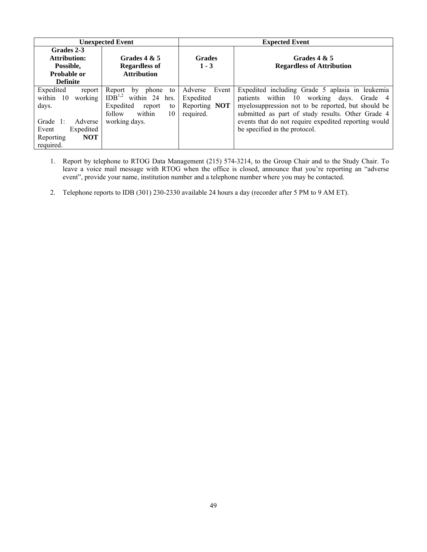|                                                                                                                                              | <b>Unexpected Event</b>                                                                                                                     | <b>Expected Event</b>                                       |                                                                                                                                                                                                                                                                                                 |  |
|----------------------------------------------------------------------------------------------------------------------------------------------|---------------------------------------------------------------------------------------------------------------------------------------------|-------------------------------------------------------------|-------------------------------------------------------------------------------------------------------------------------------------------------------------------------------------------------------------------------------------------------------------------------------------------------|--|
| Grades 2-3<br><b>Attribution:</b><br>Possible.<br>Probable or<br><b>Definite</b>                                                             | Grades $4 & 5$<br><b>Regardless of</b><br><b>Attribution</b>                                                                                | <b>Grades</b><br>$1 - 3$                                    | Grades $4 & 5$<br><b>Regardless of Attribution</b>                                                                                                                                                                                                                                              |  |
| Expedited<br>report<br>within 10<br>working<br>days.<br>Grade $1$ :<br>Adverse<br>Expedited<br>Event<br><b>NOT</b><br>Reporting<br>required. | phone<br>Report<br>to<br>by<br>IDB <sup>1,2</sup><br>within 24 hrs.<br>Expedited<br>report<br>to<br>within<br>follow<br>10<br>working days. | Adverse<br>Event<br>Expedited<br>Reporting NOT<br>required. | Expedited including Grade 5 aplasia in leukemia<br>patients within 10 working days. Grade 4<br>myelosuppression not to be reported, but should be<br>submitted as part of study results. Other Grade 4<br>events that do not require expedited reporting would<br>be specified in the protocol. |  |

- 1. Report by telephone to RTOG Data Management (215) 574-3214, to the Group Chair and to the Study Chair. To leave a voice mail message with RTOG when the office is closed, announce that you're reporting an "adverse event", provide your name, institution number and a telephone number where you may be contacted.
- 2. Telephone reports to IDB (301) 230-2330 available 24 hours a day (recorder after 5 PM to 9 AM ET).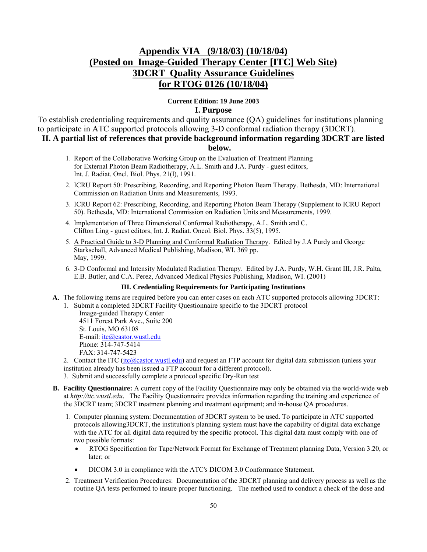## **Appendix VIA (9/18/03) (10/18/04) (Posted on Image-Guided Therapy Center [ITC] Web Site) 3DCRT Quality Assurance Guidelines for RTOG 0126 (10/18/04)**

## **Current Edition: 19 June 2003 I. Purpose**

To establish credentialing requirements and quality assurance (QA) guidelines for institutions planning to participate in ATC supported protocols allowing 3-D conformal radiation therapy (3DCRT).

**II. A partial list of references that provide background information regarding 3DCRT are listed** 

### **below.**

- 1. Report of the Collaborative Working Group on the Evaluation of Treatment Planning for External Photon Beam Radiotherapy, A.L. Smith and J.A. Purdy - guest editors, Int. J. Radiat. Oncl. Biol. Phys. 21(l), 1991.
- 2. ICRU Report 50: Prescribing, Recording, and Reporting Photon Beam Therapy. Bethesda, MD: International Commission on Radiation Units and Measurements, 1993.
- 3. ICRU Report 62: Prescribing, Recording, and Reporting Photon Beam Therapy (Supplement to ICRU Report 50). Bethesda, MD: International Commission on Radiation Units and Measurements, 1999.
- 4. Implementation of Three Dimensional Conformal Radiotherapy, A.L. Smith and C. Clifton Ling - guest editors, Int. J. Radiat. Oncol. Biol. Phys. 33(5), 1995.
- 5. A Practical Guide to 3-D Planning and Conformal Radiation Therapy. Edited by J.A Purdy and George Starkschall, Advanced Medical Publishing, Madison, WI. 369 pp. May, 1999.
- 6. 3-D Conformal and Intensity Modulated Radiation Therapy. Edited by J.A. Purdy, W.H. Grant III, J.R. Palta, E.B. Butler, and C.A. Perez, Advanced Medical Physics Publishing, Madison, WI. (2001)

#### **III. Credentialing Requirements for Participating Institutions**

- **A.** The following items are required before you can enter cases on each ATC supported protocols allowing 3DCRT:
	- 1. Submit a completed 3DCRT Facility Questionnaire specific to the 3DCRT protocol

 Image-guided Therapy Center 4511 Forest Park Ave., Suite 200 St. Louis, MO 63108 E-mail: itc@castor.wustl.edu Phone: 314-747-5414 FAX: 314-747-5423

2. Contact the ITC (itc@castor.wustl.edu) and request an FTP account for digital data submission (unless your institution already has been issued a FTP account for a different protocol).

3. Submit and successfully complete a protocol specific Dry-Run test

- **B. Facility Questionnaire:** A current copy of the Facility Questionnaire may only be obtained via the world-wide web at *http://itc.wustl.edu*. The Facility Questionnaire provides information regarding the training and experience of the 3DCRT team; 3DCRT treatment planning and treatment equipment; and in-house QA procedures.
	- 1. Computer planning system: Documentation of 3DCRT system to be used. To participate in ATC supported protocols allowing3DCRT, the institution's planning system must have the capability of digital data exchange with the ATC for all digital data required by the specific protocol. This digital data must comply with one of two possible formats:
		- RTOG Specification for Tape/Network Format for Exchange of Treatment planning Data, Version 3.20, or later; or
		- DICOM 3.0 in compliance with the ATC's DICOM 3.0 Conformance Statement.
	- 2. Treatment Verification Procedures: Documentation of the 3DCRT planning and delivery process as well as the routine QA tests performed to insure proper functioning. The method used to conduct a check of the dose and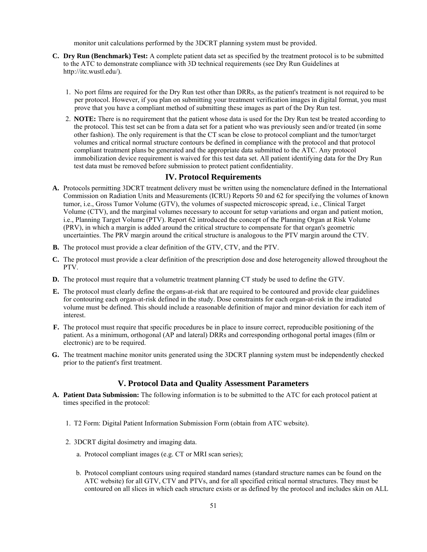monitor unit calculations performed by the 3DCRT planning system must be provided.

- **C. Dry Run (Benchmark) Test:** A complete patient data set as specified by the treatment protocol is to be submitted to the ATC to demonstrate compliance with 3D technical requirements (see Dry Run Guidelines at http://itc.wustl.edu/).
	- 1. No port films are required for the Dry Run test other than DRRs, as the patient's treatment is not required to be per protocol. However, if you plan on submitting your treatment verification images in digital format, you must prove that you have a compliant method of submitting these images as part of the Dry Run test.
	- 2. **NOTE:** There is no requirement that the patient whose data is used for the Dry Run test be treated according to the protocol. This test set can be from a data set for a patient who was previously seen and/or treated (in some other fashion). The only requirement is that the CT scan be close to protocol compliant and the tumor/target volumes and critical normal structure contours be defined in compliance with the protocol and that protocol compliant treatment plans be generated and the appropriate data submitted to the ATC. Any protocol immobilization device requirement is waived for this test data set. All patient identifying data for the Dry Run test data must be removed before submission to protect patient confidentiality.

## **IV. Protocol Requirements**

- **A.** Protocols permitting 3DCRT treatment delivery must be written using the nomenclature defined in the International Commission on Radiation Units and Measurements (ICRU) Reports 50 and 62 for specifying the volumes of known tumor, i.e., Gross Tumor Volume (GTV), the volumes of suspected microscopic spread, i.e., Clinical Target Volume (CTV), and the marginal volumes necessary to account for setup variations and organ and patient motion, i.e., Planning Target Volume (PTV). Report 62 introduced the concept of the Planning Organ at Risk Volume (PRV), in which a margin is added around the critical structure to compensate for that organ's geometric uncertainties. The PRV margin around the critical structure is analogous to the PTV margin around the CTV.
- **B.** The protocol must provide a clear definition of the GTV, CTV, and the PTV.
- **C.** The protocol must provide a clear definition of the prescription dose and dose heterogeneity allowed throughout the PTV.
- **D.** The protocol must require that a volumetric treatment planning CT study be used to define the GTV.
- **E.** The protocol must clearly define the organs-at-risk that are required to be contoured and provide clear guidelines for contouring each organ-at-risk defined in the study. Dose constraints for each organ-at-risk in the irradiated volume must be defined. This should include a reasonable definition of major and minor deviation for each item of interest.
- **F.** The protocol must require that specific procedures be in place to insure correct, reproducible positioning of the patient. As a minimum, orthogonal (AP and lateral) DRRs and corresponding orthogonal portal images (film or electronic) are to be required.
- **G.** The treatment machine monitor units generated using the 3DCRT planning system must be independently checked prior to the patient's first treatment.

### **V. Protocol Data and Quality Assessment Parameters**

- **A. Patient Data Submission:** The following information is to be submitted to the ATC for each protocol patient at times specified in the protocol:
	- 1. T2 Form: Digital Patient Information Submission Form (obtain from ATC website).
	- 2. 3DCRT digital dosimetry and imaging data.
		- a. Protocol compliant images (e.g. CT or MRI scan series);
		- b. Protocol compliant contours using required standard names (standard structure names can be found on the ATC website) for all GTV, CTV and PTVs, and for all specified critical normal structures. They must be contoured on all slices in which each structure exists or as defined by the protocol and includes skin on ALL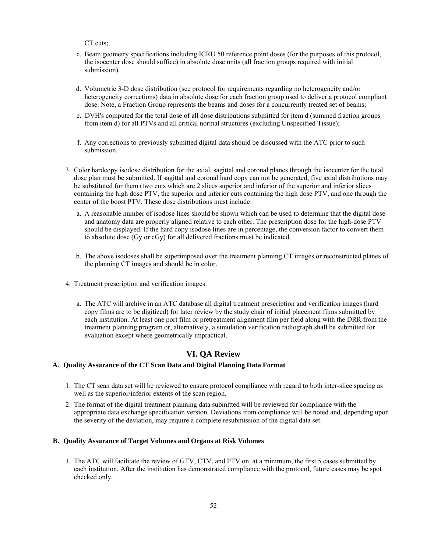CT cuts;

- c. Beam geometry specifications including ICRU 50 reference point doses (for the purposes of this protocol, the isocenter dose should suffice) in absolute dose units (all fraction groups required with initial submission).
- d. Volumetric 3-D dose distribution (see protocol for requirements regarding no heterogeneity and/or heterogeneity corrections) data in absolute dose for each fraction group used to deliver a protocol compliant dose. Note, a Fraction Group represents the beams and doses for a concurrently treated set of beams;
- e. DVH's computed for the total dose of all dose distributions submitted for item d (summed fraction groups from item d) for all PTVs and all critical normal structures (excluding Unspecified Tissue);
- f. Any corrections to previously submitted digital data should be discussed with the ATC prior to such submission.
- 3. Color hardcopy isodose distribution for the axial, sagittal and coronal planes through the isocenter for the total dose plan must be submitted. If sagittal and coronal hard copy can not be generated, five axial distributions may be substituted for them (two cuts which are 2 slices superior and inferior of the superior and inferior slices containing the high dose PTV, the superior and inferior cuts containing the high dose PTV, and one through the center of the boost PTV. These dose distributions must include:
	- a. A reasonable number of isodose lines should be shown which can be used to determine that the digital dose and anatomy data are properly aligned relative to each other. The prescription dose for the high-dose PTV should be displayed. If the hard copy isodose lines are in percentage, the conversion factor to convert them to absolute dose (Gy or cGy) for all delivered fractions must be indicated.
	- b. The above isodoses shall be superimposed over the treatment planning CT images or reconstructed planes of the planning CT images and should be in color.
- 4. Treatment prescription and verification images:
	- a. The ATC will archive in an ATC database all digital treatment prescription and verification images (hard copy films are to be digitized) for later review by the study chair of initial placement films submitted by each institution. At least one port film or pretreatment alignment film per field along with the DRR from the treatment planning program or, alternatively, a simulation verification radiograph shall be submitted for evaluation except where geometrically impractical.

## **VI. QA Review**

#### **A. Quality Assurance of the CT Scan Data and Digital Planning Data Format**

- 1. The CT scan data set will be reviewed to ensure protocol compliance with regard to both inter-slice spacing as well as the superior/inferior extents of the scan region.
- 2. The format of the digital treatment planning data submitted will be reviewed for compliance with the appropriate data exchange specification version. Deviations from compliance will be noted and, depending upon the severity of the deviation, may require a complete resubmission of the digital data set.

#### **B. Quality Assurance of Target Volumes and Organs at Risk Volumes**

1. The ATC will facilitate the review of GTV, CTV, and PTV on, at a minimum, the first 5 cases submitted by each institution. After the institution has demonstrated compliance with the protocol, future cases may be spot checked only.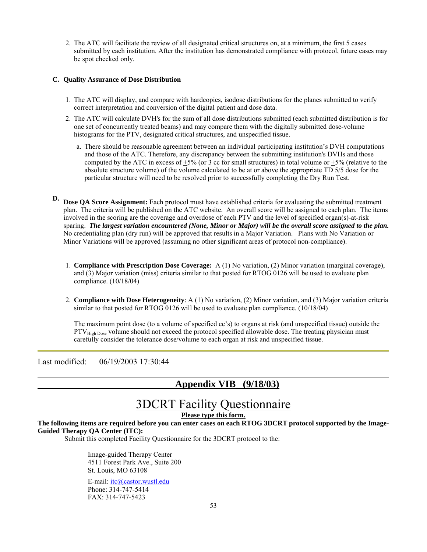2. The ATC will facilitate the review of all designated critical structures on, at a minimum, the first 5 cases submitted by each institution. After the institution has demonstrated compliance with protocol, future cases may be spot checked only.

#### **C. Quality Assurance of Dose Distribution**

- 1. The ATC will display, and compare with hardcopies, isodose distributions for the planes submitted to verify correct interpretation and conversion of the digital patient and dose data.
- 2. The ATC will calculate DVH's for the sum of all dose distributions submitted (each submitted distribution is for one set of concurrently treated beams) and may compare them with the digitally submitted dose-volume histograms for the PTV, designated critical structures, and unspecified tissue.
	- a. There should be reasonable agreement between an individual participating institution's DVH computations and those of the ATC. Therefore, any discrepancy between the submitting institution's DVHs and those computed by the ATC in excess of  $+5%$  (or 3 cc for small structures) in total volume or  $+5%$  (relative to the absolute structure volume) of the volume calculated to be at or above the appropriate TD 5/5 dose for the particular structure will need to be resolved prior to successfully completing the Dry Run Test.
- **D. Dose QA Score Assignment:** Each protocol must have established criteria for evaluating the submitted treatment plan. The criteria will be published on the ATC website. An overall score will be assigned to each plan. The items involved in the scoring are the coverage and overdose of each PTV and the level of specified organ(s)-at-risk sparing. *The largest variation encountered (None, Minor or Major) will be the overall score assigned to the plan.* No credentialing plan (dry run) will be approved that results in a Major Variation. Plans with No Variation or Minor Variations will be approved (assuming no other significant areas of protocol non-compliance).
	- 1. **Compliance with Prescription Dose Coverage:** A (1) No variation, (2) Minor variation (marginal coverage), and (3) Major variation (miss) criteria similar to that posted for RTOG 0126 will be used to evaluate plan compliance. (10/18/04)
	- 2. **Compliance with Dose Heterogeneity**: A (1) No variation, (2) Minor variation, and (3) Major variation criteria similar to that posted for RTOG 0126 will be used to evaluate plan compliance. (10/18/04)

The maximum point dose (to a volume of specified cc's) to organs at risk (and unspecified tissue) outside the  $PTV<sub>High Does</sub> volume should not exceed the protocol specified allowable dose. The treating physician must$ carefully consider the tolerance dose/volume to each organ at risk and unspecified tissue.

Last modified: 06/19/2003 17:30:44

## **Appendix VIB (9/18/03)**

# 3DCRT Facility Questionnaire

**Please type this form.**

**The following items are required before you can enter cases on each RTOG 3DCRT protocol supported by the Image-Guided Therapy QA Center (ITC):** 

Submit this completed Facility Questionnaire for the 3DCRT protocol to the:

Image-guided Therapy Center 4511 Forest Park Ave., Suite 200 St. Louis, MO 63108

E-mail: itc@castor.wustl.edu Phone: 314-747-5414 FAX: 314-747-5423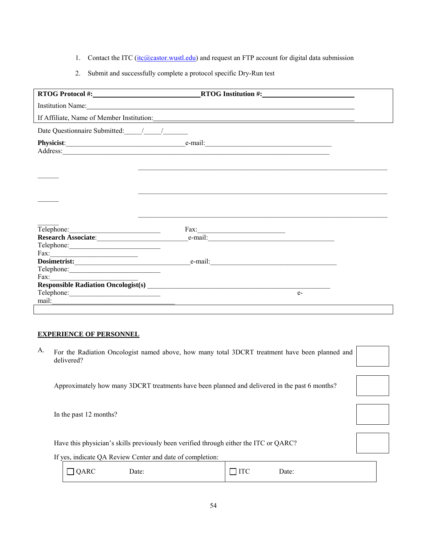- 1. Contact the ITC ( $\frac{itc(a) \cdot cs}{itc(a) \cdot cs \cdot ts \cdot ts}$ ) and request an FTP account for digital data submission
- 2. Submit and successfully complete a protocol specific Dry-Run test

|                      | RTOG Protocol #: RTOG Institution #:                                                                                                     |      |
|----------------------|------------------------------------------------------------------------------------------------------------------------------------------|------|
|                      | Institution Name:                                                                                                                        |      |
|                      |                                                                                                                                          |      |
|                      |                                                                                                                                          |      |
|                      |                                                                                                                                          |      |
|                      |                                                                                                                                          |      |
|                      |                                                                                                                                          |      |
|                      |                                                                                                                                          |      |
| Telephone:           | $\boxed{\text{Fax:}\_\_\_\_\_}$                                                                                                          |      |
|                      |                                                                                                                                          |      |
|                      |                                                                                                                                          |      |
|                      | e-mail:                                                                                                                                  |      |
|                      |                                                                                                                                          |      |
| Fax: $\qquad \qquad$ |                                                                                                                                          |      |
|                      | Responsible Radiation Oncologist(s)<br><u>Land Communication</u><br>Land Communication Oncologist(s)<br>Land Communication Oncologist(s) |      |
|                      |                                                                                                                                          | $e-$ |
| mail:                |                                                                                                                                          |      |

#### **EXPERIENCE OF PERSONNEL**

A. For the Radiation Oncologist named above, how many total 3DCRT treatment have been planned and delivered?

Approximately how many 3DCRT treatments have been planned and delivered in the past 6 months?

In the past 12 months?

Have this physician's skills previously been verified through either the ITC or QARC?

If yes, indicate QA Review Center and date of completion:

| $\Box$ QARC | Date: | $\sqcap$ ITC<br>Date: |  |
|-------------|-------|-----------------------|--|
|             |       |                       |  |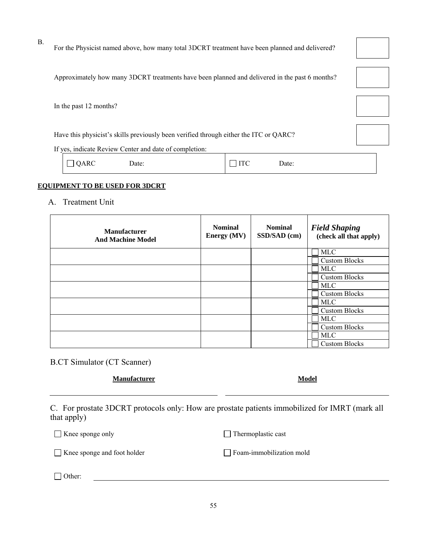For the Physicist named above, how many total 3DCRT treatment have been planned and delivered?

Approximately how many 3DCRT treatments have been planned and delivered in the past 6 months?

In the past 12 months?

B.

Have this physicist's skills previously been verified through either the ITC or QARC?

If yes, indicate Review Center and date of completion:

| ٠А.<br>יי |
|-----------|
|-----------|

QARC Date:  $\Box$  ITC Date:

## **EQUIPMENT TO BE USED FOR 3DCRT**

#### A. Treatment Unit

| <b>Manufacturer</b><br><b>And Machine Model</b> | <b>Nominal</b><br><b>Energy</b> (MV) | <b>Nominal</b><br>SSD/SAD (cm) | <b>Field Shaping</b><br>(check all that apply) |  |
|-------------------------------------------------|--------------------------------------|--------------------------------|------------------------------------------------|--|
|                                                 |                                      |                                | <b>MLC</b>                                     |  |
|                                                 |                                      |                                | <b>Custom Blocks</b>                           |  |
|                                                 |                                      |                                | <b>MLC</b>                                     |  |
|                                                 |                                      |                                | <b>Custom Blocks</b>                           |  |
|                                                 |                                      |                                | <b>MLC</b>                                     |  |
|                                                 |                                      |                                | <b>Custom Blocks</b>                           |  |
|                                                 |                                      |                                | MLC                                            |  |
|                                                 |                                      |                                | <b>Custom Blocks</b>                           |  |
|                                                 |                                      |                                | <b>MLC</b>                                     |  |
|                                                 |                                      |                                | <b>Custom Blocks</b>                           |  |
|                                                 |                                      |                                | <b>MLC</b>                                     |  |
|                                                 |                                      |                                | <b>Custom Blocks</b>                           |  |

B.CT Simulator (CT Scanner)

#### **Manufacturer Model**

 C. For prostate 3DCRT protocols only: How are prostate patients immobilized for IMRT (mark all that apply)

□ Knee sponge only Thermoplastic cast

□ Knee sponge and foot holder Foam-immobilization mold

□ Other:

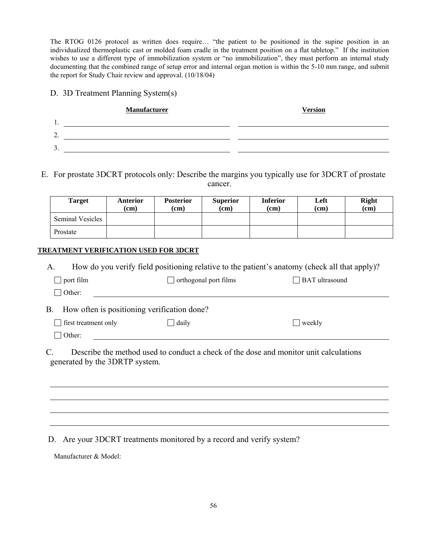The RTOG 0126 protocol as written does require… "the patient to be positioned in the supine position in an individualized thermoplastic cast or molded foam cradle in the treatment position on a flat tabletop." If the institution wishes to use a different type of immobilization system or "no immobilization", they must perform an internal study documenting that the combined range of setup error and internal organ motion is within the 5-10 mm range, and submit the report for Study Chair review and approval. (10/18/04)

## D. 3D Treatment Planning System(s)

| <b>Manufacturer</b> | <b>Version</b> |
|---------------------|----------------|
| 1.                  |                |
| า<br>۷.             |                |
| Ĵ.                  |                |

E. For prostate 3DCRT protocols only: Describe the margins you typically use for 3DCRT of prostate cancer.

| <b>Target</b>           | Anterior<br>(cm) | <b>Posterior</b><br>(cm) | <b>Superior</b><br>(cm) | <b>Inferior</b><br>(cm) | Left<br>(cm) | <b>Right</b><br>(cm) |
|-------------------------|------------------|--------------------------|-------------------------|-------------------------|--------------|----------------------|
| <b>Seminal Vesicles</b> |                  |                          |                         |                         |              |                      |
| Prostate                |                  |                          |                         |                         |              |                      |

## **TREATMENT VERIFICATION USED FOR 3DCRT**

| А.                                                | How do you verify field positioning relative to the patient's anatomy (check all that apply)? |                |  |  |  |  |
|---------------------------------------------------|-----------------------------------------------------------------------------------------------|----------------|--|--|--|--|
| $\Box$ port film                                  | $\Box$ orthogonal port films                                                                  | BAT ultrasound |  |  |  |  |
| $\Box$ Other:                                     |                                                                                               |                |  |  |  |  |
| How often is positioning verification done?<br>B. |                                                                                               |                |  |  |  |  |
| first treatment only                              | $\Box$ daily                                                                                  | $\vert$ weekly |  |  |  |  |
| $\Box$ Other:                                     |                                                                                               |                |  |  |  |  |
|                                                   |                                                                                               |                |  |  |  |  |

 C. Describe the method used to conduct a check of the dose and monitor unit calculations generated by the 3DRTP system.

D. Are your 3DCRT treatments monitored by a record and verify system?

Manufacturer & Model: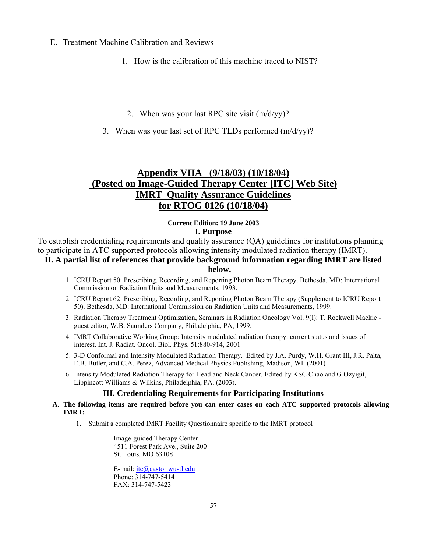- E. Treatment Machine Calibration and Reviews
	- 1. How is the calibration of this machine traced to NIST?
		- 2. When was your last RPC site visit (m/d/yy)?
	- 3. When was your last set of RPC TLDs performed (m/d/yy)?

## **Appendix VIIA (9/18/03) (10/18/04) (Posted on Image-Guided Therapy Center [ITC] Web Site) IMRT Quality Assurance Guidelines for RTOG 0126 (10/18/04)**

## **Current Edition: 19 June 2003 I. Purpose**

To establish credentialing requirements and quality assurance (QA) guidelines for institutions planning to participate in ATC supported protocols allowing intensity modulated radiation therapy (IMRT).

## **II. A partial list of references that provide background information regarding IMRT are listed below.**

- 1. ICRU Report 50: Prescribing, Recording, and Reporting Photon Beam Therapy. Bethesda, MD: International Commission on Radiation Units and Measurements, 1993.
- 2. ICRU Report 62: Prescribing, Recording, and Reporting Photon Beam Therapy (Supplement to ICRU Report 50). Bethesda, MD: International Commission on Radiation Units and Measurements, 1999.
- 3. Radiation Therapy Treatment Optimization, Seminars in Radiation Oncology Vol. 9(l): T. Rockwell Mackie guest editor, W.B. Saunders Company, Philadelphia, PA, 1999.
- 4. IMRT Collaborative Working Group: Intensity modulated radiation therapy: current status and issues of interest. Int. J. Radiat. Oncol. Biol. Phys. 51:880-914, 2001
- 5. 3-D Conformal and Intensity Modulated Radiation Therapy. Edited by J.A. Purdy, W.H. Grant III, J.R. Palta, E.B. Butler, and C.A. Perez, Advanced Medical Physics Publishing, Madison, WI. (2001)
- 6. Intensity Modulated Radiation Therapy for Head and Neck Cancer. Edited by KSC Chao and G Ozyigit, Lippincott Williams & Wilkins, Philadelphia, PA. (2003).

## **III. Credentialing Requirements for Participating Institutions**

- **A. The following items are required before you can enter cases on each ATC supported protocols allowing IMRT:** 
	- 1. Submit a completed IMRT Facility Questionnaire specific to the IMRT protocol

Image-guided Therapy Center 4511 Forest Park Ave., Suite 200 St. Louis, MO 63108

E-mail: itc@castor.wustl.edu Phone: 314-747-5414 FAX: 314-747-5423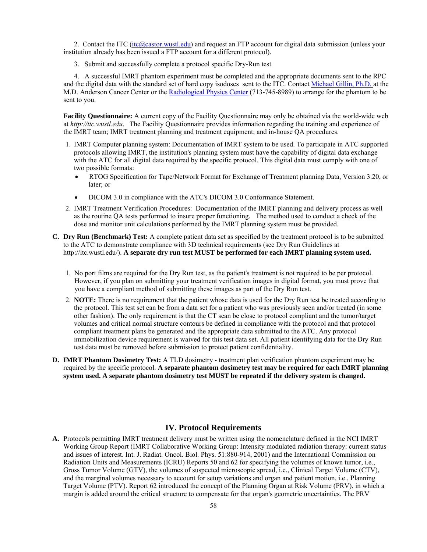2. Contact the ITC (itc@castor.wustl.edu) and request an FTP account for digital data submission (unless your institution already has been issued a FTP account for a different protocol).

3. Submit and successfully complete a protocol specific Dry-Run test

 4. A successful IMRT phantom experiment must be completed and the appropriate documents sent to the RPC and the digital data with the standard set of hard copy isodoses sent to the ITC. Contact Michael Gillin, Ph.D. at the M.D. Anderson Cancer Center or the Radiological Physics Center (713-745-8989) to arrange for the phantom to be sent to you.

**Facility Questionnaire:** A current copy of the Facility Questionnaire may only be obtained via the world-wide web at *http://itc.wustl.edu*. The Facility Questionnaire provides information regarding the training and experience of the IMRT team; IMRT treatment planning and treatment equipment; and in-house QA procedures.

- 1. IMRT Computer planning system: Documentation of IMRT system to be used. To participate in ATC supported protocols allowing IMRT, the institution's planning system must have the capability of digital data exchange with the ATC for all digital data required by the specific protocol. This digital data must comply with one of two possible formats:
	- RTOG Specification for Tape/Network Format for Exchange of Treatment planning Data, Version 3.20, or later; or
	- DICOM 3.0 in compliance with the ATC's DICOM 3.0 Conformance Statement.
- 2. IMRT Treatment Verification Procedures: Documentation of the IMRT planning and delivery process as well as the routine QA tests performed to insure proper functioning. The method used to conduct a check of the dose and monitor unit calculations performed by the IMRT planning system must be provided.
- **C. Dry Run (Benchmark) Test:** A complete patient data set as specified by the treatment protocol is to be submitted to the ATC to demonstrate compliance with 3D technical requirements (see Dry Run Guidelines at http://itc.wustl.edu/). **A separate dry run test MUST be performed for each IMRT planning system used.**
	- 1. No port films are required for the Dry Run test, as the patient's treatment is not required to be per protocol. However, if you plan on submitting your treatment verification images in digital format, you must prove that you have a compliant method of submitting these images as part of the Dry Run test.
	- 2. **NOTE:** There is no requirement that the patient whose data is used for the Dry Run test be treated according to the protocol. This test set can be from a data set for a patient who was previously seen and/or treated (in some other fashion). The only requirement is that the CT scan be close to protocol compliant and the tumor/target volumes and critical normal structure contours be defined in compliance with the protocol and that protocol compliant treatment plans be generated and the appropriate data submitted to the ATC. Any protocol immobilization device requirement is waived for this test data set. All patient identifying data for the Dry Run test data must be removed before submission to protect patient confidentiality.
- **D. IMRT Phantom Dosimetry Test:** A TLD dosimetry treatment plan verification phantom experiment may be required by the specific protocol. **A separate phantom dosimetry test may be required for each IMRT planning system used. A separate phantom dosimetry test MUST be repeated if the delivery system is changed.**

## **IV. Protocol Requirements**

**A.** Protocols permitting IMRT treatment delivery must be written using the nomenclature defined in the NCI IMRT Working Group Report (IMRT Collaborative Working Group: Intensity modulated radiation therapy: current status and issues of interest. Int. J. Radiat. Oncol. Biol. Phys. 51:880-914, 2001) and the International Commission on Radiation Units and Measurements (ICRU) Reports 50 and 62 for specifying the volumes of known tumor, i.e., Gross Tumor Volume (GTV), the volumes of suspected microscopic spread, i.e., Clinical Target Volume (CTV), and the marginal volumes necessary to account for setup variations and organ and patient motion, i.e., Planning Target Volume (PTV). Report 62 introduced the concept of the Planning Organ at Risk Volume (PRV), in which a margin is added around the critical structure to compensate for that organ's geometric uncertainties. The PRV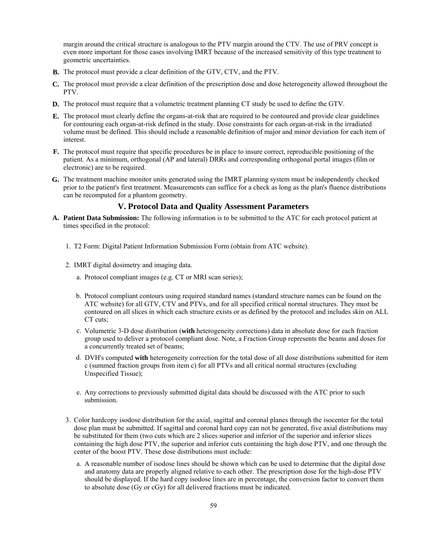margin around the critical structure is analogous to the PTV margin around the CTV. The use of PRV concept is even more important for those cases involving IMRT because of the increased sensitivity of this type treatment to geometric uncertainties.

- **B.** The protocol must provide a clear definition of the GTV, CTV, and the PTV.
- **C.** The protocol must provide a clear definition of the prescription dose and dose heterogeneity allowed throughout the PTV.
- **D.** The protocol must require that a volumetric treatment planning CT study be used to define the GTV.
- **E.** The protocol must clearly define the organs-at-risk that are required to be contoured and provide clear guidelines for contouring each organ-at-risk defined in the study. Dose constraints for each organ-at-risk in the irradiated volume must be defined. This should include a reasonable definition of major and minor deviation for each item of interest.
- **F.** The protocol must require that specific procedures be in place to insure correct, reproducible positioning of the patient. As a minimum, orthogonal (AP and lateral) DRRs and corresponding orthogonal portal images (film or electronic) are to be required.
- **G.** The treatment machine monitor units generated using the IMRT planning system must be independently checked prior to the patient's first treatment. Measurements can suffice for a check as long as the plan's fluence distributions can be recomputed for a phantom geometry.

### **V. Protocol Data and Quality Assessment Parameters**

- **A. Patient Data Submission:** The following information is to be submitted to the ATC for each protocol patient at times specified in the protocol:
	- 1. T2 Form: Digital Patient Information Submission Form (obtain from ATC website).
	- 2. IMRT digital dosimetry and imaging data.
		- a. Protocol compliant images (e.g. CT or MRI scan series);
		- b. Protocol compliant contours using required standard names (standard structure names can be found on the ATC website) for all GTV, CTV and PTVs, and for all specified critical normal structures. They must be contoured on all slices in which each structure exists or as defined by the protocol and includes skin on ALL CT cuts;
		- c. Volumetric 3-D dose distribution (**with** heterogeneity corrections) data in absolute dose for each fraction group used to deliver a protocol compliant dose. Note, a Fraction Group represents the beams and doses for a concurrently treated set of beams;
		- d. DVH's computed **with** heterogeneity correction for the total dose of all dose distributions submitted for item c (summed fraction groups from item c) for all PTVs and all critical normal structures (excluding Unspecified Tissue);
		- e. Any corrections to previously submitted digital data should be discussed with the ATC prior to such submission.
	- 3. Color hardcopy isodose distribution for the axial, sagittal and coronal planes through the isocenter for the total dose plan must be submitted. If sagittal and coronal hard copy can not be generated, five axial distributions may be substituted for them (two cuts which are 2 slices superior and inferior of the superior and inferior slices containing the high dose PTV, the superior and inferior cuts containing the high dose PTV, and one through the center of the boost PTV. These dose distributions must include:
		- a. A reasonable number of isodose lines should be shown which can be used to determine that the digital dose and anatomy data are properly aligned relative to each other. The prescription dose for the high-dose PTV should be displayed. If the hard copy isodose lines are in percentage, the conversion factor to convert them to absolute dose (Gy or cGy) for all delivered fractions must be indicated.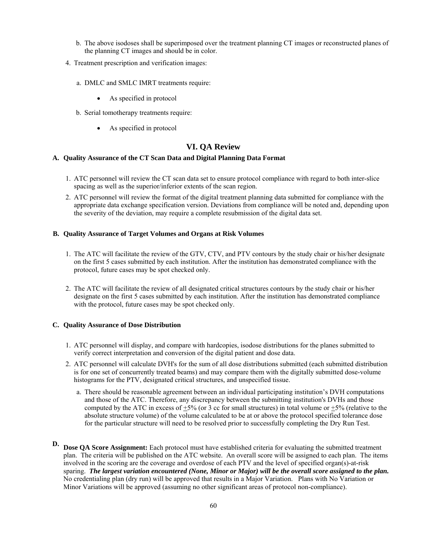- b. The above isodoses shall be superimposed over the treatment planning CT images or reconstructed planes of the planning CT images and should be in color.
- 4. Treatment prescription and verification images:
	- a. DMLC and SMLC IMRT treatments require:
		- As specified in protocol
	- b. Serial tomotherapy treatments require:
		- As specified in protocol

#### **VI. QA Review**

#### **A. Quality Assurance of the CT Scan Data and Digital Planning Data Format**

- 1. ATC personnel will review the CT scan data set to ensure protocol compliance with regard to both inter-slice spacing as well as the superior/inferior extents of the scan region.
- 2. ATC personnel will review the format of the digital treatment planning data submitted for compliance with the appropriate data exchange specification version. Deviations from compliance will be noted and, depending upon the severity of the deviation, may require a complete resubmission of the digital data set.

#### **B. Quality Assurance of Target Volumes and Organs at Risk Volumes**

- 1. The ATC will facilitate the review of the GTV, CTV, and PTV contours by the study chair or his/her designate on the first 5 cases submitted by each institution. After the institution has demonstrated compliance with the protocol, future cases may be spot checked only.
- 2. The ATC will facilitate the review of all designated critical structures contours by the study chair or his/her designate on the first 5 cases submitted by each institution. After the institution has demonstrated compliance with the protocol, future cases may be spot checked only.

#### **C. Quality Assurance of Dose Distribution**

- 1. ATC personnel will display, and compare with hardcopies, isodose distributions for the planes submitted to verify correct interpretation and conversion of the digital patient and dose data.
- 2. ATC personnel will calculate DVH's for the sum of all dose distributions submitted (each submitted distribution is for one set of concurrently treated beams) and may compare them with the digitally submitted dose-volume histograms for the PTV, designated critical structures, and unspecified tissue.
	- a. There should be reasonable agreement between an individual participating institution's DVH computations and those of the ATC. Therefore, any discrepancy between the submitting institution's DVHs and those computed by the ATC in excess of  $+5%$  (or 3 cc for small structures) in total volume or  $+5%$  (relative to the absolute structure volume) of the volume calculated to be at or above the protocol specified tolerance dose for the particular structure will need to be resolved prior to successfully completing the Dry Run Test.
- **D. Dose OA Score Assignment:** Each protocol must have established criteria for evaluating the submitted treatment plan. The criteria will be published on the ATC website. An overall score will be assigned to each plan. The items involved in the scoring are the coverage and overdose of each PTV and the level of specified organ(s)-at-risk sparing. *The largest variation encountered (None, Minor or Major) will be the overall score assigned to the plan.* No credentialing plan (dry run) will be approved that results in a Major Variation. Plans with No Variation or Minor Variations will be approved (assuming no other significant areas of protocol non-compliance).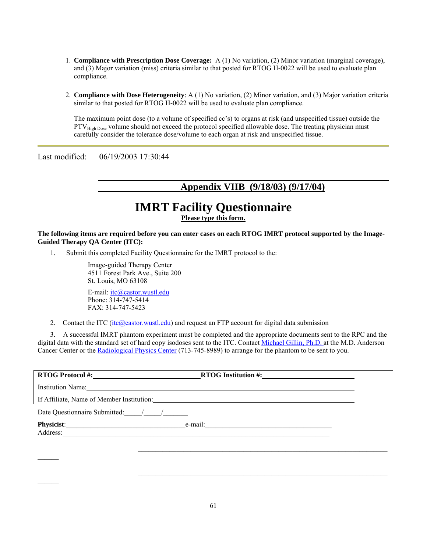- 1. **Compliance with Prescription Dose Coverage:** A (1) No variation, (2) Minor variation (marginal coverage), and (3) Major variation (miss) criteria similar to that posted for RTOG H-0022 will be used to evaluate plan compliance.
- 2. **Compliance with Dose Heterogeneity**: A (1) No variation, (2) Minor variation, and (3) Major variation criteria similar to that posted for RTOG H-0022 will be used to evaluate plan compliance.

The maximum point dose (to a volume of specified cc's) to organs at risk (and unspecified tissue) outside the PTV<sub>High Dose</sub> volume should not exceed the protocol specified allowable dose. The treating physician must carefully consider the tolerance dose/volume to each organ at risk and unspecified tissue.

Last modified: 06/19/2003 17:30:44

## **Appendix VIIB (9/18/03) (9/17/04)**

# **IMRT Facility Questionnaire**

**Please type this form.**

**The following items are required before you can enter cases on each RTOG IMRT protocol supported by the Image-Guided Therapy QA Center (ITC):** 

1. Submit this completed Facility Questionnaire for the IMRT protocol to the:

Image-guided Therapy Center 4511 Forest Park Ave., Suite 200 St. Louis, MO 63108 E-mail: itc@castor.wustl.edu

Phone: 314-747-5414 FAX: 314-747-5423

2. Contact the ITC (itc@castor.wustl.edu) and request an FTP account for digital data submission

3. A successful IMRT phantom experiment must be completed and the appropriate documents sent to the RPC and the digital data with the standard set of hard copy isodoses sent to the ITC. Contact Michael Gillin, Ph.D. at the M.D. Anderson Cancer Center or the Radiological Physics Center (713-745-8989) to arrange for the phantom to be sent to you.

| <b>RTOG Protocol #:</b>                                                                                                                                                                                                        | <b>RTOG</b> Institution #: |  |
|--------------------------------------------------------------------------------------------------------------------------------------------------------------------------------------------------------------------------------|----------------------------|--|
| Institution Name: The Contract of the Contract of the Contract of the Contract of the Contract of the Contract of the Contract of the Contract of the Contract of the Contract of the Contract of the Contract of the Contract |                            |  |
| If Affiliate, Name of Member Institution:                                                                                                                                                                                      |                            |  |
| Date Questionnaire Submitted:                                                                                                                                                                                                  |                            |  |
| Physicist:<br>Address:                                                                                                                                                                                                         | e-mail:                    |  |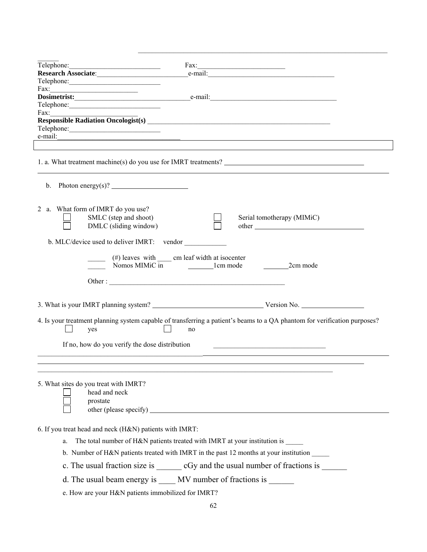|                                                                    | Fax:                                                                                                                                                                                                                                   |
|--------------------------------------------------------------------|----------------------------------------------------------------------------------------------------------------------------------------------------------------------------------------------------------------------------------------|
| Research Associate:                                                | e-mail:                                                                                                                                                                                                                                |
|                                                                    |                                                                                                                                                                                                                                        |
| $\text{Fax:}$                                                      |                                                                                                                                                                                                                                        |
|                                                                    | Dosimetrist: entitled and the mail: entitled and the mail:                                                                                                                                                                             |
|                                                                    |                                                                                                                                                                                                                                        |
| Fax: $\qquad \qquad$                                               |                                                                                                                                                                                                                                        |
|                                                                    | Responsible Radiation Oncologist(s)<br><u>Letter and the contract of the contract of the contract of the contract of the contract of the contract of the contract of the contract of the contract of the contract of the contract </u> |
|                                                                    | e-mail: $\qquad \qquad$                                                                                                                                                                                                                |
|                                                                    |                                                                                                                                                                                                                                        |
|                                                                    |                                                                                                                                                                                                                                        |
| b. Photon energy(s)? $\qquad \qquad$                               |                                                                                                                                                                                                                                        |
| 2 a. What form of IMRT do you use?                                 |                                                                                                                                                                                                                                        |
| SMLC (step and shoot)                                              | Serial tomotherapy (MIMiC)                                                                                                                                                                                                             |
| DMLC (sliding window)                                              | other                                                                                                                                                                                                                                  |
|                                                                    |                                                                                                                                                                                                                                        |
| b. MLC/device used to deliver IMRT: vendor                         |                                                                                                                                                                                                                                        |
|                                                                    |                                                                                                                                                                                                                                        |
|                                                                    | 2cm mode                                                                                                                                                                                                                               |
|                                                                    |                                                                                                                                                                                                                                        |
|                                                                    |                                                                                                                                                                                                                                        |
|                                                                    |                                                                                                                                                                                                                                        |
| yes                                                                | 4. Is your treatment planning system capable of transferring a patient's beams to a QA phantom for verification purposes?<br>no                                                                                                        |
|                                                                    |                                                                                                                                                                                                                                        |
|                                                                    |                                                                                                                                                                                                                                        |
| If no, how do you verify the dose distribution                     | <u> 1989 - Andrea Andrew Maria (h. 1989).</u>                                                                                                                                                                                          |
|                                                                    |                                                                                                                                                                                                                                        |
| 5. What sites do you treat with IMRT?<br>head and neck<br>prostate |                                                                                                                                                                                                                                        |
|                                                                    |                                                                                                                                                                                                                                        |
|                                                                    |                                                                                                                                                                                                                                        |
| 6. If you treat head and neck (H&N) patients with IMRT:            |                                                                                                                                                                                                                                        |
| a.                                                                 | The total number of H&N patients treated with IMRT at your institution is<br>b. Number of H&N patients treated with IMRT in the past 12 months at your institution                                                                     |
|                                                                    | c. The usual fraction size is ________ cGy and the usual number of fractions is _______                                                                                                                                                |
|                                                                    |                                                                                                                                                                                                                                        |
| e. How are your H&N patients immobilized for IMRT?                 | d. The usual beam energy is _____ MV number of fractions is ______                                                                                                                                                                     |

 $\mathcal{L}_\mathcal{L} = \{ \mathcal{L}_\mathcal{L} = \{ \mathcal{L}_\mathcal{L} = \{ \mathcal{L}_\mathcal{L} = \{ \mathcal{L}_\mathcal{L} = \{ \mathcal{L}_\mathcal{L} = \{ \mathcal{L}_\mathcal{L} = \{ \mathcal{L}_\mathcal{L} = \{ \mathcal{L}_\mathcal{L} = \{ \mathcal{L}_\mathcal{L} = \{ \mathcal{L}_\mathcal{L} = \{ \mathcal{L}_\mathcal{L} = \{ \mathcal{L}_\mathcal{L} = \{ \mathcal{L}_\mathcal{L} = \{ \mathcal{L}_\mathcal{$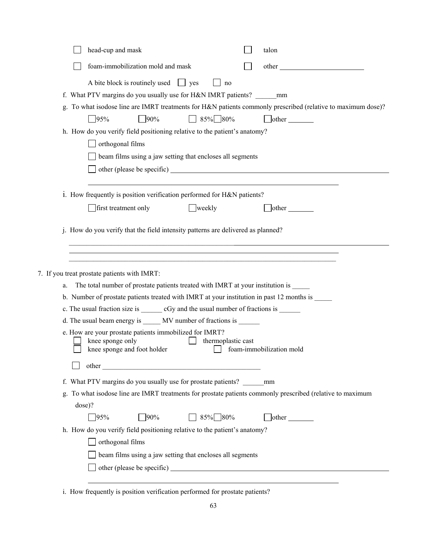|    |        | head-cup and mask                                                                                            | talon                    |
|----|--------|--------------------------------------------------------------------------------------------------------------|--------------------------|
|    |        | foam-immobilization mold and mask                                                                            | other                    |
|    |        | A bite block is routinely used $\Box$ yes<br>$\ln 0$                                                         |                          |
|    |        | f. What PTV margins do you usually use for H&N IMRT patients? ________ mm                                    |                          |
|    |        | g. To what isodose line are IMRT treatments for H&N patients commonly prescribed (relative to maximum dose)? |                          |
|    |        | $35\%$ 80%<br>$\Box$ 90%<br>95%                                                                              | $\Box$ other $\Box$      |
|    |        | h. How do you verify field positioning relative to the patient's anatomy?                                    |                          |
|    |        | orthogonal films                                                                                             |                          |
|    |        | beam films using a jaw setting that encloses all segments                                                    |                          |
|    |        |                                                                                                              |                          |
|    |        |                                                                                                              |                          |
|    |        | i. How frequently is position verification performed for H&N patients?                                       |                          |
|    |        | first treatment only<br>$\Box$ weekly                                                                        | $\theta$ other           |
|    |        |                                                                                                              |                          |
|    |        | j. How do you verify that the field intensity patterns are delivered as planned?                             |                          |
|    |        |                                                                                                              |                          |
|    |        |                                                                                                              |                          |
|    |        | 7. If you treat prostate patients with IMRT:                                                                 |                          |
| a. |        | The total number of prostate patients treated with IMRT at your institution is                               |                          |
|    |        | b. Number of prostate patients treated with IMRT at your institution in past 12 months is                    |                          |
|    |        | c. The usual fraction size is _________ cGy and the usual number of fractions is _______                     |                          |
|    |        | d. The usual beam energy is ______ MV number of fractions is _______                                         |                          |
|    |        | e. How are your prostate patients immobilized for IMRT?                                                      |                          |
|    |        | knee sponge only<br>thermoplastic cast<br>knee sponge and foot holder                                        | foam-immobilization mold |
|    |        |                                                                                                              |                          |
|    |        |                                                                                                              |                          |
|    |        | f. What PTV margins do you usually use for prostate patients?                                                | mm                       |
|    |        | g. To what isodose line are IMRT treatments for prostate patients commonly prescribed (relative to maximum   |                          |
|    | dose)? |                                                                                                              |                          |
|    |        | $\Box$ 85% 80%<br>$\sqrt{95\%}$<br>$\Box$ 90%                                                                | $\Box$ other $\Box$      |
|    |        | h. How do you verify field positioning relative to the patient's anatomy?                                    |                          |
|    |        | orthogonal films                                                                                             |                          |
|    |        | beam films using a jaw setting that encloses all segments                                                    |                          |
|    |        |                                                                                                              |                          |
|    |        |                                                                                                              |                          |

i. How frequently is position verification performed for prostate patients?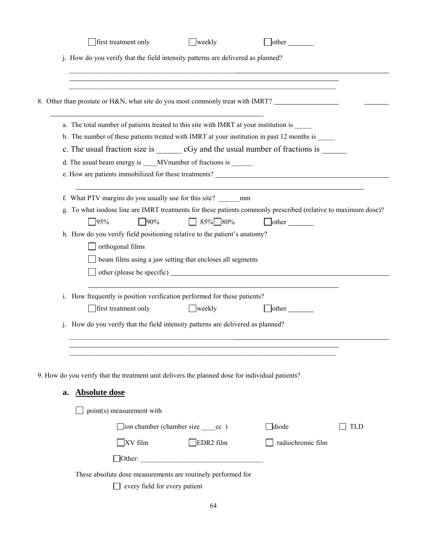|    | first treatment only                                                                                                                                                                                                                                                                                                                                                                                                                                                                     | weekly                                                                                | $\Box$ other                                                                     |            |
|----|------------------------------------------------------------------------------------------------------------------------------------------------------------------------------------------------------------------------------------------------------------------------------------------------------------------------------------------------------------------------------------------------------------------------------------------------------------------------------------------|---------------------------------------------------------------------------------------|----------------------------------------------------------------------------------|------------|
|    | j. How do you verify that the field intensity patterns are delivered as planned?                                                                                                                                                                                                                                                                                                                                                                                                         |                                                                                       |                                                                                  |            |
|    |                                                                                                                                                                                                                                                                                                                                                                                                                                                                                          |                                                                                       | ,我们也不会有什么。""我们的人,我们也不会有什么?""我们的人,我们也不会有什么?""我们的人,我们也不会有什么?""我们的人,我们也不会有什么?""我们的人 |            |
|    | 8. Other than prostate or H&N, what site do you most commonly treat with IMRT?                                                                                                                                                                                                                                                                                                                                                                                                           |                                                                                       |                                                                                  |            |
|    | a. The total number of patients treated to this site with IMRT at your institution is                                                                                                                                                                                                                                                                                                                                                                                                    |                                                                                       |                                                                                  |            |
|    | b. The number of these patients treated with IMRT at your institution in past 12 months is                                                                                                                                                                                                                                                                                                                                                                                               |                                                                                       |                                                                                  |            |
|    | c. The usual fraction size is _________ cGy and the usual number of fractions is ________                                                                                                                                                                                                                                                                                                                                                                                                |                                                                                       |                                                                                  |            |
|    |                                                                                                                                                                                                                                                                                                                                                                                                                                                                                          |                                                                                       |                                                                                  |            |
|    |                                                                                                                                                                                                                                                                                                                                                                                                                                                                                          |                                                                                       |                                                                                  |            |
|    | f. What PTV margins do you usually use for this site? mm<br>g. To what isodose line are IMRT treatments for these patients commonly prescribed (relative to maximum dose)?<br>$\sqrt{95\%}$<br>90%<br>h. How do you verify field positioning relative to the patient's anatomy?<br>orthogonal films<br>i. How frequently is position verification performed for these patients?<br>first treatment only<br>How do you verify that the field intensity patterns are delivered as planned? | 85% 80%<br>beam films using a jaw setting that encloses all segments<br>$\Box$ weekly | other<br>$\Box$ other                                                            |            |
|    |                                                                                                                                                                                                                                                                                                                                                                                                                                                                                          |                                                                                       |                                                                                  |            |
|    |                                                                                                                                                                                                                                                                                                                                                                                                                                                                                          |                                                                                       |                                                                                  |            |
|    | 9. How do you verify that the treatment unit delivers the planned dose for individual patients?                                                                                                                                                                                                                                                                                                                                                                                          |                                                                                       |                                                                                  |            |
| a. | <b>Absolute dose</b>                                                                                                                                                                                                                                                                                                                                                                                                                                                                     |                                                                                       |                                                                                  |            |
|    | point(s) measurement with                                                                                                                                                                                                                                                                                                                                                                                                                                                                |                                                                                       |                                                                                  |            |
|    |                                                                                                                                                                                                                                                                                                                                                                                                                                                                                          | $\Box$ ion chamber (chamber size $\_\_$ cc)                                           | $\Box$ diode                                                                     | <b>TLD</b> |
|    | $XV$ film                                                                                                                                                                                                                                                                                                                                                                                                                                                                                | EDR <sub>2</sub> film                                                                 | radiochromic film                                                                |            |
|    |                                                                                                                                                                                                                                                                                                                                                                                                                                                                                          |                                                                                       |                                                                                  |            |
|    | These absolute dose measurements are routinely performed for                                                                                                                                                                                                                                                                                                                                                                                                                             |                                                                                       |                                                                                  |            |
|    | every field for every patient                                                                                                                                                                                                                                                                                                                                                                                                                                                            |                                                                                       |                                                                                  |            |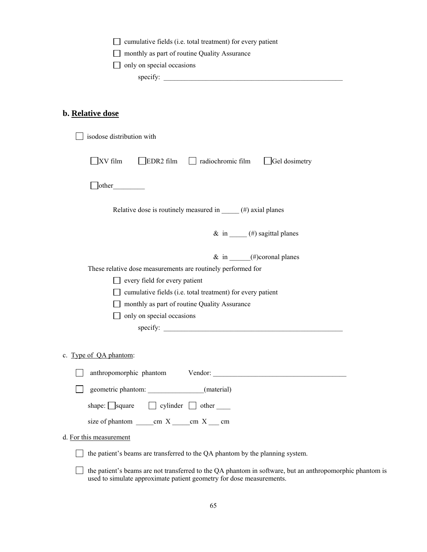|                                  | $\Box$ cumulative fields (i.e. total treatment) for every patient |
|----------------------------------|-------------------------------------------------------------------|
|                                  | monthly as part of routine Quality Assurance                      |
| $\Box$ only on special occasions |                                                                   |
| specify:                         |                                                                   |

## **b. Relative dose**

| isodose distribution with                                                     |
|-------------------------------------------------------------------------------|
| $\exists$ XV film<br>EDR2 film adiochromic film<br>Gel dosimetry              |
| $\Box$ other                                                                  |
| Relative dose is routinely measured in $\_\_\_\$ (#) axial planes             |
| & in $($ #) sagittal planes                                                   |
| $\&$ in $(\#)$ coronal planes                                                 |
| These relative dose measurements are routinely performed for                  |
| $\Box$ every field for every patient                                          |
| cumulative fields (i.e. total treatment) for every patient                    |
| monthly as part of routine Quality Assurance                                  |
| only on special occasions                                                     |
| specify: $\qquad \qquad$                                                      |
| c. Type of QA phantom:                                                        |
|                                                                               |
| geometric phantom: ________________(material)                                 |
| shape: $\Box$ square $\Box$ cylinder $\Box$ other $\Box$                      |
| size of phantom $\frac{\text{cm} X \text{cm} X}{\text{cm} X \text{cm}}$ cm    |
| d. For this measurement                                                       |
| the patient's beams are transferred to the QA phantom by the planning system. |
|                                                                               |

 $\Box$  the patient's beams are not transferred to the QA phantom in software, but an anthropomorphic phantom is used to simulate approximate patient geometry for dose measurements.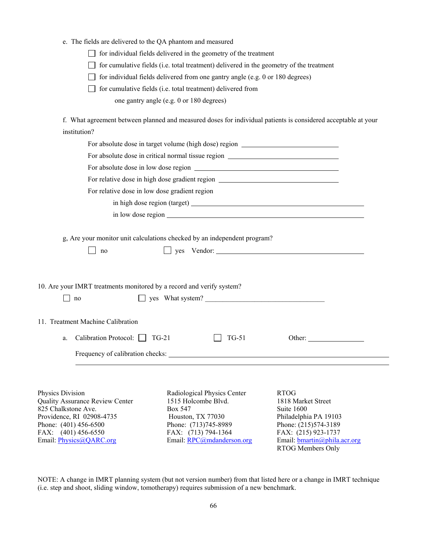|  | e. The fields are delivered to the QA phantom and measured |  |  |  |
|--|------------------------------------------------------------|--|--|--|
|--|------------------------------------------------------------|--|--|--|

 $\Box$  for individual fields delivered in the geometry of the treatment

 $\Box$  for cumulative fields (i.e. total treatment) delivered in the geometry of the treatment

 $\Box$  for individual fields delivered from one gantry angle (e.g. 0 or 180 degrees)

 $\Box$  for cumulative fields (i.e. total treatment) delivered from

one gantry angle (e.g. 0 or 180 degrees)

f. What agreement between planned and measured doses for individual patients is considered acceptable at your institution?

| For absolute dose in target volume (high dose) region __________________________ |                                                                                  |                                             |
|----------------------------------------------------------------------------------|----------------------------------------------------------------------------------|---------------------------------------------|
|                                                                                  | For absolute dose in critical normal tissue region _____________________________ |                                             |
|                                                                                  |                                                                                  |                                             |
|                                                                                  | For relative dose in high dose gradient region _________________________________ |                                             |
|                                                                                  | For relative dose in low dose gradient region                                    |                                             |
|                                                                                  |                                                                                  |                                             |
|                                                                                  |                                                                                  |                                             |
|                                                                                  |                                                                                  |                                             |
|                                                                                  | g, Are your monitor unit calculations checked by an independent program?         |                                             |
| $\Box$ yes Vendor:<br>no                                                         |                                                                                  |                                             |
|                                                                                  |                                                                                  |                                             |
|                                                                                  |                                                                                  |                                             |
| 10. Are your IMRT treatments monitored by a record and verify system?            |                                                                                  |                                             |
| no                                                                               |                                                                                  |                                             |
|                                                                                  |                                                                                  |                                             |
| 11. Treatment Machine Calibration                                                |                                                                                  |                                             |
| Calibration Protocol: TG-21                                                      | <b>TG-51</b>                                                                     |                                             |
| a.                                                                               |                                                                                  | Other:                                      |
|                                                                                  |                                                                                  |                                             |
|                                                                                  |                                                                                  |                                             |
|                                                                                  |                                                                                  |                                             |
| Physics Division                                                                 | Radiological Physics Center                                                      | <b>RTOG</b>                                 |
| Quality Assurance Review Center                                                  | 1515 Holcombe Blvd.                                                              | 1818 Market Street                          |
| 825 Chalkstone Ave.                                                              | Box 547                                                                          | Suite 1600                                  |
| Providence, RI 02908-4735                                                        | Houston, TX 77030<br>Phone: (713)745-8989                                        | Philadelphia PA 19103                       |
| Phone: (401) 456-6500<br>FAX: $(401)$ 456-6550                                   | FAX: (713) 794-1364                                                              | Phone: (215)574-3189<br>FAX: (215) 923-1737 |
| Email: Physics@QARC.org                                                          | Email: RPC@mdanderson.org                                                        | Email: bmartin@phila.acr.org                |
|                                                                                  |                                                                                  | RTOG Members Only                           |

NOTE: A change in IMRT planning system (but not version number) from that listed here or a change in IMRT technique (i.e. step and shoot, sliding window, tomotherapy) requires submission of a new benchmark.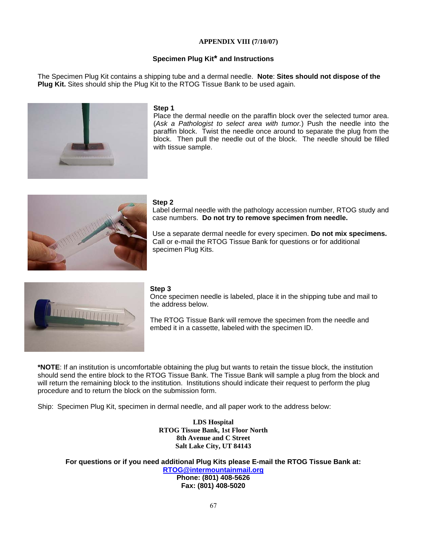### **APPENDIX VIII (7/10/07)**

## **Specimen Plug Kit\* and Instructions**

The Specimen Plug Kit contains a shipping tube and a dermal needle. **Note**: **Sites should not dispose of the Plug Kit.** Sites should ship the Plug Kit to the RTOG Tissue Bank to be used again.



#### **Step 1**

Place the dermal needle on the paraffin block over the selected tumor area. (*Ask a Pathologist to select area with tumor.*) Push the needle into the paraffin block. Twist the needle once around to separate the plug from the block. Then pull the needle out of the block. The needle should be filled with tissue sample.



#### **Step 2**

Label dermal needle with the pathology accession number, RTOG study and case numbers. **Do not try to remove specimen from needle.** 

Use a separate dermal needle for every specimen. **Do not mix specimens.** Call or e-mail the RTOG Tissue Bank for questions or for additional specimen Plug Kits.



#### **Step 3**

Once specimen needle is labeled, place it in the shipping tube and mail to the address below.

The RTOG Tissue Bank will remove the specimen from the needle and embed it in a cassette, labeled with the specimen ID.

**\*NOTE**: If an institution is uncomfortable obtaining the plug but wants to retain the tissue block, the institution should send the entire block to the RTOG Tissue Bank. The Tissue Bank will sample a plug from the block and will return the remaining block to the institution. Institutions should indicate their request to perform the plug procedure and to return the block on the submission form.

Ship: Specimen Plug Kit, specimen in dermal needle, and all paper work to the address below:

**LDS Hospital RTOG Tissue Bank, 1st Floor North 8th Avenue and C Street Salt Lake City, UT 84143**

**For questions or if you need additional Plug Kits please E-mail the RTOG Tissue Bank at: RTOG@intermountainmail.org Phone: (801) 408-5626 Fax: (801) 408-5020**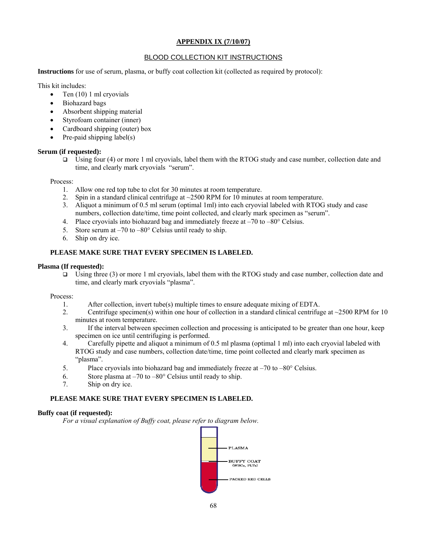## **APPENDIX IX (7/10/07)**

# BLOOD COLLECTION KIT INSTRUCTIONS

**Instructions** for use of serum, plasma, or buffy coat collection kit (collected as required by protocol):

This kit includes:

- Ten  $(10)$  1 ml cryovials
- Biohazard bags
- Absorbent shipping material
- Styrofoam container (inner)
- Cardboard shipping (outer) box
- Pre-paid shipping label(s)

### **Serum (if requested):**

Using four (4) or more 1 ml cryovials, label them with the RTOG study and case number, collection date and time, and clearly mark cryovials "serum".

Process:

- 1. Allow one red top tube to clot for 30 minutes at room temperature.
- 2. Spin in a standard clinical centrifuge at  $\sim$  2500 RPM for 10 minutes at room temperature.
- 3. Aliquot a minimum of 0.5 ml serum (optimal 1ml) into each cryovial labeled with RTOG study and case numbers, collection date/time, time point collected, and clearly mark specimen as "serum".
- 4. Place cryovials into biohazard bag and immediately freeze at –70 to –80° Celsius.
- 5. Store serum at –70 to –80° Celsius until ready to ship.
- 6. Ship on dry ice.

# **PLEASE MAKE SURE THAT EVERY SPECIMEN IS LABELED.**

### **Plasma (If requested):**

Using three (3) or more 1 ml cryovials, label them with the RTOG study and case number, collection date and time, and clearly mark cryovials "plasma".

Process:

- 1. After collection, invert tube(s) multiple times to ensure adequate mixing of EDTA.
- 2. Centrifuge specimen(s) within one hour of collection in a standard clinical centrifuge at  $\sim$ 2500 RPM for 10 minutes at room temperature.
- 3. If the interval between specimen collection and processing is anticipated to be greater than one hour, keep specimen on ice until centrifuging is performed.
- 4. Carefully pipette and aliquot a minimum of 0.5 ml plasma (optimal 1 ml) into each cryovial labeled with RTOG study and case numbers, collection date/time, time point collected and clearly mark specimen as "plasma".
- 5. Place cryovials into biohazard bag and immediately freeze at –70 to –80° Celsius.
- 6. Store plasma at  $-70$  to  $-80^\circ$  Celsius until ready to ship.
- 7. Ship on dry ice.

# **PLEASE MAKE SURE THAT EVERY SPECIMEN IS LABELED.**

#### **Buffy coat (if requested):**

*For a visual explanation of Buffy coat, please refer to diagram below.*